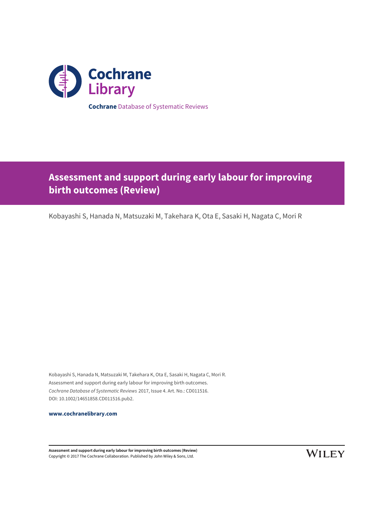

**Assessment and support during early labour for improving birth outcomes (Review)**

Kobayashi S, Hanada N, Matsuzaki M, Takehara K, Ota E, Sasaki H, Nagata C, Mori R

Kobayashi S, Hanada N, Matsuzaki M, Takehara K, Ota E, Sasaki H, Nagata C, Mori R. Assessment and support during early labour for improving birth outcomes. Cochrane Database of Systematic Reviews 2017, Issue 4. Art. No.: CD011516. DOI: 10.1002/14651858.CD011516.pub2.

**[www.cochranelibrary.com](http://www.cochranelibrary.com)**

**Assessment and support during early labour for improving birth outcomes (Review)** Copyright © 2017 The Cochrane Collaboration. Published by John Wiley & Sons, Ltd.

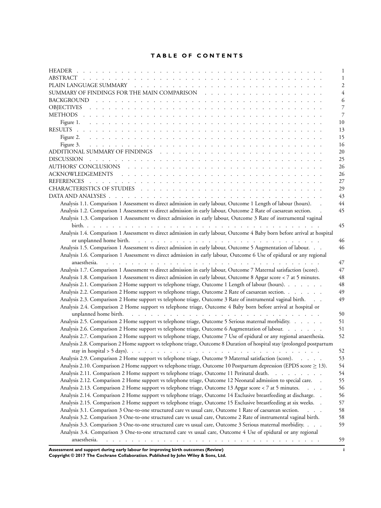### **TABLE OF CONTENTS**

| HEADER                                                                                                                                                                                                                                        | 1              |
|-----------------------------------------------------------------------------------------------------------------------------------------------------------------------------------------------------------------------------------------------|----------------|
| ABSTRACT                                                                                                                                                                                                                                      | $\mathbf{1}$   |
|                                                                                                                                                                                                                                               | $\overline{2}$ |
|                                                                                                                                                                                                                                               | 4              |
|                                                                                                                                                                                                                                               | 6              |
|                                                                                                                                                                                                                                               | 7              |
|                                                                                                                                                                                                                                               | 7              |
|                                                                                                                                                                                                                                               | 10             |
|                                                                                                                                                                                                                                               | 13             |
|                                                                                                                                                                                                                                               | 15             |
| .<br>In the second complete service of the second complete service of the second complete service service service s<br>Figure 3.                                                                                                              | 16             |
|                                                                                                                                                                                                                                               | 20             |
|                                                                                                                                                                                                                                               |                |
| DISCUSSION                                                                                                                                                                                                                                    | 25             |
|                                                                                                                                                                                                                                               | 26             |
|                                                                                                                                                                                                                                               | 26             |
|                                                                                                                                                                                                                                               | 27             |
|                                                                                                                                                                                                                                               | 29             |
|                                                                                                                                                                                                                                               | 43             |
| Analysis 1.1. Comparison 1 Assessment vs direct admission in early labour, Outcome 1 Length of labour (hours).                                                                                                                                | 44             |
| Analysis 1.2. Comparison 1 Assessment vs direct admission in early labour, Outcome 2 Rate of caesarean section.                                                                                                                               | 45             |
| Analysis 1.3. Comparison 1 Assessment vs direct admission in early labour, Outcome 3 Rate of instrumental vaginal                                                                                                                             |                |
|                                                                                                                                                                                                                                               | 45             |
| Analysis 1.4. Comparison 1 Assessment vs direct admission in early labour, Outcome 4 Baby born before arrival at hospital                                                                                                                     |                |
|                                                                                                                                                                                                                                               | 46             |
| Analysis 1.5. Comparison 1 Assessment vs direct admission in early labour, Outcome 5 Augmentation of labour.                                                                                                                                  | 46             |
| Analysis 1.6. Comparison 1 Assessment vs direct admission in early labour, Outcome 6 Use of epidural or any regional                                                                                                                          |                |
| anaesthesia.                                                                                                                                                                                                                                  | 47             |
| Analysis 1.7. Comparison 1 Assessment vs direct admission in early labour, Outcome 7 Maternal satisfaction (score).                                                                                                                           | 47             |
| Analysis 1.8. Comparison 1 Assessment vs direct admission in early labour, Outcome 8 Apgar score < 7 at 5 minutes.                                                                                                                            | 48             |
| Analysis 2.1. Comparison 2 Home support vs telephone triage, Outcome 1 Length of labour (hours).                                                                                                                                              | 48             |
|                                                                                                                                                                                                                                               |                |
| Analysis 2.2. Comparison 2 Home support vs telephone triage, Outcome 2 Rate of caesarean section.                                                                                                                                             | 49             |
| Analysis 2.3. Comparison 2 Home support vs telephone triage, Outcome 3 Rate of instrumental vaginal birth.                                                                                                                                    | 49             |
| Analysis 2.4. Comparison 2 Home support vs telephone triage, Outcome 4 Baby born before arrival at hospital or                                                                                                                                |                |
|                                                                                                                                                                                                                                               | 50             |
| Analysis 2.5. Comparison 2 Home support vs telephone triage, Outcome 5 Serious maternal morbidity.                                                                                                                                            | 51             |
| Analysis 2.6. Comparison 2 Home support vs telephone triage, Outcome 6 Augmentation of labour.                                                                                                                                                | 51             |
| Analysis 2.7. Comparison 2 Home support vs telephone triage, Outcome 7 Use of epidural or any regional anaesthesia.                                                                                                                           | 52             |
| Analysis 2.8. Comparison 2 Home support vs telephone triage, Outcome 8 Duration of hospital stay (prolonged postpartum                                                                                                                        |                |
|                                                                                                                                                                                                                                               | 52             |
| Analysis 2.9. Comparison 2 Home support vs telephone triage, Outcome 9 Maternal satisfaction (score).<br>$\mathcal{A}=\mathcal{A}=\mathcal{A}=\mathcal{A}$                                                                                    | 53             |
| Analysis 2.10. Comparison 2 Home support vs telephone triage, Outcome 10 Postpartum depression (EPDS score $\geq$ 13).                                                                                                                        | 54             |
| Analysis 2.11. Comparison 2 Home support vs telephone triage, Outcome 11 Perinatal death.                                                                                                                                                     | 54             |
| Analysis 2.12. Comparison 2 Home support vs telephone triage, Outcome 12 Neonatal admission to special care.                                                                                                                                  | 55             |
| Analysis 2.13. Comparison 2 Home support vs telephone triage, Outcome 13 Apgar score < 7 at 5 minutes.<br>$\cdots$                                                                                                                            | 56             |
| Analysis 2.14. Comparison 2 Home support vs telephone triage, Outcome 14 Exclusive breastfeeding at discharge. .                                                                                                                              | 56             |
|                                                                                                                                                                                                                                               |                |
| Analysis 2.15. Comparison 2 Home support vs telephone triage, Outcome 15 Exclusive breastfeeding at six weeks. .                                                                                                                              | 57             |
| Analysis 3.1. Comparison 3 One-to-one structured care vs usual care, Outcome 1 Rate of caesarean section.<br>$\mathcal{L}^{\mathcal{L}}$                                                                                                      | 58             |
| Analysis 3.2. Comparison 3 One-to-one structured care vs usual care, Outcome 2 Rate of instrumental vaginal birth.                                                                                                                            | 58             |
| Analysis 3.3. Comparison 3 One-to-one structured care vs usual care, Outcome 3 Serious maternal morbidity.                                                                                                                                    | 59             |
| Analysis 3.4. Comparison 3 One-to-one structured care vs usual care, Outcome 4 Use of epidural or any regional                                                                                                                                |                |
| anaesthesia.<br>and a construction of the construction of the construction of the construction of the construction of the construction of the construction of the construction of the construction of the construction of the construction of | 59             |
|                                                                                                                                                                                                                                               |                |

**Assessment and support during early labour for improving birth outcomes (Review) i Copyright © 2017 The Cochrane Collaboration. Published by John Wiley & Sons, Ltd.**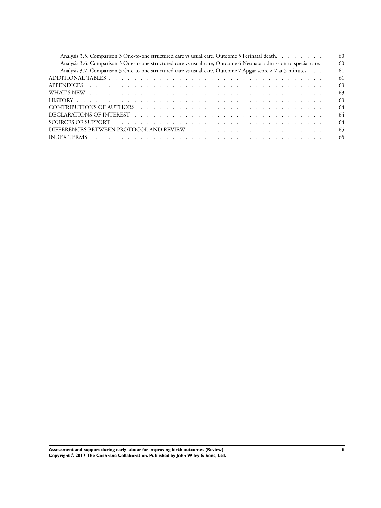| Analysis 3.5. Comparison 3 One-to-one structured care vs usual care, Outcome 5 Perinatal death.                    | 60 |
|--------------------------------------------------------------------------------------------------------------------|----|
| Analysis 3.6. Comparison 3 One-to-one structured care vs usual care, Outcome 6 Neonatal admission to special care. | 60 |
| Analysis 3.7. Comparison 3 One-to-one structured care vs usual care, Outcome 7 Apgar score < 7 at 5 minutes.       | 61 |
|                                                                                                                    | 61 |
|                                                                                                                    | 63 |
|                                                                                                                    | 63 |
|                                                                                                                    | 63 |
|                                                                                                                    | 64 |
|                                                                                                                    | 64 |
|                                                                                                                    | 64 |
|                                                                                                                    | 65 |
| INDEX TERMS                                                                                                        | 65 |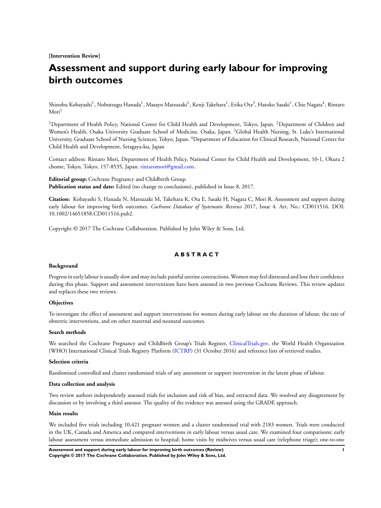**[Intervention Review]**

# **Assessment and support during early labour for improving birth outcomes**

Shinobu Kobayashi<sup>1</sup>, Nobutsugu Hanada<sup>1</sup>, Masayo Matsuzaki<sup>2</sup>, Kenji Takehara<sup>1</sup>, Erika Ota<sup>3</sup>, Hatoko Sasaki<sup>1</sup>, Chie Nagata<sup>4</sup>, Rintaro Mori<sup>1</sup>

<sup>1</sup>Department of Health Policy, National Center for Child Health and Development, Tokyo, Japan. <sup>2</sup>Department of Children and Women's Health, Osaka University Graduate School of Medicine, Osaka, Japan. <sup>3</sup>Global Health Nursing, St. Luke's International University, Graduate School of Nursing Sciences, Tokyo, Japan. <sup>4</sup>Department of Education for Clinical Research, National Center for Child Health and Development, Setagaya-ku, Japan

Contact address: Rintaro Mori, Department of Health Policy, National Center for Child Health and Development, 10-1, Okura 2 chome, Tokyo, Tokyo, 157-8535, Japan. [rintaromori@gmail.com](mailto:rintaromori@gmail.com).

**Editorial group:** Cochrane Pregnancy and Childbirth Group. **Publication status and date:** Edited (no change to conclusions), published in Issue 8, 2017.

**Citation:** Kobayashi S, Hanada N, Matsuzaki M, Takehara K, Ota E, Sasaki H, Nagata C, Mori R. Assessment and support during early labour for improving birth outcomes. *Cochrane Database of Systematic Reviews* 2017, Issue 4. Art. No.: CD011516. DOI: 10.1002/14651858.CD011516.pub2.

Copyright © 2017 The Cochrane Collaboration. Published by John Wiley & Sons, Ltd.

### **A B S T R A C T**

#### **Background**

Progress in early labour is usually slow and may include painful uterine contractions. Women may feel distressed and lose their confidence during this phase. Support and assessment interventions have been assessed in two previous Cochrane Reviews. This review updates and replaces these two reviews.

#### **Objectives**

To investigate the effect of assessment and support interventions for women during early labour on the duration of labour, the rate of obstetric interventions, and on other maternal and neonatal outcomes.

#### **Search methods**

We searched the Cochrane Pregnancy and Childbirth Group's Trials Register, [ClinicalTrials.gov,](http://clinicaltrials.gov/) the World Health Organization (WHO) International Clinical Trials Registry Platform ([ICTRP](http://apps.who.int/trialsearch/)) (31 October 2016) and reference lists of retrieved studies.

#### **Selection criteria**

Randomised controlled and cluster randomised trials of any assessment or support intervention in the latent phase of labour.

#### **Data collection and analysis**

Two review authors independently assessed trials for inclusion and risk of bias, and extracted data. We resolved any disagreement by discussion or by involving a third assessor. The quality of the evidence was assessed using the GRADE approach.

#### **Main results**

We included five trials including 10,421 pregnant women and a cluster randomised trial with 2183 women. Trials were conducted in the UK, Canada and America and compared interventions in early labour versus usual care. We examined four comparisons: early labour assessment versus immediate admission to hospital; home visits by midwives versus usual care (telephone triage); one-to-one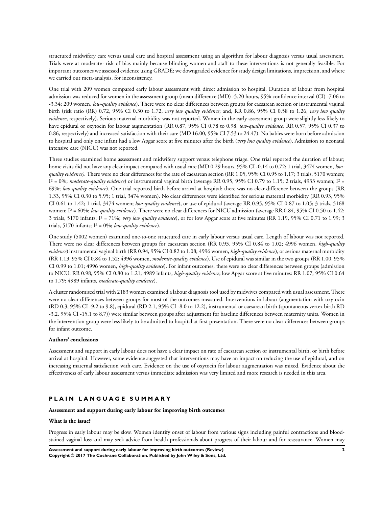structured midwifery care versus usual care and hospital assessment using an algorithm for labour diagnosis versus usual assessment. Trials were at moderate- risk of bias mainly because blinding women and staff to these interventions is not generally feasible. For important outcomes we assessed evidence using GRADE; we downgraded evidence for study design limitations, imprecision, and where we carried out meta-analysis, for inconsistency.

One trial with 209 women compared early labour assessment with direct admission to hospital. Duration of labour from hospital admission was reduced for women in the assessment group (mean difference (MD) -5.20 hours, 95% confidence interval (CI) -7.06 to -3.34; 209 women, *low-quality evidence*). There were no clear differences between groups for caesarean section or instrumental vaginal birth (risk ratio (RR) 0.72, 95% CI 0.30 to 1.72, *very low quality evidence*; and, RR 0.86, 95% CI 0.58 to 1.26, *very low quality evidence*, respectively). Serious maternal morbidity was not reported. Women in the early assessment group were slightly less likely to have epidural or oxytocin for labour augmentation (RR 0.87, 95% CI 0.78 to 0.98, *low-quality evidence;* RR 0.57, 95% CI 0.37 to 0.86, respectively) and increased satisfaction with their care (MD 16.00, 95% CI 7.53 to 24.47). No babies were born before admission to hospital and only one infant had a low Apgar score at five minutes after the birth (*very low quality evidence*). Admission to neonatal intensive care (NICU) was not reported.

Three studies examined home assessment and midwifery support versus telephone triage. One trial reported the duration of labour; home visits did not have any clear impact compared with usual care (MD 0.29 hours, 95% CI -0.14 to 0.72; 1 trial, 3474 women, *lowquality evidence)*. There were no clear differences for the rate of caesarean section (RR 1.05, 95% CI 0.95 to 1.17; 3 trials, 5170 women; I² = 0%; *moderate-quality evidence*) or instrumental vaginal birth (average RR 0.95, 95% CI 0.79 to 1.15; 2 trials, 4933 women; I² = 69%; *low-quality evidence*). One trial reported birth before arrival at hospital; there was no clear difference between the groups (RR 1.33, 95% CI 0.30 to 5.95; 1 trial, 3474 women). No clear differences were identified for serious maternal morbidity (RR 0.93, 95% CI 0.61 to 1.42; 1 trial, 3474 women; *low-quality evidence*), or use of epidural (average RR 0.95, 95% CI 0.87 to 1.05; 3 trials, 5168 women; I² = 60%; *low-quality evidence*). There were no clear differences for NICU admission (average RR 0.84, 95% CI 0.50 to 1.42; 3 trials, 5170 infants; I² = 71%; *very low quality evidence*), or for low Apgar score at five minutes (RR 1.19, 95% CI 0.71 to 1.99; 3 trials, 5170 infants; I² = 0%; *low-quality evidence*).

One study (5002 women) examined one-to-one structured care in early labour versus usual care. Length of labour was not reported. There were no clear differences between groups for caesarean section (RR 0.93, 95% CI 0.84 to 1.02; 4996 women, *high-quality evidence*) instrumental vaginal birth (RR 0.94, 95% CI 0.82 to 1.08; 4996 women, *high-quality evidence*), or serious maternal morbidity (RR 1.13, 95% CI 0.84 to 1.52; 4996 women, *moderate-quality evidence*). Use of epidural was similar in the two groups (RR 1.00, 95% CI 0.99 to 1.01; 4996 women, *high-quality evidence*). For infant outcomes, there were no clear differences between groups (admission to NICU: RR 0.98, 95% CI 0.80 to 1.21; 4989 infants, *high-quality evidence*; low Apgar score at five minutes: RR 1.07, 95% CI 0.64 to 1.79; 4989 infants, *moderate-quality evidence*).

A cluster randomised trial with 2183 women examined a labour diagnosis tool used by midwives compared with usual assessment. There were no clear differences between groups for most of the outcomes measured. Interventions in labour (augmentation with oxytocin (RD 0.3, 95% CI -9.2 to 9.8), epidural (RD 2.1, 95% CI -8.0 to 12.2), instrumental or caesarean birth (spontaneous vertex birth RD -3.2, 95% CI -15.1 to 8.7)) were similar between groups after adjustment for baseline differences between maternity units. Women in the intervention group were less likely to be admitted to hospital at first presentation. There were no clear differences between groups for infant outcome.

#### **Authors' conclusions**

Assessment and support in early labour does not have a clear impact on rate of caesarean section or instrumental birth, or birth before arrival at hospital. However, some evidence suggested that interventions may have an impact on reducing the use of epidural, and on increasing maternal satisfaction with care. Evidence on the use of oxytocin for labour augmentation was mixed. Evidence about the effectiveness of early labour assessment versus immediate admission was very limited and more research is needed in this area.

### **P L A I N L A N G U A G E S U M M A R Y**

#### **Assessment and support during early labour for improving birth outcomes**

#### **What is the issue?**

Progress in early labour may be slow. Women identify onset of labour from various signs including painful contractions and bloodstained vaginal loss and may seek advice from health professionals about progress of their labour and for reassurance. Women may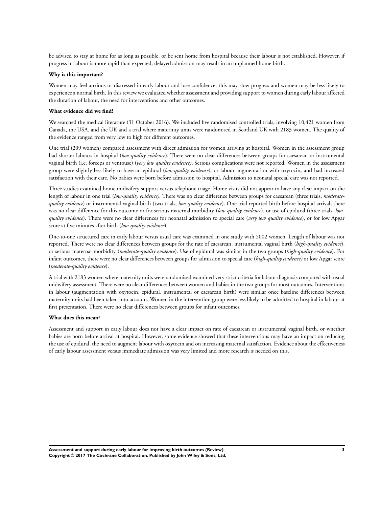be advised to stay at home for as long as possible, or be sent home from hospital because their labour is not established. However, if progress in labour is more rapid than expected, delayed admission may result in an unplanned home birth.

#### **Why is this important?**

Women may feel anxious or distressed in early labour and lose confidence; this may slow progress and women may be less likely to experience a normal birth. In this review we evaluated whether assessment and providing support to women during early labour affected the duration of labour, the need for interventions and other outcomes.

#### **What evidence did we find?**

We searched the medical literature (31 October 2016). We included five randomised controlled trials, involving 10,421 women from Canada, the USA, and the UK and a trial where maternity units were randomised in Scotland UK with 2183 women. The quality of the evidence ranged from very low to high for different outcomes.

One trial (209 women) compared assessment with direct admission for women arriving at hospital. Women in the assessment group had shorter labours in hospital (*low-quality evidence*). There were no clear differences between groups for caesarean or instrumental vaginal birth (i.e. forceps or ventouse) (*very low quality evidence)*. Serious complications were not reported. Women in the assessment group were slightly less likely to have an epidural (*low-quality evidence*), or labour augmentation with oxytocin, and had increased satisfaction with their care. No babies were born before admission to hospital. Admission to neonatal special care was not reported.

Three studies examined home midwifery support versus telephone triage. Home visits did not appear to have any clear impact on the length of labour in one trial (*low-quality evidence).* There was no clear difference between groups for caesarean (three trials, *moderatequality evidence*) or instrumental vaginal birth (two trials, *low-quality evidence*). One trial reported birth before hospital arrival; there was no clear difference for this outcome or for serious maternal morbidity (*low-quality evidence*), or use of epidural (three trials, *lowquality evidence*). There were no clear differences for neonatal admission to special care (*very low quality evidence*), or for low Apgar score at five minutes after birth (*low-quality evidence*).

One-to-one structured care in early labour versus usual care was examined in one study with 5002 women. Length of labour was not reported. There were no clear differences between groups for the rate of caesarean, instrumental vaginal birth (*high-quality evidence*), or serious maternal morbidity (*moderate-quality evidence*). Use of epidural was similar in the two groups (*high-quality evidence*). For infant outcomes, there were no clear differences between groups for admission to special care (*high-quality evidence)* or low Apgar score (*moderate-quality evidence*).

A trial with 2183 women where maternity units were randomised examined very strict criteria for labour diagnosis compared with usual midwifery assessment. There were no clear differences between women and babies in the two groups for most outcomes. Interventions in labour (augmentation with oxytocin, epidural, instrumental or caesarean birth) were similar once baseline differences between maternity units had been taken into account. Women in the intervention group were less likely to be admitted to hospital in labour at first presentation. There were no clear differences between groups for infant outcomes.

#### **What does this mean?**

Assessment and support in early labour does not have a clear impact on rate of caesarean or instrumental vaginal birth, or whether babies are born before arrival at hospital. However, some evidence showed that these interventions may have an impact on reducing the use of epidural, the need to augment labour with oxytocin and on increasing maternal satisfaction. Evidence about the effectiveness of early labour assessment versus immediate admission was very limited and more research is needed on this.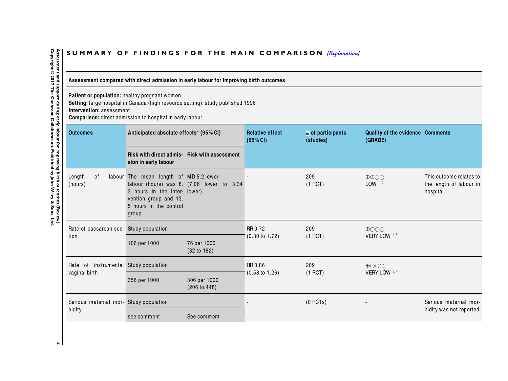# <span id="page-6-0"></span>SUMMARY OF FINDINGS FOR THE MAIN COMPARISON *[\[Explanation\]](http://www.thecochranelibrary.com/view/0/SummaryFindings.html)*

### Assessment compared with direct admission in early labour for improving birth outcomes

**Patient or population:** healthy pregnant women **Setting:** large hospital in Canada (high resource setting), study published <sup>1996</sup>

**Intervention:** assessment

**Comparison:** direct adm ission to hospital in early labour

| <b>Outcomes</b>                                  | Anticipated absolute effects* (95% CI)                                                                                             |                                           | <b>Relative effect</b><br>(95% CI) | № of participants<br>(studies) | Quality of the evidence Comments<br>(GRADE)    |                                                                |
|--------------------------------------------------|------------------------------------------------------------------------------------------------------------------------------------|-------------------------------------------|------------------------------------|--------------------------------|------------------------------------------------|----------------------------------------------------------------|
|                                                  | Risk with direct admis- Risk with assessment<br>sion in early labour                                                               |                                           |                                    |                                |                                                |                                                                |
| Length<br>of<br>(hours)                          | labour The mean length of MD 5.2 lower<br>3 hours in the inter- lower)<br>vention group and 13.<br>5 hours in the control<br>group | labour (hours) was 8. (7.06 lower to 3.34 |                                    | 209<br>$(1$ RCT)               | $\oplus \oplus \bigcirc \bigcirc$<br>LOW $1,2$ | This outcome relates to<br>the length of labour in<br>hospital |
| Rate of caesarean sec-                           | Study population                                                                                                                   |                                           | RR 0.72                            | 209                            | $\bigoplus$                                    |                                                                |
| tion                                             | 106 per 1000                                                                                                                       | 76 per 1000<br>(32 to 182)                | $(0.30 \text{ to } 1.72)$          | $(1$ RCT)                      | VERY LOW 1,3                                   |                                                                |
| Rate of                                          | instrumental Study population                                                                                                      |                                           | RR 0.86                            | 209                            | $\bigoplus$ OOO                                |                                                                |
| vaginal birth                                    | 356 per 1000                                                                                                                       | 306 per 1000<br>(206 to 448)              | $(0.58 \text{ to } 1.26)$          | $(1$ RCT)                      | VERY LOW 1,3                                   |                                                                |
| Serious maternal mor- Study population<br>bidity |                                                                                                                                    |                                           |                                    | $(0$ RCTs)                     |                                                | Serious maternal mor-                                          |
|                                                  | see comment                                                                                                                        | See comment                               |                                    |                                |                                                | bidity was not reported                                        |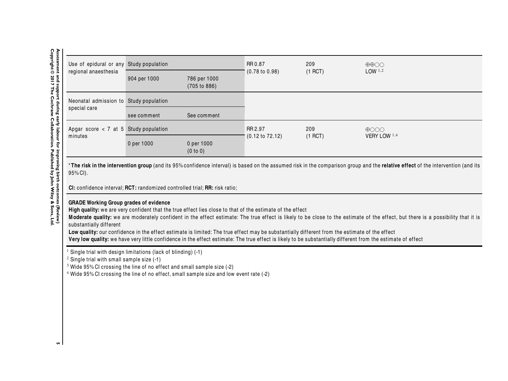| Use of epidural or any Study population<br>regional anaesthesia |              |                              | RR 0.87                    | 209       | $\oplus \oplus \bigcirc \bigcirc$ |
|-----------------------------------------------------------------|--------------|------------------------------|----------------------------|-----------|-----------------------------------|
|                                                                 | 904 per 1000 | 786 per 1000<br>(705 to 886) | $(0.78 \text{ to } 0.98)$  | $(1$ RCT) | LOW <sup>1,2</sup>                |
| Neonatal admission to Study population                          |              |                              |                            |           |                                   |
| special care                                                    | see comment  | See comment                  |                            |           |                                   |
| Apgar score $\lt$ 7 at 5 Study population                       |              |                              | RR 2.97                    | 209       | $\bigoplus$ OOO                   |
| minutes                                                         | 0 per 1000   | 0 per 1000<br>(0 to 0)       | $(0.12 \text{ to } 72.12)$ | $(1$ RCT) | VERY LOW $1,4$                    |

\***The risk in the intervention group** (and its 95% confidence interval) is based on the assumed risk in the comparison group and the **relative effect** of the intervention (and its<br>ครช. CN 95% CI).

**CI:** conf idence interval; **RCT:** random ized controlled trial; **RR:** risk ratio;

**GRADE Working Group grades of evidence High quality:** we are very confident that the true effect lies close to that of the estimate of the effect<br>Moderate quality: we are moderately confident in the effect estimate: The true effect is likely to b

**Moderate quality:** we are moderately confident in the effect estimate: The true effect is likely to be close to the estimate of the effect, but there is a possibility that it is<br>substantially different substantially different

Low quality: our confidence in the effect estimate is limited: The true effect may be substantially different from the estimate of the effect **Very low quality:** we have very little confidence in the effect estimate: The true effect is likely to be substantially different from the estimate of effect

 $^1$  Single trial with design limitations (lack of blinding) (-1)

 $^2$  Single trial with small sample size (-1)

 $3\,$  Wide 95% CI crossing the line of no effect and small sample size (-2)

 $^4$  Wide 95% CI crossing the line of no effect, small sample size and low event rate (-2)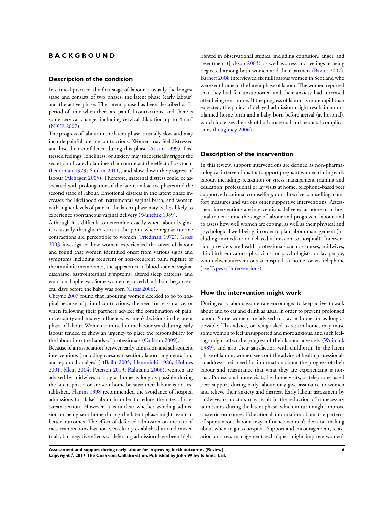### **B A C K G R O U N D**

#### **Description of the condition**

In clinical practice, the first stage of labour is usually the longest stage and consists of two phases: the latent phase (early labour) and the active phase. The latent phase has been described as "a period of time when there are painful contractions, and there is some cervical change, including cervical dilatation up to 4 cm" [\(NICE 2007\)](#page-29-0).

The progress of labour in the latent phase is usually slow and may include painful uterine contractions. Women may feel distressed and lose their confidence during this phase [\(Austin 1999](#page-29-0)). Distressed feelings, loneliness, or anxiety may theoretically trigger the secretion of catecholamines that counteract the effect of oxytocin [\(Lederman 1979;](#page-29-0) [Simkin 2011\)](#page-29-0), and slow down the progress of labour [\(Alehagen 2005](#page-29-0)). Therefore, maternal distress could be associated with prolongation of the latent and active phases and the second stage of labour. Emotional distress in the latent phase increases the likelihood of instrumental vaginal birth, and women with higher levels of pain in the latent phase may be less likely to experience spontaneous vaginal delivery [\(Wuitchik 1989\)](#page-29-0).

Although it is difficult to determine exactly when labour begins, it is usually thought to start at the point where regular uterine contractions are perceptible to women ([Friedman 1972](#page-29-0)). [Gross](#page-29-0) [2003](#page-29-0) investigated how women experienced the onset of labour and found that women identified onset from various signs and symptoms including recurrent or non-recurrent pain, rupture of the amniotic membranes, the appearance of blood stained vaginal discharge, gastrointestinal symptoms, altered sleep patterns, and emotional upheaval. Some women reported that labour began several days before the baby was born [\(Gross 2006](#page-29-0)).

[Cheyne 2007](#page-29-0) found that labouring women decided to go to hospital because of painful contractions, the need for reassurance, or when following their partner's advice; the combination of pain, uncertainty and anxiety influenced women's decisions in the latent phase of labour. Women admitted to the labour ward during early labour tended to show an urgency to place the responsibility for the labour into the hands of professionals ([Carlsson 2009](#page-29-0)).

Because of an association between early admission and subsequent interventions (including caesarean section, labour augmentation, and epidural analgesia) ([Bailit 2005](#page-29-0); [Hemminki 1986;](#page-29-0) [Holmes](#page-29-0) [2001](#page-29-0); [Klein 2004;](#page-29-0) [Petersen 2013;](#page-29-0) [Rahnama 2006](#page-29-0)), women are advised by midwives to stay at home as long as possible during the latent phase, or are sent home because their labour is not established. [Flamm 1998](#page-29-0) recommended the avoidance of hospital admissions for 'false' labour in order to reduce the rates of caesarean section. However, it is unclear whether avoiding admission or being sent home during the latent phase might result in better outcomes. The effect of deferred admission on the rate of caesarean sections has not been clearly established in randomized trials, but negative effects of deferring admission have been highlighted in observational studies, including confusion, anger, and resentment ([Jackson 2003\)](#page-29-0), as well as stress and feelings of being neglected among both women and their partners [\(Baxter 2007](#page-29-0)). [Barnett 2008](#page-29-0) interviewed six nulliparous women in Scotland who were sent home in the latent phase of labour. The women reported that they had felt unsupported and their anxiety had increased after being sent home. If the progress of labour is more rapid than expected, the policy of delayed admission might result in an unplanned home birth and a baby born before arrival (at hospital), which increases the risk of both maternal and neonatal complications [\(Loughney 2006](#page-29-0)).

#### **Description of the intervention**

In this review, support interventions are defined as non-pharmacological interventions that support pregnant women during early labour, including: relaxation or stress management training and education; professional or lay visits at home, telephone-based peer support; educational counselling; non-directive counselling; comfort measures and various other supportive interventions. Assessment interventions are interventions delivered at home or in hospital to determine the stage of labour and progress in labour, and to assess how well women are coping, as well as their physical and psychological well-being, in order to plan labour management (including immediate or delayed admission to hospital). Intervention providers are health professionals such as nurses, midwives, childbirth educators, physicians, or psychologists, or lay people, who deliver interventions at hospital, at home, or via telephone (see Types of interventions).

#### **How the intervention might work**

During early labour, women are encouraged to keep active, to walk about and to eat and drink as usual in order to prevent prolonged labour. Some women are advised to stay at home for as long as possible. This advice, or being asked to return home, may cause some women to feel unsupported and more anxious, and such feelings might affect the progress of their labour adversely ([Wuitchik](#page-29-0) [1989](#page-29-0)), and also their satisfaction with childbirth. In the latent phase of labour, women seek out the advice of health professionals to address their need for information about the progress of their labour and reassurance that what they are experiencing is normal. Professional home visits, lay home visits, or telephone-based peer support during early labour may give assurance to women and relieve their anxiety and distress. Early labour assessment by midwives or doctors may result in the reduction of unnecessary admissions during the latent phase, which in turn might improve obstetric outcomes. Educational information about the patterns of spontaneous labour may influence women's decision making about when to go to hospital. Support and encouragement, relaxation or stress management techniques might improve women's

**Assessment and support during early labour for improving birth outcomes (Review) 6 Copyright © 2017 The Cochrane Collaboration. Published by John Wiley & Sons, Ltd.**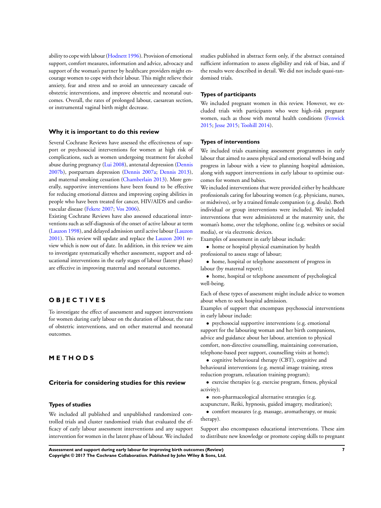ability to cope with labour [\(Hodnett 1996\)](#page-29-0). Provision of emotional support, comfort measures, information and advice, advocacy and support of the woman's partner by healthcare providers might encourage women to cope with their labour. This might relieve their anxiety, fear and stress and so avoid an unnecessary cascade of obstetric interventions, and improve obstetric and neonatal outcomes. Overall, the rates of prolonged labour, caesarean section, or instrumental vaginal birth might decrease.

#### **Why it is important to do this review**

Several Cochrane Reviews have assessed the effectiveness of support or psychosocial interventions for women at high risk of complications, such as women undergoing treatment for alcohol abuse during pregnancy ([Lui 2008](#page-29-0)), antenatal depression [\(Dennis](#page-29-0) [2007b\)](#page-29-0), postpartum depression ([Dennis 2007a;](#page-29-0) [Dennis 2013](#page-29-0)), and maternal smoking cessation ([Chamberlain 2013\)](#page-29-0). More generally, supportive interventions have been found to be effective for reducing emotional distress and improving coping abilities in people who have been treated for cancer, HIV/AIDS and cardiovascular disease ([Fekete 2007](#page-29-0); [Vos 2006](#page-29-0)).

Existing Cochrane Reviews have also assessed educational interventions such as self-diagnosis of the onset of active labour at term [\(Lauzon 1998](#page-29-0)), and delayed admission until active labour ([Lauzon](#page-29-0) [2001](#page-29-0)). This review will update and replace the [Lauzon 2001](#page-29-0) review which is now out of date. In addition, in this review we aim to investigate systematically whether assessment, support and educational interventions in the early stages of labour (latent phase) are effective in improving maternal and neonatal outcomes.

### **O B J E C T I V E S**

To investigate the effect of assessment and support interventions for women during early labour on the duration of labour, the rate of obstetric interventions, and on other maternal and neonatal outcomes.

### **M E T H O D S**

#### **Criteria for considering studies for this review**

#### **Types of studies**

We included all published and unpublished randomized controlled trials and cluster randomised trials that evaluated the efficacy of early labour assessment interventions and any support intervention for women in the latent phase of labour. We included studies published in abstract form only, if the abstract contained sufficient information to assess eligibility and risk of bias, and if the results were described in detail. We did not include quasi-randomised trials.

### **Types of participants**

We included pregnant women in this review. However, we excluded trials with participants who were high-risk pregnant women, such as those with mental health conditions [\(Fenwick](#page-29-0) [2015](#page-29-0); [Jesse 2015;](#page-29-0) [Toohill 2014](#page-29-0)).

#### **Types of interventions**

We included trials examining assessment programmes in early labour that aimed to assess physical and emotional well-being and progress in labour with a view to planning hospital admission, along with support interventions in early labour to optimise outcomes for women and babies.

We included interventions that were provided either by healthcare professionals caring for labouring women (e.g. physicians, nurses, or midwives), or by a trained female companion (e.g. doula). Both individual or group interventions were included. We included interventions that were administered at the maternity unit, the woman's home, over the telephone, online (e.g. websites or social media), or via electronic devices.

Examples of assessment in early labour include:

• home or hospital physical examination by health

professional to assess stage of labour;

• home, hospital or telephone assessment of progress in labour (by maternal report);

• home, hospital or telephone assessment of psychological well-being.

Each of these types of assessment might include advice to women about when to seek hospital admission.

Examples of support that encompass psychosocial interventions in early labour include:

• psychosocial supportive interventions (e.g. emotional support for the labouring woman and her birth companions, advice and guidance about her labour, attention to physical comfort, non-directive counselling, maintaining conversation, telephone-based peer support, counselling visits at home);

• cognitive behavioural therapy (CBT), cognitive and behavioural interventions (e.g. mental image training, stress reduction program, relaxation training program);

• exercise therapies (e.g. exercise program, fitness, physical activity);

• non-pharmacological alternative strategies (e.g.

acupuncture, Reiki, hypnosis, guided imagery, meditation); • comfort measures (e.g. massage, aromatherapy, or music

therapy).

Support also encompasses educational interventions. These aim to distribute new knowledge or promote coping skills to pregnant

**Assessment and support during early labour for improving birth outcomes (Review) 7 Copyright © 2017 The Cochrane Collaboration. Published by John Wiley & Sons, Ltd.**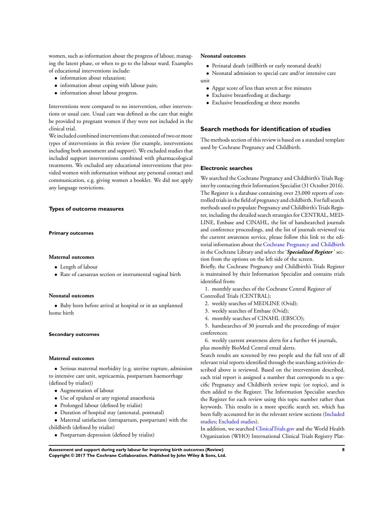women, such as information about the progress of labour, managing the latent phase, or when to go to the labour ward. Examples of educational interventions include:

- information about relaxation;
- information about coping with labour pain;
- information about labour progress.

Interventions were compared to no intervention, other interventions or usual care. Usual care was defined as the care that might be provided to pregnant women if they were not included in the clinical trial.

We included combined interventions that consisted of two or more types of interventions in this review (for example, interventions including both assessment and support). We excluded studies that included support interventions combined with pharmacological treatments. We excluded any educational interventions that provided women with information without any personal contact and communication, e.g. giving women a booklet. We did not apply any language restrictions.

#### **Types of outcome measures**

#### **Primary outcomes**

#### **Maternal outcomes**

- Length of labour
- Rate of caesarean section or instrumental vaginal birth

#### **Neonatal outcomes**

• Baby born before arrival at hospital or in an unplanned home birth

#### **Secondary outcomes**

#### **Maternal outcomes**

• Serious maternal morbidity (e.g. uterine rupture, admission to intensive care unit, septicaemia, postpartum haemorrhage (defined by trialist))

- Augmentation of labour
- Use of epidural or any regional anaesthesia
- Prolonged labour (defined by trialist)
- Duration of hospital stay (antenatal, postnatal)
- Maternal satisfaction (intrapartum, postpartum) with the childbirth (defined by trialist)
	- Postpartum depression (defined by trialist)

#### **Neonatal outcomes**

- Perinatal death (stillbirth or early neonatal death)
- Neonatal admission to special care and/or intensive care unit
	- Apgar score of less than seven at five minutes
	- Exclusive breastfeeding at discharge
	- Exclusive breastfeeding at three months

#### **Search methods for identification of studies**

The methods section of this review is based on a standard template used by Cochrane Pregnancy and Childbirth.

#### **Electronic searches**

We searched the Cochrane Pregnancy and Childbirth's Trials Register by contacting their Information Specialist (31 October 2016). The Register is a database containing over 23,000 reports of controlled trials in the field of pregnancy and childbirth. For full search methods used to populate Pregnancy and Childbirth's Trials Register, including the detailed search strategies for CENTRAL, MED-LINE, Embase and CINAHL, the list of handsearched journals and conference proceedings, and the list of journals reviewed via the current awareness service, please follow this link to the editorial information about the [Cochrane Pregnancy and Childbirth](http://www.mrw.interscience.wiley.com/cochrane/clabout/articles/PREG/frame.html) in the Cochrane Library and select the '*Specialized Register* ' section from the options on the left side of the screen.

Briefly, the Cochrane Pregnancy and Childbirth's Trials Register is maintained by their Information Specialist and contains trials identified from:

1. monthly searches of the Cochrane Central Register of Controlled Trials (CENTRAL);

- 2. weekly searches of MEDLINE (Ovid);
- 3. weekly searches of Embase (Ovid);
- 4. monthly searches of CINAHL (EBSCO);

5. handsearches of 30 journals and the proceedings of major conferences;

6. weekly current awareness alerts for a further 44 journals,

plus monthly BioMed Central email alerts.

Search results are screened by two people and the full text of all relevant trial reports identified through the searching activities described above is reviewed. Based on the intervention described, each trial report is assigned a number that corresponds to a specific Pregnancy and Childbirth review topic (or topics), and is then added to the Register. The Information Specialist searches the Register for each review using this topic number rather than keywords. This results in a more specific search set, which has been fully accounted for in the relevant review sections [\(Included](#page-29-0) [studies;](#page-29-0) [Excluded studies](#page-29-0)).

In addition, we searched [ClinicalTrials.gov](http://clinicaltrials.gov/) and the World Health Organization (WHO) International Clinical Trials Registry Plat-

**Assessment and support during early labour for improving birth outcomes (Review) 8 Copyright © 2017 The Cochrane Collaboration. Published by John Wiley & Sons, Ltd.**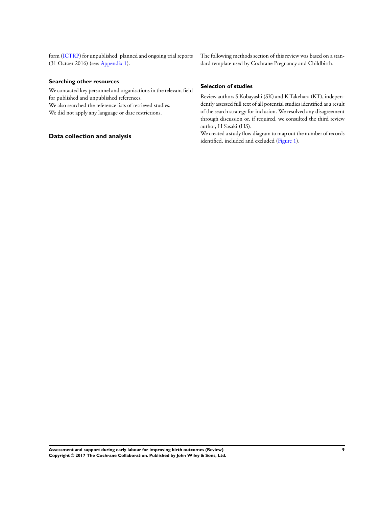form ([ICTRP\)](http://apps.who.int/trialsearch/) for unpublished, planned and ongoing trial reports (31 Octoer 2016) (see: [Appendix 1](#page-65-0)).

#### **Searching other resources**

We contacted key personnel and organisations in the relevant field for published and unpublished references. We also searched the reference lists of retrieved studies.

We did not apply any language or date restrictions.

#### **Data collection and analysis**

The following methods section of this review was based on a standard template used by Cochrane Pregnancy and Childbirth.

### **Selection of studies**

Review authors S Kobayashi (SK) and K Takehara (KT), independently assessed full text of all potential studies identified as a result of the search strategy for inclusion. We resolved any disagreement through discussion or, if required, we consulted the third review author, H Sasaki (HS).

We created a study flow diagram to map out the number of records identified, included and excluded [\(Figure 1\)](#page-12-0).

**Assessment and support during early labour for improving birth outcomes (Review) 9 Copyright © 2017 The Cochrane Collaboration. Published by John Wiley & Sons, Ltd.**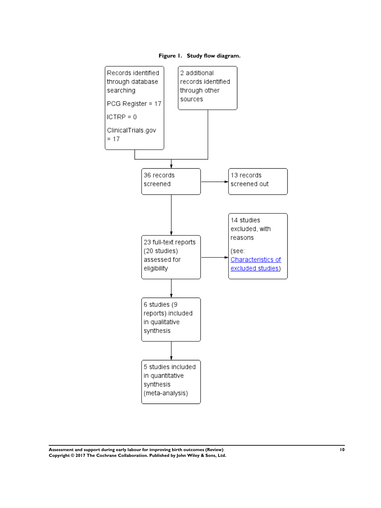

<span id="page-12-0"></span>

**Assessment and support during early labour for improving birth outcomes (Review) 10 Copyright © 2017 The Cochrane Collaboration. Published by John Wiley & Sons, Ltd.**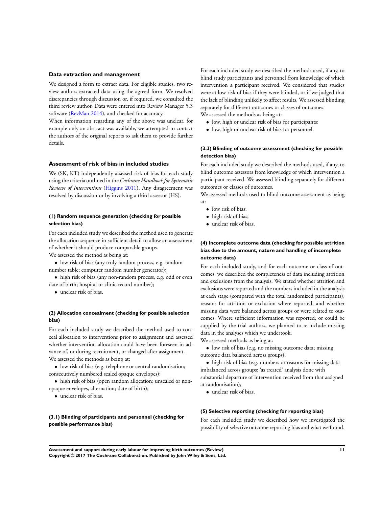#### <span id="page-13-0"></span>**Data extraction and management**

We designed a form to extract data. For eligible studies, two review authors extracted data using the agreed form. We resolved discrepancies through discussion or, if required, we consulted the third review author. Data were entered into Review Manager 5.3 software [\(RevMan 2014\)](#page-29-0), and checked for accuracy.

When information regarding any of the above was unclear, for example only an abstract was available, we attempted to contact the authors of the original reports to ask them to provide further details.

#### **Assessment of risk of bias in included studies**

We (SK, KT) independently assessed risk of bias for each study using the criteria outlined in the *Cochrane Handbook for Systematic Reviews of Interventions* ([Higgins 2011](#page-29-0)). Any disagreement was resolved by discussion or by involving a third assessor (HS).

#### **(1) Random sequence generation (checking for possible selection bias)**

For each included study we described the method used to generate the allocation sequence in sufficient detail to allow an assessment of whether it should produce comparable groups.

We assessed the method as being at:

- low risk of bias (any truly random process, e.g. random number table; computer random number generator);
- high risk of bias (any non-random process, e.g. odd or even date of birth; hospital or clinic record number);
	- unclear risk of bias.

### **(2) Allocation concealment (checking for possible selection bias)**

For each included study we described the method used to conceal allocation to interventions prior to assignment and assessed whether intervention allocation could have been foreseen in advance of, or during recruitment, or changed after assignment. We assessed the methods as being at:

• low risk of bias (e.g. telephone or central randomisation; consecutively numbered sealed opaque envelopes);

• high risk of bias (open random allocation; unsealed or nonopaque envelopes, alternation; date of birth);

• unclear risk of bias.

**(3.1) Blinding of participants and personnel (checking for possible performance bias)**

For each included study we described the methods used, if any, to blind study participants and personnel from knowledge of which intervention a participant received. We considered that studies were at low risk of bias if they were blinded, or if we judged that the lack of blinding unlikely to affect results. We assessed blinding separately for different outcomes or classes of outcomes. We assessed the methods as being at:

- low, high or unclear risk of bias for participants;
- low, high or unclear risk of bias for personnel.

#### **(3.2) Blinding of outcome assessment (checking for possible detection bias)**

For each included study we described the methods used, if any, to blind outcome assessors from knowledge of which intervention a participant received. We assessed blinding separately for different outcomes or classes of outcomes.

We assessed methods used to blind outcome assessment as being at:

- low risk of bias;
- high risk of bias;
- unclear risk of bias.

### **(4) Incomplete outcome data (checking for possible attrition bias due to the amount, nature and handling of incomplete outcome data)**

For each included study, and for each outcome or class of outcomes, we described the completeness of data including attrition and exclusions from the analysis. We stated whether attrition and exclusions were reported and the numbers included in the analysis at each stage (compared with the total randomized participants), reasons for attrition or exclusion where reported, and whether missing data were balanced across groups or were related to outcomes. Where sufficient information was reported, or could be supplied by the trial authors, we planned to re-include missing data in the analyses which we undertook.

We assessed methods as being at:

- low risk of bias (e.g. no missing outcome data; missing outcome data balanced across groups);
- high risk of bias (e.g. numbers or reasons for missing data imbalanced across groups; 'as treated' analysis done with substantial departure of intervention received from that assigned at randomisation);
	- unclear risk of bias.

#### **(5) Selective reporting (checking for reporting bias)**

For each included study we described how we investigated the possibility of selective outcome reporting bias and what we found.

**Assessment and support during early labour for improving birth outcomes (Review) 11 Copyright © 2017 The Cochrane Collaboration. Published by John Wiley & Sons, Ltd.**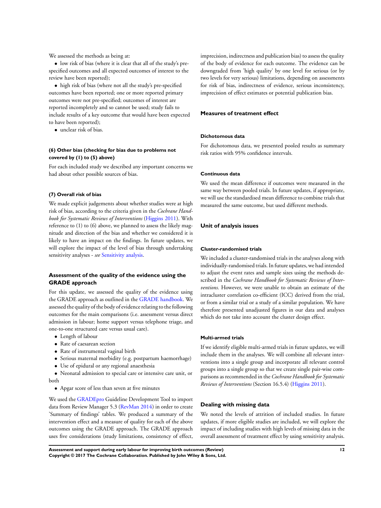We assessed the methods as being at:

• low risk of bias (where it is clear that all of the study's prespecified outcomes and all expected outcomes of interest to the review have been reported);

• high risk of bias (where not all the study's pre-specified outcomes have been reported; one or more reported primary outcomes were not pre-specified; outcomes of interest are reported incompletely and so cannot be used; study fails to include results of a key outcome that would have been expected to have been reported);

• unclear risk of bias.

#### **(6) Other bias (checking for bias due to problems not covered by (1) to (5) above)**

For each included study we described any important concerns we had about other possible sources of bias.

#### **(7) Overall risk of bias**

We made explicit judgements about whether studies were at high risk of bias, according to the criteria given in the *Cochrane Handbook for Systematic Reviews of Interventions* ([Higgins 2011](#page-29-0)). With reference to (1) to (6) above, we planned to assess the likely magnitude and direction of the bias and whether we considered it is likely to have an impact on the findings. In future updates, we will explore the impact of the level of bias through undertaking sensitivity analyses - *see* [Sensitivity analysis.](#page-13-0)

### **Assessment of the quality of the evidence using the GRADE approach**

For this update, we assessed the quality of the evidence using the GRADE approach as outlined in the [GRADE handbook](http://gdt.guidelinedevelopment.org/central_prod/_design/client/handbook/handbook.html). We assessed the quality of the body of evidence relating to the following outcomes for the main comparisons (i.e. assessment versus direct admission in labour; home support versus telephone triage, and one-to-one structured care versus usual care).

- Length of labour
- Rate of caesarean section
- Rate of instrumental vaginal birth
- Serious maternal morbidity (e.g. postpartum haemorrhage)
- Use of epidural or any regional anaesthesia
- Neonatal admission to special care or intensive care unit, or both
	- Apgar score of less than seven at five minutes

We used the [GRADEpro](http://www.guidelinedevelopment.org/) Guideline Development Tool to import data from Review Manager 5.3 ([RevMan 2014\)](#page-29-0) in order to create 'Summary of findings' tables. We produced a summary of the intervention effect and a measure of quality for each of the above outcomes using the GRADE approach. The GRADE approach uses five considerations (study limitations, consistency of effect,

imprecision, indirectness and publication bias) to assess the quality of the body of evidence for each outcome. The evidence can be downgraded from 'high quality' by one level for serious (or by two levels for very serious) limitations, depending on assessments for risk of bias, indirectness of evidence, serious inconsistency, imprecision of effect estimates or potential publication bias.

#### **Measures of treatment effect**

#### **Dichotomous data**

For dichotomous data, we presented pooled results as summary risk ratios with 95% confidence intervals.

#### **Continuous data**

We used the mean difference if outcomes were measured in the same way between pooled trials. In future updates, if appropriate, we will use the standardised mean difference to combine trials that measured the same outcome, but used different methods.

#### **Unit of analysis issues**

#### **Cluster-randomised trials**

We included a cluster-randomised trials in the analyses along with individually-randomised trials. In future updates, we had intended to adjust the event rates and sample sizes using the methods described in the *Cochrane Handbook for Systematic Reviews of Interventions.* However, we were unable to obtain an estimate of the intracluster correlation co-efficient (ICC) derived from the trial, or from a similar trial or a study of a similar population. We have therefore presented unadjusted figures in our data and analyses which do not take into account the cluster design effect.

### **Multi-armed trials**

If we identify eligible multi-armed trials in future updates, we will include them in the analyses. We will combine all relevant interventions into a single group and incorporate all relevant control groups into a single group so that we create single pair-wise comparisons as recommended in the *Cochrane Handbook for Systematic Reviews of Interventions* (Section 16.5.4) [\(Higgins 2011](#page-29-0)).

#### **Dealing with missing data**

We noted the levels of attrition of included studies. In future updates, if more eligible studies are included, we will explore the impact of including studies with high levels of missing data in the overall assessment of treatment effect by using sensitivity analysis.

**Assessment and support during early labour for improving birth outcomes (Review) 12 Copyright © 2017 The Cochrane Collaboration. Published by John Wiley & Sons, Ltd.**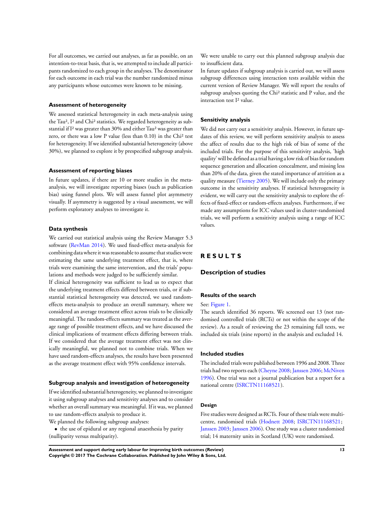For all outcomes, we carried out analyses, as far as possible, on an intention-to-treat basis, that is, we attempted to include all participants randomized to each group in the analyses. The denominator for each outcome in each trial was the number randomized minus any participants whose outcomes were known to be missing.

### **Assessment of heterogeneity**

We assessed statistical heterogeneity in each meta-analysis using the Tau², I² and Chi² statistics. We regarded heterogeneity as substantial if I² was greater than 30% and either Tau² was greater than zero, or there was a low P value (less than 0.10) in the Chi<sup>2</sup> test for heterogeneity. If we identified substantial heterogeneity (above 30%), we planned to explore it by prespecified subgroup analysis.

#### **Assessment of reporting biases**

In future updates, if there are 10 or more studies in the metaanalysis, we will investigate reporting biases (such as publication bias) using funnel plots. We will assess funnel plot asymmetry visually. If asymmetry is suggested by a visual assessment, we will perform exploratory analyses to investigate it.

#### **Data synthesis**

We carried out statistical analysis using the Review Manager 5.3 software ([RevMan 2014\)](#page-29-0). We used fixed-effect meta-analysis for combining data where it was reasonable to assume that studieswere estimating the same underlying treatment effect, that is, where trials were examining the same intervention, and the trials' populations and methods were judged to be sufficiently similar.

If clinical heterogeneity was sufficient to lead us to expect that the underlying treatment effects differed between trials, or if substantial statistical heterogeneity was detected, we used randomeffects meta-analysis to produce an overall summary, where we considered an average treatment effect across trials to be clinically meaningful. The random-effects summary was treated as the average range of possible treatment effects, and we have discussed the clinical implications of treatment effects differing between trials. If we considered that the average treatment effect was not clinically meaningful, we planned not to combine trials. When we have used random-effects analyses, the results have been presented as the average treatment effect with 95% confidence intervals.

#### **Subgroup analysis and investigation of heterogeneity**

If we identified substantial heterogeneity, we planned to investigate it using subgroup analyses and sensitivity analyses and to consider whether an overall summary was meaningful. If it was, we planned to use random-effects analysis to produce it.

We planned the following subgroup analyses:

• the use of epidural or any regional anaesthesia by parity (nulliparity versus multiparity).

We were unable to carry out this planned subgroup analysis due to insufficient data.

In future updates if subgroup analysis is carried out, we will assess subgroup differences using interaction tests available within the current version of Review Manager. We will report the results of subgroup analyses quoting the Chi² statistic and P value, and the interaction test I² value.

#### **Sensitivity analysis**

We did not carry out a sensitivity analysis. However, in future updates of this review, we will perform sensitivity analysis to assess the affect of results due to the high risk of bias of some of the included trials. For the purpose of this sensitivity analysis, 'high quality' will be defined as a trial having a low risk of bias for random sequence generation and allocation concealment, and missing less than 20% of the data, given the stated importance of attrition as a quality measure ([Tierney 2005](#page-29-0)). We will include only the primary outcome in the sensitivity analyses. If statistical heterogeneity is evident, we will carry out the sensitivity analysis to explore the effects of fixed-effect or random-effects analyses. Furthermore, if we made any assumptions for ICC values used in cluster-randomised trials, we will perform a sensitivity analysis using a range of ICC values.

### **R E S U L T S**

#### **Description of studies**

### **Results of the search**

#### See: [Figure 1.](#page-12-0)

The search identified 36 reports. We screened out 13 (not randomised controlled trials (RCTs) or not within the scope of the review). As a result of reviewing the 23 remaining full texts, we included six trials (nine reports) in the analysis and excluded 14.

#### **Included studies**

The included trials were published between 1996 and 2008. Three trials had two reports each [\(Cheyne 2008;](#page-29-0) [Janssen 2006](#page-29-0); [McNiven](#page-29-0) [1996](#page-29-0)). One trial was not a journal publication but a report for a national centre [\(ISRCTN11168521](#page-29-0)).

#### **Design**

Five studies were designed as RCTs. Four of these trials were multicentre, randomised trials [\(Hodnett 2008;](#page-29-0) [ISRCTN11168521](#page-29-0); [Janssen 2003](#page-29-0); [Janssen 2006\)](#page-29-0). One study was a cluster randomised trial; 14 maternity units in Scotland (UK) were randomised.

**Assessment and support during early labour for improving birth outcomes (Review) 13 Copyright © 2017 The Cochrane Collaboration. Published by John Wiley & Sons, Ltd.**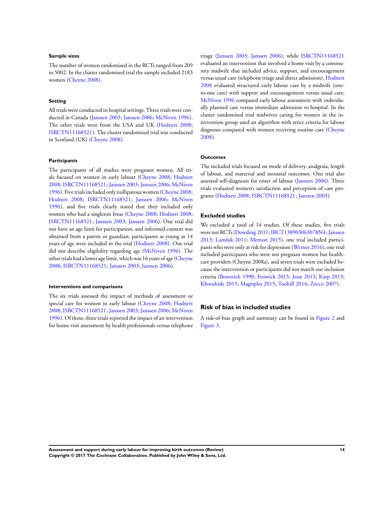#### **Sample sizes**

The number of women randomised in the RCTs ranged from 209 to 5002. In the cluster randomised trial the sample included 2183 women [\(Cheyne 2008\)](#page-29-0).

#### **Setting**

All trials were conducted in hospital settings. Three trials were conducted in Canada ([Janssen 2003;](#page-29-0) [Janssen 2006;](#page-29-0) [McNiven 1996](#page-29-0)). The other trials were from the USA and UK [\(Hodnett 2008;](#page-29-0) [ISRCTN11168521](#page-29-0)). The cluster randomised trial was conducted in Scotland (UK) ([Cheyne 2008\)](#page-29-0).

#### **Participants**

The participants of all studies were pregnant women. All trials focused on women in early labour ([Cheyne 2008;](#page-29-0) [Hodnett](#page-29-0) [2008](#page-29-0); [ISRCTN11168521](#page-29-0); [Janssen 2003](#page-29-0); [Janssen 2006](#page-29-0); [McNiven](#page-29-0) [1996](#page-29-0)). Five trials included only nulliparous women [\(Cheyne 2008;](#page-29-0) [Hodnett 2008](#page-29-0); [ISRCTN11168521;](#page-29-0) [Janssen 2006;](#page-29-0) [McNiven](#page-29-0) [1996](#page-29-0)), and five trials clearly stated that they included only women who had a singleton fetus ([Cheyne 2008](#page-29-0); [Hodnett 2008;](#page-29-0) [ISRCTN11168521](#page-29-0); [Janssen 2003;](#page-29-0) [Janssen 2006\)](#page-29-0). One trial did not have an age limit for participation, and informed consent was obtained from a parent or guardian; participants as young as 14 years of age were included in the trial ([Hodnett 2008\)](#page-29-0). One trial did not describe eligibility regarding age ([McNiven 1996\)](#page-29-0). The other trials had a lower age limit, which was 16 years of age [\(Cheyne](#page-29-0) [2008](#page-29-0); [ISRCTN11168521;](#page-29-0) [Janssen 2003;](#page-29-0) [Janssen 2006](#page-29-0)).

#### **Interventions and comparisons**

The six trials assessed the impact of methods of assessment or special care for women in early labour [\(Cheyne 2008](#page-29-0); [Hodnett](#page-29-0) [2008](#page-29-0); [ISRCTN11168521](#page-29-0); [Janssen 2003](#page-29-0); [Janssen 2006](#page-29-0); [McNiven](#page-29-0) [1996](#page-29-0)). Of these, three trials reported the impact of an intervention for home visit assessment by health professionals versus telephone triage ([Janssen 2003](#page-29-0); [Janssen 2006\)](#page-29-0), while [ISRCTN11168521](#page-29-0) evaluated an intervention that involved a home visit by a community midwife that included advice, support, and encouragement versus usual care (telephone triage and direct admission). [Hodnett](#page-29-0) [2008](#page-29-0) evaluated structured early labour care by a midwife (oneto-one care) with support and encouragement versus usual care; [McNiven 1996](#page-29-0) compared early labour assessment with individually planned care versus immediate admission to hospital. In the cluster randomised trial midwives caring for women in the intervention group used an algorithm with strict criteria for labour diagnosis compared with women receiving routine care ([Cheyne](#page-29-0) [2008](#page-29-0)).

#### **Outcomes**

The included trials focused on mode of delivery, analgesia, length of labour, and maternal and neonatal outcomes. One trial also assessed self-diagnosis for onset of labour ([Janssen 2006\)](#page-29-0). Three trials evaluated women's satisfaction and perception of care programs ([Hodnett 2008](#page-29-0); [ISRCTN11168521;](#page-29-0) [Janssen 2003\)](#page-29-0).

#### **Excluded studies**

We excluded a total of 14 studies. Of these studies, five trials were not RCTs [\(Dowding 2011;IRCT138903063078N4](#page-29-0);[Janssen](#page-29-0) [2013](#page-29-0); [Lumluk 2011](#page-29-0); [Memon 2015](#page-29-0)), one trial included participants who were only at risk for depression [\(Werner 2016\)](#page-29-0), one trial included participants who were not pregnant women but healthcare providers (Cheyne 2008a), and seven trials were excluded because the intervention or participants did not match our inclusion criteria ([Bonovich 1990;](#page-29-0) [Fenwick 2015;](#page-29-0) [Jesse 2015;](#page-29-0) [Karp 2013;](#page-29-0) [Khooshide 2015;](#page-29-0) [Magriples 2015;](#page-29-0) [Toohill 2014;](#page-29-0) [Zocco 2007](#page-29-0)).

### **Risk of bias in included studies**

A risk-of-bias graph and summary can be found in [Figure 2](#page-17-0) and [Figure 3.](#page-18-0)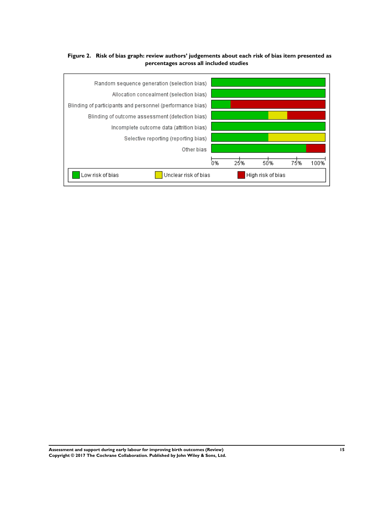### <span id="page-17-0"></span>**Figure 2. Risk of bias graph: review authors' judgements about each risk of bias item presented as percentages across all included studies**



**Assessment and support during early labour for improving birth outcomes (Review) 15 Copyright © 2017 The Cochrane Collaboration. Published by John Wiley & Sons, Ltd.**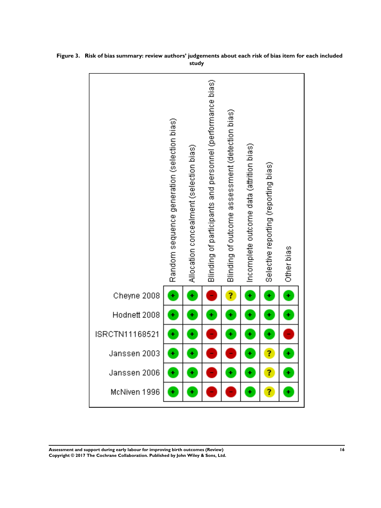|                | Random sequence generation (selection bias) | Allocation concealment (selection bias) | Blinding of participants and personnel (performance bias) | Blinding of outcome assessment (detection bias) | (Incomplete outcome data (attrition bias | Selective reporting (reporting bias) | Other bias |
|----------------|---------------------------------------------|-----------------------------------------|-----------------------------------------------------------|-------------------------------------------------|------------------------------------------|--------------------------------------|------------|
| Cheyne 2008    | ÷                                           | ¥                                       | ÷                                                         | ?                                               | Ŧ                                        | ¥                                    | ¥          |
| Hodnett 2008   | ÷                                           | ÷                                       | ÷                                                         | ÷                                               | ÷                                        | ÷                                    | ÷          |
| ISRCTN11168521 | ÷                                           | ÷                                       |                                                           | ÷                                               | ÷                                        | ÷                                    |            |
| Janssen 2003   | ÷                                           | ÷                                       |                                                           |                                                 | ÷                                        | ?                                    | ¥          |
| Janssen 2006   | ÷                                           | ÷                                       |                                                           | ÷                                               | ÷                                        | ?                                    | ÷          |
| McNiven 1996   | ÷                                           | ÷                                       | ÷                                                         | ÷                                               | ÷                                        | ?                                    | ÷          |

<span id="page-18-0"></span>**Figure 3. Risk of bias summary: review authors' judgements about each risk of bias item for each included study**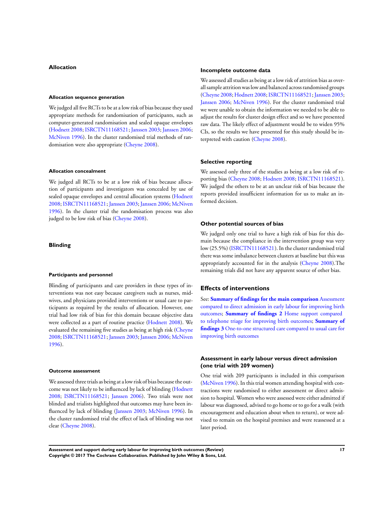#### **Allocation**

#### **Allocation sequence generation**

We judged all five RCTs to be at a low risk of bias because they used appropriate methods for randomisation of participants, such as computer-generated randomisation and sealed opaque envelopes [\(Hodnett 2008;](#page-29-0) [ISRCTN11168521;](#page-29-0) [Janssen 2003;](#page-29-0) [Janssen 2006;](#page-29-0) [McNiven 1996](#page-29-0)). In the cluster randomised trial methods of randomisation were also appropriate [\(Cheyne 2008](#page-29-0)).

#### **Allocation concealment**

We judged all RCTs to be at a low risk of bias because allocation of participants and investigators was concealed by use of sealed opaque envelopes and central allocation systems [\(Hodnett](#page-29-0) [2008](#page-29-0); [ISRCTN11168521](#page-29-0); [Janssen 2003](#page-29-0); [Janssen 2006](#page-29-0); [McNiven](#page-29-0) [1996](#page-29-0)). In the cluster trial the randomisation process was also judged to be low risk of bias ([Cheyne 2008\)](#page-29-0).

#### **Blinding**

#### **Participants and personnel**

Blinding of participants and care providers in these types of interventions was not easy because caregivers such as nurses, midwives, and physicians provided interventions or usual care to participants as required by the results of allocation. However, one trial had low risk of bias for this domain because objective data were collected as a part of routine practice [\(Hodnett 2008\)](#page-29-0). We evaluated the remaining five studies as being at high risk ([Cheyne](#page-29-0) [2008](#page-29-0); [ISRCTN11168521](#page-29-0); [Janssen 2003](#page-29-0); [Janssen 2006](#page-29-0); [McNiven](#page-29-0) [1996](#page-29-0)).

#### **Outcome assessment**

We assessed three trials as being at a low risk of bias because the outcome was not likely to be influenced by lack of blinding [\(Hodnett](#page-29-0) [2008](#page-29-0); [ISRCTN11168521](#page-29-0); [Janssen 2006](#page-29-0)). Two trials were not blinded and trialists highlighted that outcomes may have been in-fluenced by lack of blinding ([Janssen 2003;](#page-29-0) [McNiven 1996\)](#page-29-0). In the cluster randomised trial the effect of lack of blinding was not clear [\(Cheyne 2008](#page-29-0)).

#### **Incomplete outcome data**

We assessed all studies as being at a low risk of attrition bias as overall sample attrition was low and balanced across randomised groups [\(Cheyne 2008](#page-29-0); [Hodnett 2008](#page-29-0);[ISRCTN11168521](#page-29-0); [Janssen 2003;](#page-29-0) [Janssen 2006](#page-29-0); [McNiven 1996](#page-29-0)). For the cluster randomised trial we were unable to obtain the information we needed to be able to adjust the results for cluster design effect and so we have presented raw data. The likely effect of adjustment would be to widen 95% CIs, so the results we have presented for this study should be interpreted with caution ([Cheyne 2008\)](#page-29-0).

#### **Selective reporting**

We assessed only three of the studies as being at a low risk of reporting bias [\(Cheyne 2008](#page-29-0); [Hodnett 2008;](#page-29-0) [ISRCTN11168521](#page-29-0)). We judged the others to be at an unclear risk of bias because the reports provided insufficient information for us to make an informed decision.

#### **Other potential sources of bias**

We judged only one trial to have a high risk of bias for this domain because the compliance in the intervention group was very low (25.5%) ([ISRCTN11168521](#page-29-0)). In the cluster randomised trial there was some imbalance between clusters at baseline but this was appropriately accounted for in the analysis [\(Cheyne 2008\)](#page-29-0).The remaining trials did not have any apparent source of other bias.

### **Effects of interventions**

See: **[Summary of findings for the main comparison](#page-6-0)** [Assessment](#page-6-0) [compared to direct admission in early labour for improving birth](#page-6-0) [outcomes](#page-6-0); **[Summary of findings 2](#page-23-0)** [Home support compared](#page-23-0) [to telephone triage for improving birth outcomes](#page-23-0); **[Summary of](#page-25-0) [findings 3](#page-25-0)** [One-to-one structured care compared to usual care for](#page-25-0) [improving birth outcomes](#page-25-0)

### **Assessment in early labour versus direct admission (one trial with 209 women)**

One trial with 209 participants is included in this comparison [\(McNiven 1996\)](#page-29-0). In this trial women attending hospital with contractions were randomised to either assessment or direct admission to hospital. Women who were assessed were either admitted if labour was diagnosed, advised to go home or to go for a walk (with encouragement and education about when to return), or were advised to remain on the hospital premises and were reassessed at a later period.

**Assessment and support during early labour for improving birth outcomes (Review) 17 Copyright © 2017 The Cochrane Collaboration. Published by John Wiley & Sons, Ltd.**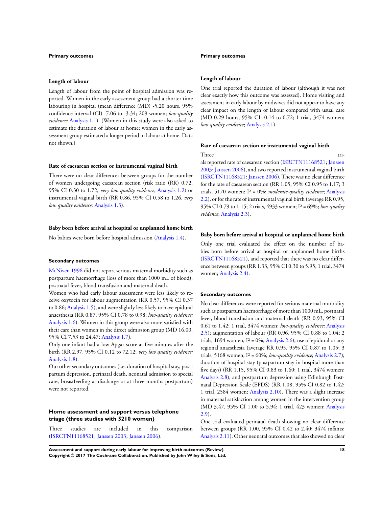#### **Primary outcomes**

#### **Length of labour**

Length of labour from the point of hospital admission was reported. Women in the early assessment group had a shorter time labouring in hospital (mean difference (MD) -5.20 hours, 95% confidence interval (CI) -7.06 to -3.34; 209 women; *low-quality evidence;* [Analysis 1.1\)](#page-46-0). (Women in this study were also asked to estimate the duration of labour at home; women in the early assessment group estimated a longer period in labour at home. Data not shown.)

#### **Rate of caesarean section or instrumental vaginal birth**

There were no clear differences between groups for the number of women undergoing caesarean section (risk ratio (RR) 0.72, 95% CI 0.30 to 1.72; *very low quality evidence*; [Analysis 1.2](#page-46-0)) or instrumental vaginal birth (RR 0.86, 95% CI 0.58 to 1.26, *very low quality evidence;* [Analysis 1.3](#page-47-0)).

#### **Baby born before arrival at hospital or unplanned home birth**

No babies were born before hospital admission ([Analysis 1.4](#page-47-0)).

#### **Secondary outcomes**

[McNiven 1996](#page-29-0) did not report serious maternal morbidity such as postpartum haemorrhage (loss of more than 1000 mL of blood), postnatal fever, blood transfusion and maternal death.

Women who had early labour assessment were less likely to receive oxytocin for labour augmentation (RR 0.57, 95% CI 0.37 to 0.86; [Analysis 1.5](#page-48-0)), and were slightly less likely to have epidural anaesthesia (RR 0.87, 95% CI 0.78 to 0.98; *low-quality evidence;* [Analysis 1.6\)](#page-48-0). Women in this group were also more satisfied with their care than women in the direct admission group (MD 16.00, 95% CI 7.53 to 24.47; [Analysis 1.7](#page-49-0)).

Only one infant had a low Apgar score at five minutes after the birth (RR 2.97, 95% CI 0.12 to 72.12; *very low quality evidence;* [Analysis 1.8\)](#page-49-0).

Our other secondary outcomes (i.e. duration of hospital stay, postpartum depression, perinatal death, neonatal admission to special care, breastfeeding at discharge or at three months postpartum) were not reported.

### **Home assessment and support versus telephone triage (three studies with 5210 women)**

Three studies are included in this comparison [\(ISRCTN11168521](#page-29-0); [Janssen 2003](#page-29-0); [Janssen 2006](#page-29-0)).

#### **Primary outcomes**

#### **Length of labour**

One trial reported the duration of labour (although it was not clear exactly how this outcome was assessed). Home visiting and assessment in early labour by midwives did not appear to have any clear impact on the length of labour compared with usual care (MD 0.29 hours, 95% CI -0.14 to 0.72; 1 trial, 3474 women; *low-quality evidence*; [Analysis 2.1\)](#page-50-0).

#### **Rate of caesarean section or instrumental vaginal birth**

Three trials reported rate of caesarean section ([ISRCTN11168521;](#page-29-0) [Janssen](#page-29-0) [2003](#page-29-0); [Janssen 2006\)](#page-29-0), and two reported instrumental vaginal birth [\(ISRCTN11168521](#page-29-0); [Janssen 2006\)](#page-29-0). There was no clear difference for the rate of caesarean section (RR 1.05, 95% CI 0.95 to 1.17; 3 trials, 5170 women; I² = 0%; *moderate-quality evidence*; [Analysis](#page-50-0) [2.2](#page-50-0)), or for the rate of instrumental vaginal birth (average RR 0.95, 95% CI 0.79 to 1.15; 2 trials, 4933 women; I² = 69%; *low-quality evidence*; [Analysis 2.3](#page-51-0)).

#### **Baby born before arrival at hospital or unplanned home birth**

Only one trial evaluated the effect on the number of babies born before arrival at hospital or unplanned home births [\(ISRCTN11168521](#page-29-0)), and reported that there was no clear difference between groups (RR 1.33, 95% CI 0.30 to 5.95; 1 trial, 3474 women; [Analysis 2.4\)](#page-52-0).

#### **Secondary outcomes**

No clear differences were reported for serious maternal morbidity such as postpartum haemorrhage of more than 1000 mL, postnatal fever, blood transfusion and maternal death (RR 0.93, 95% CI 0.61 to 1.42; 1 trial, 3474 women; *low-quality evidence;* [Analysis](#page-53-0) [2.5](#page-53-0)); augmentation of labour (RR 0.96, 95% CI 0.88 to 1.04; 2 trials, 1694 women;  $I^2 = 0\%$ ; [Analysis 2.6\)](#page-53-0); use of epidural or any regional anaesthesia (average RR 0.95, 95% CI 0.87 to 1.05; 3 trials, 5168 women; I² = 60%; *low-quality evidence*; [Analysis 2.7](#page-53-0)); duration of hospital stay (postpartum stay in hospital more than five days) (RR 1.15, 95% CI 0.83 to 1.60; 1 trial, 3474 women; [Analysis 2.8](#page-54-0)), and postpartum depression using Edinburgh Postnatal Depression Scale (EPDS) (RR 1.08, 95% CI 0.82 to 1.42; 1 trial, 2584 women; [Analysis 2.10](#page-56-0)). There was a slight increase in maternal satisfaction among women in the intervention group (MD 3.47, 95% CI 1.00 to 5.94; 1 trial, 423 women; [Analysis](#page-55-0) [2.9](#page-55-0)).

One trial evaluated perinatal death showing no clear difference between groups (RR 1.00, 95% CI 0.42 to 2.40; 3474 infants; [Analysis 2.11\)](#page-56-0). Other neonatal outcomes that also showed no clear

**Assessment and support during early labour for improving birth outcomes (Review) 18 Copyright © 2017 The Cochrane Collaboration. Published by John Wiley & Sons, Ltd.**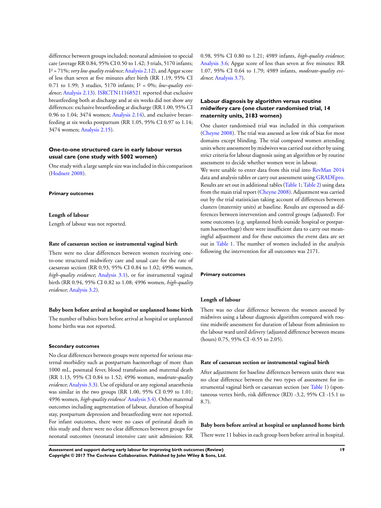difference between groups included; neonatal admission to special care (average RR 0.84, 95% CI 0.50 to 1.42; 3 trials, 5170 infants; I² = 71%; *very low quality evidence*;[Analysis 2.12](#page-56-0)), and Apgar score of less than seven at five minutes after birth (RR 1.19, 95% CI 0.71 to 1.99; 3 studies, 5170 infants; I² = 0%; *low-quality evidence*; [Analysis 2.13](#page-58-0)). [ISRCTN11168521](#page-29-0) reported that exclusive breastfeeding both at discharge and at six weeks did not show any differences: exclusive breastfeeding at discharge (RR 1.00, 95% CI 0.96 to 1.04; 3474 women; [Analysis 2.14](#page-58-0)), and exclusive breastfeeding at six weeks postpartum (RR 1.05, 95% CI 0.97 to 1.14; 3474 women; [Analysis 2.15\)](#page-59-0).

#### **One-to-one structured care in early labour versus usual care (one study with 5002 women)**

One study with a large sample size was included in this comparison [\(Hodnett 2008](#page-29-0)).

#### **Primary outcomes**

### **Length of labour**

Length of labour was not reported.

#### **Rate of caesarean section or instrumental vaginal birth**

There were no clear differences between women receiving oneto-one structured midwifery care and usual care for the rate of caesarean section (RR 0.93, 95% CI 0.84 to 1.02; 4996 women, *high-quality evidence*; [Analysis 3.1](#page-60-0)), or for instrumental vaginal birth (RR 0.94, 95% CI 0.82 to 1.08; 4996 women, *high-quality evidence*; [Analysis 3.2](#page-60-0)).

#### **Baby born before arrival at hospital or unplanned home birth**

The number of babies born before arrival at hospital or unplanned home births was not reported.

#### **Secondary outcomes**

No clear differences between groups were reported for serious maternal morbidity such as postpartum haemorrhage of more than 1000 mL, postnatal fever, blood transfusion and maternal death (RR 1.13, 95% CI 0.84 to 1.52; 4996 women, *moderate-quality evidence*; [Analysis 3.3](#page-60-0)). Use of epidural or any regional anaesthesia was similar in the two groups (RR 1.00, 95% CI 0.99 to 1.01; 4996 women, *high-quality evidence*' [Analysis 3.4\)](#page-61-0). Other maternal outcomes including augmentation of labour, duration of hospital stay, postpartum depression and breastfeeding were not reported. For infant outcomes, there were no cases of perinatal death in this study and there were no clear differences between groups for neonatal outcomes (neonatal intensive care unit admission: RR 0.98, 95% CI 0.80 to 1.21; 4989 infants, *high-quality evidence*; [Analysis 3.6;](#page-62-0) Apgar score of less than seven at five minutes: RR 1.07, 95% CI 0.64 to 1.79; 4989 infants, *moderate-quality evidence*; [Analysis 3.7](#page-62-0)).

### **Labour diagnosis by algorithm versus routine midwifery care (one cluster randomised trial, 14 maternity units, 2183 women)**

One cluster randomised trial was included in this comparison [\(Cheyne 2008\)](#page-29-0). The trial was assessed as low risk of bias for most domains except blinding. The trial compared women attending units where assessment by midwives was carried out either by using strict criteria for labour diagnosis using an algorithm or by routine assessment to decide whether women were in labour.

We were unable to enter data from this trial into [RevMan 2014](#page-29-0) data and analysis tables or carry out assessment using [GRADEpro.](http://www.guidelinedevelopment.org/) Results are set out in additional tables ([Table 1](#page-63-0); [Table 2\)](#page-65-0) using data from the main trial report ([Cheyne 2008](#page-29-0)). Adjustment was carried out by the trial statistician taking account of differences between clusters (maternity units) at baseline. Results are expressed as differences between intervention and control groups (adjusted). For some outcomes (e.g. unplanned birth outside hospital or postpartum haemorrhage) there were insufficient data to carry out meaningful adjustment and for these outcomes the event data are set out in [Table 1](#page-63-0). The number of women included in the analysis following the intervention for all outcomes was 2171.

#### **Primary outcomes**

#### **Length of labour**

There was no clear difference between the women assessed by midwives using a labour diagnosis algorithm compared with routine midwife assessment for duration of labour from admission to the labour ward until delivery (adjusted difference between means (hours) 0.75, 95% CI -0.55 to 2.05).

#### **Rate of caesarean section or instrumental vaginal birth**

After adjustment for baseline differences between units there was no clear difference between the two types of assessment for instrumental vaginal birth or caesarean section (see [Table 1\)](#page-63-0) (spontaneous vertex birth, risk difference (RD) -3.2, 95% CI -15.1 to 8.7).

#### **Baby born before arrival at hospital or unplanned home birth**

There were 11 babies in each group born before arrival in hospital.

**Assessment and support during early labour for improving birth outcomes (Review) 19 Copyright © 2017 The Cochrane Collaboration. Published by John Wiley & Sons, Ltd.**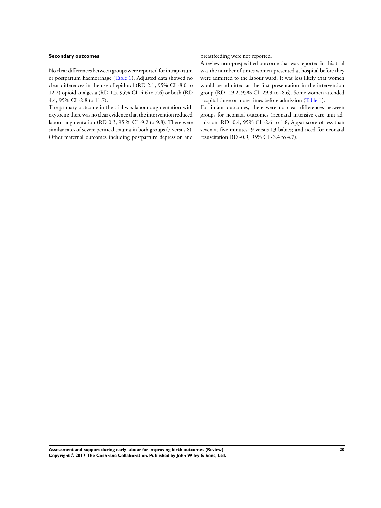#### **Secondary outcomes**

No clear differences between groups were reported for intrapartum or postpartum haemorrhage ([Table 1\)](#page-63-0). Adjusted data showed no clear differences in the use of epidural (RD 2.1, 95% CI -8.0 to 12.2) opioid analgesia (RD 1.5, 95% CI -4.6 to 7.6) or both (RD 4.4, 95% CI -2.8 to 11.7).

The primary outcome in the trial was labour augmentation with oxytocin; there was no clear evidence that the intervention reduced labour augmentation (RD 0.3, 95 % CI -9.2 to 9.8). There were similar rates of severe perineal trauma in both groups (7 versus 8). Other maternal outcomes including postpartum depression and breastfeeding were not reported.

A review non-prespecified outcome that was reported in this trial was the number of times women presented at hospital before they were admitted to the labour ward. It was less likely that women would be admitted at the first presentation in the intervention group (RD -19.2, 95% CI -29.9 to -8.6). Some women attended hospital three or more times before admission ([Table 1](#page-63-0)).

For infant outcomes, there were no clear differences between groups for neonatal outcomes (neonatal intensive care unit admission: RD -0.4, 95% CI -2.6 to 1.8; Apgar score of less than seven at five minutes: 9 versus 13 babies; and need for neonatal resuscitation RD -0.9, 95% CI -6.4 to 4.7).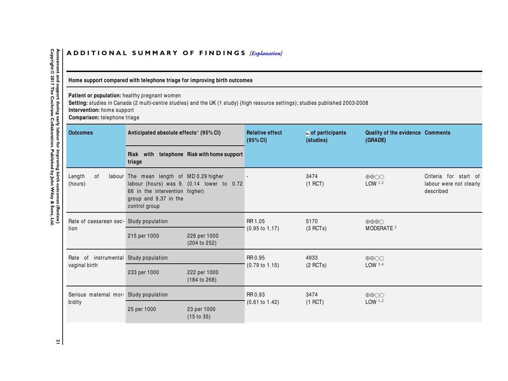# ADDITIONAL SUMMARY OF FINDINGS *[\[Explanation\]](http://www.thecochranelibrary.com/view/0/SummaryFindings.html)*

### **Home support compared with telephone triage for improving birth outcomes**

**Patient or population:** healthy pregnant women **Setting:** studies in Canada (2 multi-centre studies) and the UK (1 study) (high resource settings); studies published 2003-2008

**Intervention:** home support

**Comparison:** telephone triage

| <b>Outcomes</b>                                                                            | Anticipated absolute effects* (95% CI)                                                                               |                                           | <b>Relative effect</b><br>(95% CI) | № of participants<br>(studies)<br>(GRADE) |                                                         | Quality of the evidence Comments                              |
|--------------------------------------------------------------------------------------------|----------------------------------------------------------------------------------------------------------------------|-------------------------------------------|------------------------------------|-------------------------------------------|---------------------------------------------------------|---------------------------------------------------------------|
|                                                                                            | <b>Risk</b><br>triage                                                                                                | with telephone Risk with home support     |                                    |                                           |                                                         |                                                               |
| οf<br>Length<br>(hours)                                                                    | labour The mean length of MD 0.29 higher<br>66 in the intervention higher)<br>group and 9.37 in the<br>control group | labour (hours) was 9. (0.14 lower to 0.72 |                                    | 3474<br>$(1$ RCT)                         | $\oplus \oplus \bigcirc \bigcirc$<br>LOW <sup>1,2</sup> | Criteria for start of<br>labour were not clearly<br>described |
| Rate of caesarean sec-                                                                     | Study population                                                                                                     |                                           | RR 1.05                            | 5170                                      | $\oplus \oplus \oplus \cap$                             |                                                               |
| tion                                                                                       | 215 per 1000                                                                                                         | 226 per 1000<br>(204 to 252)              | $(0.95 \text{ to } 1.17)$          | (3 RCTs)                                  | MODERATE <sup>3</sup>                                   |                                                               |
| Rate of instrumental Study population                                                      |                                                                                                                      |                                           | RR 0.95<br>4933                    |                                           | $\oplus \oplus \bigcirc \bigcirc$                       |                                                               |
| vaginal birth<br>$(0.79 \text{ to } 1.15)$<br>233 per 1000<br>222 per 1000<br>(184 to 268) | $(2$ RCTs)                                                                                                           | LOW $3,4$                                 |                                    |                                           |                                                         |                                                               |
| Serious maternal mor-                                                                      | Study population                                                                                                     |                                           | RR 0.93                            | 3474                                      | $\oplus \oplus \bigcirc \bigcirc$                       |                                                               |
| bidity                                                                                     | 25 per 1000                                                                                                          | 23 per 1000<br>(15 to 35)                 | (0.61 to 1.42)                     | $(1$ RCT)                                 | LOW <sup>1,2</sup>                                      |                                                               |

<span id="page-23-0"></span>Assessment and support during early labour for improving birth outcomes (Review)<br>Copyright © 2017 The Cochrane Collaboration. Published by John Wiley & Sons, Ltd. **Copyright © 2017 The Cochrane Collaboration. Published by John Wiley & Sons, Ltd.21 Assessment and support during early labour for improving birth outcomes (Review)**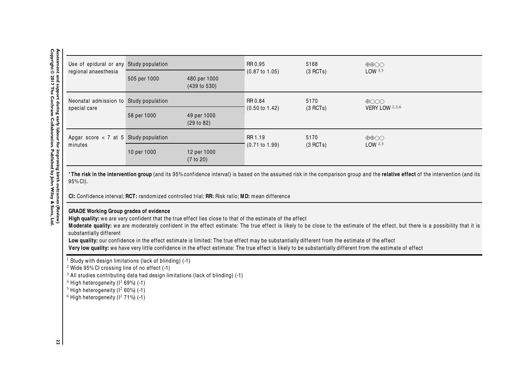|  | Use of epidural or any Study population<br>regional anaesthesia |              |                                     | RR 0.95                   | 5168     | $\oplus \oplus \odot \odot$       |
|--|-----------------------------------------------------------------|--------------|-------------------------------------|---------------------------|----------|-----------------------------------|
|  |                                                                 | 505 per 1000 | 480 per 1000<br>(439 to 530)        | $(0.87 \text{ to } 1.05)$ | (3 RCTs) | LOW $3.5$                         |
|  | Neonatal admission to Study population                          |              |                                     | RR 0.84                   | 5170     | $\bigoplus$ $\bigcirc$ $\bigcirc$ |
|  | special care                                                    | 58 per 1000  | 49 per 1000<br>(29 to 82)           | $(0.50 \text{ to } 1.42)$ | (3 RCTs) | VERY LOW $2,3,6$                  |
|  | Apgar score $\langle$ 7 at 5 Study population<br>minutes        |              |                                     | RR 1.19                   | 5170     | $\oplus \oplus \bigcirc \bigcirc$ |
|  |                                                                 | 10 per 1000  | 12 per 1000<br>$(7 \text{ to } 20)$ | $(0.71 \text{ to } 1.99)$ | (3 RCTs) | LOW $2,3$                         |

\***The risk in the intervention group** (and its 95% confidence interval) is based on the assumed risk in the comparison group and the **relative effect** of the intervention (and its<br>05% Cl\ 95% CI).

**CI:** Conf idence interval; **RCT:** random ized controlled trial; **RR:** Risk ratio; **MD:** mean difference

**GRADE Working Group grades of evidence High quality:** we are very confident that the true effect lies close to that of the estimate of the effect<br>Moderate quality: we are moderately confident in the effect estimate: The true effect is likely to b

**Moderate quality:** we are moderately confident in the effect estimate: The true effect is likely to be close to the estimate of the effect, but there is a possibility that it is<br>substantially different substantially different

Low quality: our confidence in the effect estimate is limited: The true effect may be substantially different from the estimate of the effect

Very low quality: we have very little confidence in the effect estimate: The true effect is likely to be substantially different from the estimate of effect

 $^1$  Study with design limitations (lack of blinding) (-1)

 $^2$  Wide 95% CI crossing line of no effect (-1)

 $3$  All studies contributing data had design limitations (lack of blinding) (-1)

 $^4$  High heterogeneity (I $^2$  69%) (-1)

 $\frac{5}{1}$  High heterogeneity (l<sup>2</sup> 60%) (-1)

 $^6$  High heterogeneity (I<sup>2</sup> 71%) (-1)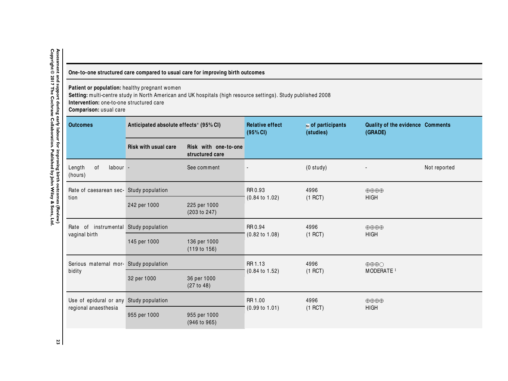<span id="page-25-0"></span>

| One-to-one structured care compared to usual care for improving birth outcomes |  |
|--------------------------------------------------------------------------------|--|
|                                                                                |  |

**Patient or population:** healthy pregnant women **Setting:** multi-centre study in North American and UK hospitals (high resource settings). Study published <sup>2008</sup>

**Intervention:** one-to-one structured care

**Comparison:** usual care

| <b>Outcomes</b>                                | Anticipated absolute effects* (95% CI) |                                         | <b>Relative effect</b><br>(95% CI)   | № of participants<br>(studies) | Quality of the evidence Comments<br>(GRADE)              |              |
|------------------------------------------------|----------------------------------------|-----------------------------------------|--------------------------------------|--------------------------------|----------------------------------------------------------|--------------|
|                                                | <b>Risk with usual care</b>            | Risk with one-to-one<br>structured care |                                      |                                |                                                          |              |
| οf<br>labour -<br>Length<br>(hours)            |                                        | See comment                             |                                      | $(0$ study)                    |                                                          | Not reported |
| Rate of caesarean sec-                         | Study population                       |                                         | RR 0.93                              | 4996                           | $\oplus \oplus \oplus \oplus$                            |              |
| tion                                           | 242 per 1000                           | 225 per 1000<br>(203 to 247)            | $(0.84 \text{ to } 1.02)$            | $(1$ RCT)                      | <b>HIGH</b>                                              |              |
| instrumental<br>Rate<br>0f                     | Study population                       |                                         | RR 0.94<br>$(0.82 \text{ to } 1.08)$ | 4996<br>$(1$ RCT)              | $\oplus \oplus \oplus \oplus$<br><b>HIGH</b>             |              |
| vaginal birth                                  | 145 per 1000                           | 136 per 1000<br>(119 to 156)            |                                      |                                |                                                          |              |
| Serious maternal mor-                          | Study population                       |                                         | RR 1.13                              | 4996<br>$(1$ RCT)              | $\oplus \oplus \oplus \bigcirc$<br>MODERATE <sup>1</sup> |              |
| bidity                                         | 32 per 1000                            | 36 per 1000<br>(27 to 48)               | $(0.84 \text{ to } 1.52)$            |                                |                                                          |              |
| Use of epidural or any<br>regional anaesthesia | Study population                       | RR 1.00                                 |                                      | 4996                           | $\oplus \oplus \oplus \oplus$                            |              |
|                                                | 955 per 1000                           | 955 per 1000<br>$(946 \text{ to } 965)$ | $(0.99 \text{ to } 1.01)$            | $(1$ RCT)                      | <b>HIGH</b>                                              |              |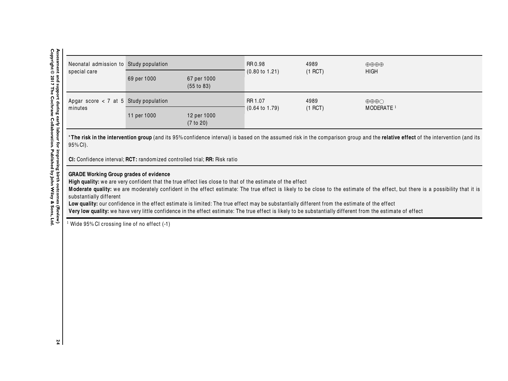| Neonatal admission to Study population |                                       |                           | RR 0.98                   | 4989      | $\oplus \oplus \oplus \oplus$   |  |
|----------------------------------------|---------------------------------------|---------------------------|---------------------------|-----------|---------------------------------|--|
| special care                           | 69 per 1000                           | 67 per 1000<br>(55 to 83) | $(0.80 \text{ to } 1.21)$ | $(1$ RCT) | <b>HIGH</b>                     |  |
|                                        | Apgar score < 7 at 5 Study population |                           | 4989<br>RR 1.07           |           | $\oplus \oplus \oplus \bigcirc$ |  |
| minutes                                | 11 per 1000                           | 12 per 1000<br>(7 to 20)  | $(0.64 \text{ to } 1.79)$ | $(1$ RCT) | MODERATE <sup>1</sup>           |  |

\***The risk in the intervention group** (and its 95% confidence interval) is based on the assumed risk in the comparison group and the **relative effect** of the intervention (and its<br>05% Cl\ 95% CI).

**CI:** Conf idence interval; **RCT:** random ized controlled trial; **RR:** Risk ratio

### **GRADE Working Group grades of evidence**

High quality: we are very confident that the true effect lies close to that of the estimate of the effect

Moderate quality: we are moderately confident in the effect estimate: The true effect is likely to be close to the estimate of the effect, but there is a possibility that it is substantially different

Low quality: our confidence in the effect estimate is limited: The true effect may be substantially different from the estimate of the effect

**Very low quality:** we have very little conf idence in the effect estimate: The true effect is likely to be substantially different from the estimate of effect

 $1$  Wide 95% CI crossing line of no effect  $(-1)$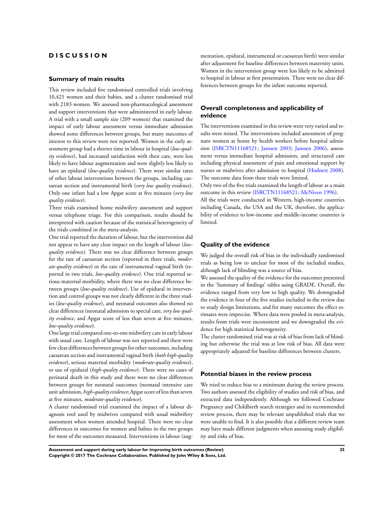### **D I S C U S S I O N**

#### **Summary of main results**

This review included five randomised controlled trials involving 10,421 women and their babies, and a cluster randomised trial with 2183 women. We assessed non-pharmacological assessment and support interventions that were administered in early labour. A trial with a small sample size (209 women) that examined the impact of early labour assessment versus immediate admission showed some differences between groups, but many outcomes of interest to this review were not reported. Women in the early assessment group had a shorter time in labour in hospital (*low-quality evidence*), had increased satisfaction with their care, were less likely to have labour augmentation and were slightly less likely to have an epidural (*low-quality evidence*). There were similar rates of other labour interventions between the groups, including caesarean section and instrumental birth (*very low quality evidence*). Only one infant had a low Apgar score at five minutes (*very low quality evidence*).

Three trials examined home midwifery assessment and support versus telephone triage. For this comparison, results should be interpreted with caution because of the statistical heterogeneity of the trials combined in the meta-analysis.

One trial reported the duration of labour, but the intervention did not appear to have any clear impact on the length of labour (*lowquality evidence).* There was no clear difference between groups for the rate of caesarean section (reported in three trials, *moderate-quality evidence*) or the rate of instrumental vaginal birth (reported in two trials, *low-quality evidence*). One trial reported serious maternal morbidity, where there was no clear difference between groups (*low-quality evidence*). Use of epidural in intervention and control groups was not clearly different in the three studies (*low-quality evidence*), and neonatal outcomes also showed no clear differences (neonatal admission to special care, *very low quality evidence*, and Apgar score of less than seven at five minutes, *low-quality evidence*).

One large trial compared one-to-one midwifery care in early labour with usual care. Length of labour was not reported and there were few clear differences between groups for other outcomes, including caesarean section and instrumental vaginal birth (*both high-quality evidence*), serious maternal morbidity (*moderate-quality evidence*), or use of epidural (*high-quality evidence*). There were no cases of perinatal death in this study and there were no clear differences between groups for neonatal outcomes (neonatal intensive care unit admission, *high-quality evidence*; Apgar score of less than seven at five minutes, *moderate-quality evidence*).

A cluster randomised trial examined the impact of a labour diagnosis tool used by midwives compared with usual midwifery assessment when women attended hospital. There were no clear differences in outcomes for women and babies in the two groups for most of the outcomes measured. Interventions in labour (aug-

mentation, epidural, instrumental or caesarean birth) were similar after adjustment for baseline differences between maternity units. Women in the intervention group were less likely to be admitted to hospital in labour at first presentation. There were no clear differences between groups for the infant outcome reported.

### **Overall completeness and applicability of evidence**

The interventions examined in this review were very varied and results were mixed. The interventions included assessment of pregnant women at home by health workers before hospital admission ([ISRCTN11168521](#page-29-0); [Janssen 2003;](#page-29-0) [Janssen 2006\)](#page-29-0), assessment versus immediate hospital admission, and structured care including physical assessment of pain and emotional support by nurses or midwives after admission to hospital [\(Hodnett 2008](#page-29-0)). The outcome data from these trials were limited.

Only two of the five trials examined the length of labour as a main outcome in this review [\(ISRCTN11168521](#page-29-0); [McNiven 1996](#page-29-0)).

All the trials were conducted in Western, high-income countries including Canada, the USA and the UK, therefore, the applicability of evidence to low-income and middle-income countries is limited.

### **Quality of the evidence**

We judged the overall risk of bias in the individually randomised trials as being low to unclear for most of the included studies, although lack of blinding was a source of bias.

We assessed the quality of the evidence for the outcomes presented in the 'Summary of findings' tables using GRADE. Overall, the evidence ranged from very low to high quality. We downgraded the evidence in four of the five studies included in the review due to study design limitations, and for many outcomes the effect estimates were imprecise. Where data were pooled in meta-analysis, results from trials were inconsistent and we downgraded the evidence for high statistical heterogeneity.

The cluster randomised trial was at risk of bias from lack of blinding but otherwise the trial was at low risk of bias. All data were appropriately adjusted for baseline differences between clusters.

#### **Potential biases in the review process**

We tried to reduce bias to a minimum during the review process. Two authors assessed the eligibility of studies and risk of bias, and extracted data independently. Although we followed Cochrane Pregnancy and Childbirth search strategies and its recommended review process, there may be relevant unpublished trials that we were unable to find. It is also possible that a different review team may have made different judgments when assessing study eligibility and risks of bias.

**Assessment and support during early labour for improving birth outcomes (Review) 25 Copyright © 2017 The Cochrane Collaboration. Published by John Wiley & Sons, Ltd.**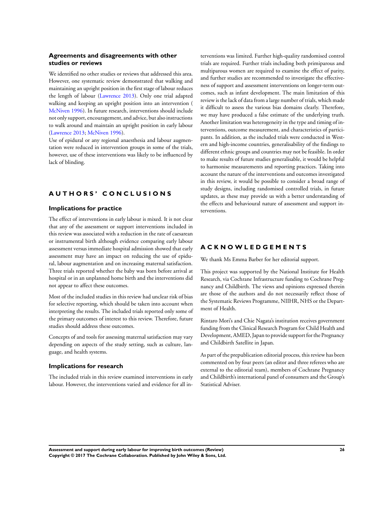### **Agreements and disagreements with other studies or reviews**

We identified no other studies or reviews that addressed this area. However, one systematic review demonstrated that walking and maintaining an upright position in the first stage of labour reduces the length of labour ([Lawrence 2013](#page-29-0)). Only one trial adapted walking and keeping an upright position into an intervention ( [McNiven 1996](#page-29-0)). In future research, interventions should include not only support, encouragement, and advice, but also instructions to walk around and maintain an upright position in early labour [\(Lawrence 2013](#page-29-0); [McNiven 1996\)](#page-29-0).

Use of epidural or any regional anaesthesia and labour augmentation were reduced in intervention groups in some of the trials, however, use of these interventions was likely to be influenced by lack of blinding.

### **A U T H O R S ' C O N C L U S I O N S**

#### **Implications for practice**

The effect of interventions in early labour is mixed. It is not clear that any of the assessment or support interventions included in this review was associated with a reduction in the rate of caesarean or instrumental birth although evidence comparing early labour assessment versus immediate hospital admission showed that early assessment may have an impact on reducing the use of epidural, labour augmentation and on increasing maternal satisfaction. Three trials reported whether the baby was born before arrival at hospital or in an unplanned home birth and the interventions did not appear to affect these outcomes.

Most of the included studies in this review had unclear risk of bias for selective reporting, which should be taken into account when interpreting the results. The included trials reported only some of the primary outcomes of interest to this review. Therefore, future studies should address these outcomes.

Concepts of and tools for assessing maternal satisfaction may vary depending on aspects of the study setting, such as culture, language, and health systems.

#### **Implications for research**

The included trials in this review examined interventions in early labour. However, the interventions varied and evidence for all in-

terventions was limited. Further high-quality randomised control trials are required. Further trials including both primiparous and multiparous women are required to examine the effect of parity, and further studies are recommended to investigate the effectiveness of support and assessment interventions on longer-term outcomes, such as infant development. The main limitation of this review is the lack of data from a large number of trials, which made it difficult to assess the various bias domains clearly. Therefore, we may have produced a false estimate of the underlying truth. Another limitation was heterogeneity in the type and timing of interventions, outcome measurement, and characteristics of participants. In addition, as the included trials were conducted in Western and high-income countries, generalisability of the findings to different ethnic groups and countries may not be feasible. In order to make results of future studies generalisable, it would be helpful to harmonise measurements and reporting practices. Taking into account the nature of the interventions and outcomes investigated in this review, it would be possible to consider a broad range of study designs, including randomised controlled trials, in future updates, as these may provide us with a better understanding of the effects and behavioural nature of assessment and support interventions.

### **A C K N O W L E D G E M E N T S**

We thank Ms Emma Barber for her editorial support.

This project was supported by the National Institute for Health Research, via Cochrane Infrastructure funding to Cochrane Pregnancy and Childbirth. The views and opinions expressed therein are those of the authors and do not necessarily reflect those of the Systematic Reviews Programme, NIIHR, NHS or the Department of Health.

Rintaro Mori's and Chie Nagata's institution receives government funding from the Clinical Research Program for Child Health and Development, AMED, Japan to provide support for the Pregnancy and Childbirth Satellite in Japan.

As part of the prepublication editorial process, this review has been commented on by four peers (an editor and three referees who are external to the editorial team), members of Cochrane Pregnancy and Childbirth's international panel of consumers and the Group's Statistical Adviser.

**Assessment and support during early labour for improving birth outcomes (Review) 26 Copyright © 2017 The Cochrane Collaboration. Published by John Wiley & Sons, Ltd.**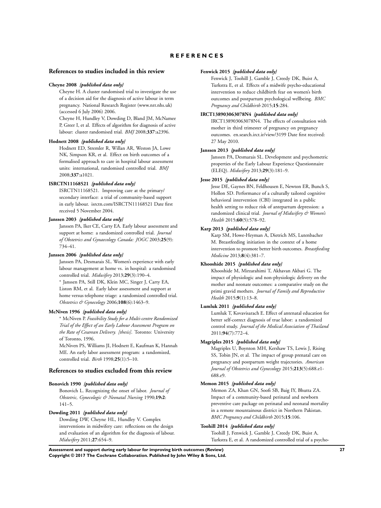### **R E F E R E N C E S**

#### <span id="page-29-0"></span>**References to studies included in this review**

#### **Cheyne 2008** *{published data only}*

Cheyne H. A cluster randomised trial to investigate the use of a decision aid for the diagnosis of active labour in term pregnancy. National Research Register (www.nrr.nhs.uk) (accessed 6 July 2006) 2006.

Cheyne H, Hundley V, Dowding D, Bland JM, McNamee P, Greer I, et al. Effects of algorithm for diagnosis of active labour: cluster randomised trial. *BMJ* 2008;**337**:a2396.

#### **Hodnett 2008** *{published data only}*

Hodnett ED, Stremler R, Willan AR, Weston JA, Lowe NK, Simpson KR, et al. Effect on birth outcomes of a formalised approach to care in hospital labour assessment units: international, randomised controlled trial. *BMJ* 2008;**337**:a1021.

#### **ISRCTN11168521** *{published data only}*

ISRCTN11168521. Improving care at the primary/ secondary interface: a trial of community-based support in early labour. isrctn.com/ISRCTN11168521 Date first received 5 November 2004.

### **Janssen 2003** *{published data only}*

Janssen PA, Iker CE, Carty EA. Early labour assessment and support at home: a randomized controlled trial. *Journal of Obstetrics and Gynaecology Canada: JOGC* 2003;**25**(9): 734–41.

#### **Janssen 2006** *{published data only}*

Janssen PA, Desmarais SL. Women's experience with early labour management at home vs. in hospital: a randomised controlled trial. *Midwifery* 2013;**29**(3):190–4. ∗ Janssen PA, Still DK, Klein MC, Singer J, Carty EA, Liston RM, et al. Early labor assessment and support at home versus telephone triage: a randomized controlled trial.

#### **McNiven 1996** *{published data only}*

*Obstetrics & Gynecology* 2006;**108**(6):1463–9.

<sup>∗</sup> McNiven P. *Feasibility Study for a Multi-centre Randomized Trial of the Effect of an Early Labour Assessment Program on the Rate of Cesarean Delivery. [thesis]*. Toronto: University of Toronto, 1996.

McNiven PS, Williams JI, Hodnett E, Kaufman K, Hannah ME. An early labor assessment program: a randomized, controlled trial. *Birth* 1998;**25**(1):5–10.

### **References to studies excluded from this review**

#### **Bonovich 1990** *{published data only}*

Bonovich L. Recognizing the onset of labor. *Journal of Obstetric, Gynecologic & Neonatal Nursing* 1990;**19:2**: 141–5.

#### **Dowding 2011** *{published data only}*

Dowding DW, Cheyne HL, Hundley V. Complex interventions in midwifery care: reflections on the design and evaluation of an algorithm for the diagnosis of labour. *Midwifery* 2011;**27**:654–9.

#### **Fenwick 2015** *{published data only}*

Fenwick J, Toohill J, Gamble J, Creedy DK, Buist A, Turkstra E, et al. Effects of a midwife psycho-educational intervention to reduce childbirth fear on women's birth outcomes and postpartum psychological wellbeing. *BMC Pregnancy and Childbirth* 2015;**15**:284.

### **IRCT138903063078N4** *{published data only}*

IRCT138903063078N4. The effects of consultation with mother in third trimester of pregnancy on pregnancy outcomes. en.search.irct.ir/view/3199 Date first received: 27 May 2010.

### **Janssen 2013** *{published data only}*

Janssen PA, Desmarais SL. Development and psychometric properties of the Early Labour Experience Questionnaire (ELEQ). *Midwifery* 2013;**29**(3):181–9.

### **Jesse 2015** *{published data only}*

Jesse DE, Gaynes BN, Feldhousen E, Newton ER, Bunch S, Hollon SD. Performance of a culturally tailored cognitive behavioral intervention (CBI) integrated in a public health setting to reduce risk of antepartum depression: a randomized clinical trial. *Journal of Midwifery & Women's Health* 2015;**60**(5):578–92.

#### **Karp 2013** *{published data only}*

Karp SM, Howe-Heyman A, Dietrich MS, Lutenbacher M. Breastfeeding initiation in the context of a home intervention to promote better birth outcomes. *Breastfeeding Medicine* 2013;**8**(4):381–7.

#### **Khooshide 2015** *{published data only}*

Khooshide M, Mirzarahimi T, Akhavan Akbari G. The impact of physiologic and non-physiologic delivery on the mother and neonate outcomes: a comparative study on the primi gravid mothers. *Journal of Family and Reproductive Health* 2015;**9**(1):13–8.

#### **Lumluk 2011** *{published data only}*

Lumluk T, Kovavisarach E. Effect of antenatal education for better self-correct diagnosis of true labor: a randomized control study. *Journal of the Medical Association of Thailand* 2011;**94**(7):772–4.

#### **Magriples 2015** *{published data only}*

Magriples U, Boynton MH, Kershaw TS, Lewis J, Rising SS, Tobin JN, et al. The impact of group prenatal care on pregnancy and postpartum weight trajectories. *American Journal of Obstetrics and Gynecology* 2015;**213**(5):688.e1- 688.e9.

#### **Memon 2015** *{published data only}*

Memon ZA, Khan GN, Soofi SB, Baig IY, Bhutta ZA. Impact of a community-based perinatal and newborn preventive care package on perinatal and neonatal mortality in a remote mountainous district in Northern Pakistan. *BMC Pregnancy and Childbirth* 2015;**15**:106.

#### **Toohill 2014** *{published data only}*

Toohill J, Fenwick J, Gamble J, Creedy DK, Buist A, Turkstra E, et al. A randomized controlled trial of a psycho-

**Assessment and support during early labour for improving birth outcomes (Review) 27 Copyright © 2017 The Cochrane Collaboration. Published by John Wiley & Sons, Ltd.**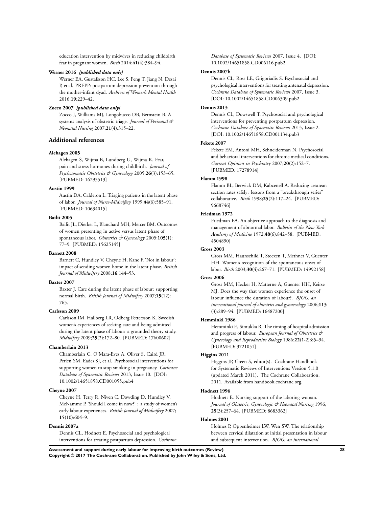education intervention by midwives in reducing childbirth fear in pregnant women. *Birth* 2014;**41**(4):384–94.

#### **Werner 2016** *{published data only}*

Werner EA, Gustafsson HC, Lee S, Feng T, Jiang N, Desai P, et al. PREPP: postpartum depression prevention through the mother-infant dyad. *Archives of Women's Mental Health* 2016;**19**:229–42.

#### **Zocco 2007** *{published data only}*

Zocco J, Williams MJ, Longobucco DB, Bernstein B. A systems analysis of obstetric triage. *Journal of Perinatal & Neonatal Nursing* 2007;**21**(4):315–22.

### **Additional references**

#### **Alehagen 2005**

Alehagen S, Wijma B, Lundberg U, Wijma K. Fear, pain and stress hormones during childbirth. *Journal of Psychosomatic Obstetrics & Gynecology* 2005;**26**(3):153–65. [PUBMED: 16295513]

#### **Austin 1999**

Austin DA, Calderon L. Triaging patients in the latent phase of labor. *Journal of Nurse-Midwifery* 1999;**44**(6):585–91. [PUBMED: 10634015]

#### **Bailit 2005**

Bailit JL, Dierker L, Blanchard MH, Mercer BM. Outcomes of women presenting in active versus latent phase of spontaneous labor. *Obstetrics & Gynecology* 2005;**105**(1): 77–9. [PUBMED: 15625145]

#### **Barnett 2008**

Barnett C, Hundley V, Cheyne H, Kane F. 'Not in labour': impact of sending women home in the latent phase. *British Journal of Midwifery* 2008;**16**:144–53.

#### **Baxter 2007**

Baxter J. Care during the latent phase of labour: supporting normal birth. *British Journal of Midwifery* 2007;**15**(12): 765.

#### **Carlsson 2009**

Carlsson IM, Hallberg LR, Odberg Pettersson K. Swedish women's experiences of seeking care and being admitted during the latent phase of labour: a grounded theory study. *Midwifery* 2009;**25**(2):172–80. [PUBMED: 17600602]

#### **Chamberlain 2013**

Chamberlain C, O'Mara-Eves A, Oliver S, Caird JR, Perlen SM, Eades SJ, et al. Psychosocial interventions for supporting women to stop smoking in pregnancy. *Cochrane Database of Systematic Reviews* 2013, Issue 10. [DOI: 10.1002/14651858.CD001055.pub4

#### **Cheyne 2007**

Cheyne H, Terry R, Niven C, Dowding D, Hundley V, McNamme P. 'Should I come in now?' : a study of women's early labour experiences. *British Journal of Midwifery* 2007; **15**(10):604–9.

#### **Dennis 2007a**

Dennis CL, Hodnett E. Psychosocial and psychological interventions for treating postpartum depression. *Cochrane* *Database of Systematic Reviews* 2007, Issue 4. [DOI: 10.1002/14651858.CD006116.pub2

#### **Dennis 2007b**

Dennis CL, Ross LE, Grigoriadis S. Psychosocial and psychological interventions for treating antenatal depression. *Cochrane Database of Systematic Reviews* 2007, Issue 3. [DOI: 10.1002/14651858.CD006309.pub2

#### **Dennis 2013**

Dennis CL, Dowswell T. Psychosocial and psychological interventions for preventing postpartum depression. *Cochrane Database of Systematic Reviews* 2013, Issue 2. [DOI: 10.1002/14651858.CD001134.pub3

#### **Fekete 2007**

Fekete EM, Antoni MH, Schneiderman N. Psychosocial and behavioral interventions for chronic medical conditions. *Current Opinion in Psychiatry* 2007;**20**(2):152–7. [PUBMED: 17278914]

#### **Flamm 1998**

Flamm BL, Berwick DM, Kabcenell A. Reducing cesarean section rates safely: lessons from a "breakthrough series" collaborative. *Birth* 1998;**25**(2):117–24. [PUBMED: 9668746]

### **Friedman 1972**

Friedman EA. An objective approach to the diagnosis and management of abnormal labor. *Bulletin of the New York Academy of Medicine* 1972;**48**(6):842–58. [PUBMED: 4504890]

#### **Gross 2003**

Gross MM, Haunschild T, Stoexen T, Methner V, Guenter HH. Women's recognition of the spontaneous onset of labor. *Birth* 2003;**30**(4):267–71. [PUBMED: 14992158]

#### **Gross 2006**

Gross MM, Hecker H, Matterne A, Guenter HH, Keirse MJ. Does the way that women experience the onset of labour influence the duration of labour?. *BJOG: an international journal of obstetrics and gynaecology* 2006;**113** (3):289–94. [PUBMED: 16487200]

#### **Hemminki 1986**

Hemminki E, Simukka R. The timing of hospital admission and progress of labour. *European Journal of Obstetrics & Gynecology and Reproductive Biology* 1986;**22**(1-2):85–94. [PUBMED: 3721051]

#### **Higgins 2011**

Higgins JP, Green S, editor(s). Cochrane Handbook for Systematic Reviews of Interventions Version 5.1.0 (updated March 2011). The Cochrane Collaboration, 2011. Available from handbook.cochrane.org.

#### **Hodnett 1996**

Hodnett E. Nursing support of the laboring woman. *Journal of Obstetric, Gynecologic & Neonatal Nursing* 1996; **25**(3):257–64. [PUBMED: 8683362]

#### **Holmes 2001**

Holmes P, Oppenheimer LW, Wen SW. The relationship between cervical dilatation at initial presentation in labour and subsequent intervention. *BJOG: an international*

**Assessment and support during early labour for improving birth outcomes (Review) 28 Copyright © 2017 The Cochrane Collaboration. Published by John Wiley & Sons, Ltd.**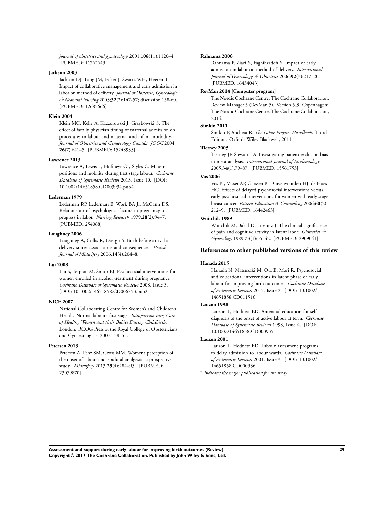*journal of obstetrics and gynaecology* 2001;**108**(11):1120–4. [PUBMED: 11762649]

#### **Jackson 2003**

Jackson DJ, Lang JM, Ecker J, Swartz WH, Heeren T. Impact of collaborative management and early admission in labor on method of delivery. *Journal of Obstetric, Gynecologic & Neonatal Nursing* 2003;**32**(2):147-57; discussion 158-60. [PUBMED: 12685666]

#### **Klein 2004**

Klein MC, Kelly A, Kaczorowski J, Grzybowski S. The effect of family physician timing of maternal admission on procedures in labour and maternal and infant morbidity. *Journal of Obstetrics and Gynaecology Canada: JOGC* 2004; **26**(7):641–5. [PUBMED: 15248933]

#### **Lawrence 2013**

Lawrence A, Lewis L, Hofmeyr GJ, Styles C. Maternal positions and mobility during first stage labour. *Cochrane Database of Systematic Reviews* 2013, Issue 10. [DOI: 10.1002/14651858.CD003934.pub4

#### **Lederman 1979**

Lederman RP, Lederman E, Work BA Jr, McCann DS. Relationship of psychological factors in pregnancy to progress in labor. *Nursing Research* 1979;**28**(2):94–7. [PUBMED: 254068]

### **Loughney 2006**

Loughney A, Collis R, Dastgir S. Birth before arrival at delivery suite: associations and consequences. *British Journal of Midwifery* 2006;**14**(4):204–8.

#### **Lui 2008**

Lui S, Terplan M, Smith EJ. Psychosocial interventions for women enrolled in alcohol treatment during pregnancy. *Cochrane Database of Systematic Reviews* 2008, Issue 3. [DOI: 10.1002/14651858.CD006753.pub2

#### **NICE 2007**

National Collaborating Centre for Women's and Children's Health. Normal labour: first stage. *Intrapartum care, Care of Healthy Women and their Babies During Childbirth*. London: RCOG Press at the Royal College of Obstetricians and Gynaecologists, 2007:138–55.

#### **Petersen 2013**

Petersen A, Penz SM, Gross MM. Women's perception of the onset of labour and epidural analgesia: a prospective study. *Midwifery* 2013;**29**(4):284–93. [PUBMED: 23079870]

#### **Rahnama 2006**

Rahnama P, Ziaei S, Faghihzadeh S. Impact of early admission in labor on method of delivery. *International Journal of Gynecology & Obstetrics* 2006;**92**(3):217–20. [PUBMED: 16434043]

#### **RevMan 2014 [Computer program]**

The Nordic Cochrane Centre, The Cochrane Collaboration. Review Manager 5 (RevMan 5). Version 5.3. Copenhagen: The Nordic Cochrane Centre, The Cochrane Collaboration, 2014.

#### **Simkin 2011**

Simkin P, Ancheta R. *The Labor Progress Handbook*. Third Edition. Oxford: Wiley-Blackwell, 2011.

### **Tierney 2005**

Tierney JF, Stewart LA. Investigating patient exclusion bias in meta-analysis. *International Journal of Epidemiology* 2005;**34**(1):79–87. [PUBMED: 15561753]

#### **Vos 2006**

Vos PJ, Visser AP, Garssen B, Duivenvoorden HJ, de Haes HC. Effects of delayed psychosocial interventions versus early psychosocial interventions for women with early stage breast cancer. *Patient Education & Counselling* 2006;**60**(2): 212–9. [PUBMED: 16442463]

#### **Wuitchik 1989**

Wuitchik M, Bakal D, Lipshitz J. The clinical significance of pain and cognitive activity in latent labor. *Obstetrics & Gynecology* 1989;**73**(1):35–42. [PUBMED: 2909041]

#### **References to other published versions of this review**

#### **Hanada 2015**

Hanada N, Matsuzaki M, Ota E, Mori R. Psychosocial and educational interventions in latent phase or early labour for improving birth outcomes. *Cochrane Database of Systematic Reviews* 2015, Issue 2. [DOI: 10.1002/ 14651858.CD011516

#### **Lauzon 1998**

Lauzon L, Hodnett ED. Antenatal education for selfdiagnosis of the onset of active labour at term. *Cochrane Database of Systematic Reviews* 1998, Issue 4. [DOI: 10.1002/14651858.CD000935

#### **Lauzon 2001**

Lauzon L, Hodnett ED. Labour assessment programs to delay admission to labour wards. *Cochrane Database of Systematic Reviews* 2001, Issue 3. [DOI: 10.1002/ 14651858.CD000936

∗ *Indicates the major publication for the study*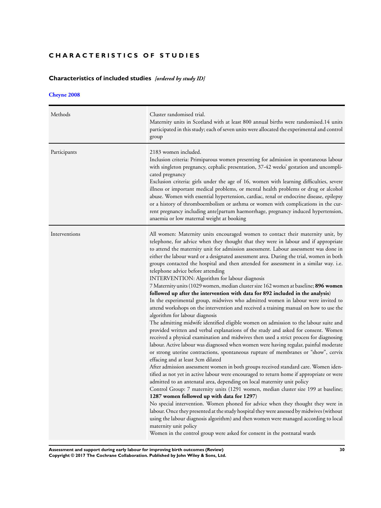## **CHARACTERISTICS OF STUDIES**

## **Characteristics of included studies** *[ordered by study ID]*

### **[Cheyne 2008](#page-29-0)**

| Methods       | Cluster randomised trial.<br>Maternity units in Scotland with at least 800 annual births were randomised.14 units<br>participated in this study; each of seven units were allocated the experimental and control<br>group                                                                                                                                                                                                                                                                                                                                                                                                                                                                                                                                                                                                                                                                                                                                                                                                                                                                                                                                                                                                                                                                                                                                                                                                                                                                                                                                                                                                                                                                                                                                                                                                                                                                                                                                                                                                                                                                                                                                                                                        |
|---------------|------------------------------------------------------------------------------------------------------------------------------------------------------------------------------------------------------------------------------------------------------------------------------------------------------------------------------------------------------------------------------------------------------------------------------------------------------------------------------------------------------------------------------------------------------------------------------------------------------------------------------------------------------------------------------------------------------------------------------------------------------------------------------------------------------------------------------------------------------------------------------------------------------------------------------------------------------------------------------------------------------------------------------------------------------------------------------------------------------------------------------------------------------------------------------------------------------------------------------------------------------------------------------------------------------------------------------------------------------------------------------------------------------------------------------------------------------------------------------------------------------------------------------------------------------------------------------------------------------------------------------------------------------------------------------------------------------------------------------------------------------------------------------------------------------------------------------------------------------------------------------------------------------------------------------------------------------------------------------------------------------------------------------------------------------------------------------------------------------------------------------------------------------------------------------------------------------------------|
| Participants  | 2183 women included.<br>Inclusion criteria: Primiparous women presenting for admission in spontaneous labour<br>with singleton pregnancy, cephalic presentation, 37-42 weeks' gestation and uncompli-<br>cated pregnancy<br>Exclusion criteria: girls under the age of 16, women with learning difficulties, severe<br>illness or important medical problems, or mental health problems or drug or alcohol<br>abuse. Women with essential hypertension, cardiac, renal or endocrine disease, epilepsy<br>or a history of thromboembolism or asthma or women with complications in the cur-<br>rent pregnancy including ante[partum haemorrhage, pregnancy induced hypertension,<br>anaemia or low maternal weight at booking                                                                                                                                                                                                                                                                                                                                                                                                                                                                                                                                                                                                                                                                                                                                                                                                                                                                                                                                                                                                                                                                                                                                                                                                                                                                                                                                                                                                                                                                                     |
| Interventions | All women: Maternity units encouraged women to contact their maternity unit, by<br>telephone, for advice when they thought that they were in labour and if appropriate<br>to attend the maternity unit for admission assessment. Labour assessment was done in<br>either the labour ward or a designated assessment area. During the trial, women in both<br>groups contacted the hospital and then attended for assessment in a similar way. i.e.<br>telephone advice before attending<br>INTERVENTION: Algorithm for labour diagnosis<br>7 Maternity units (1029 women, median cluster size 162 women at baseline; <b>896 women</b><br>followed up after the intervention with data for 892 included in the analysis)<br>In the experimental group, midwives who admitted women in labour were invited to<br>attend workshops on the intervention and received a training manual on how to use the<br>algorithm for labour diagnosis<br>The admitting midwife identified eligible women on admission to the labour suite and<br>provided written and verbal explanations of the study and asked for consent. Women<br>received a physical examination and midwives then used a strict process for diagnosing<br>labour. Active labour was diagnosed when women were having regular, painful moderate<br>or strong uterine contractions, spontaneous rupture of membranes or "show", cervix<br>effacing and at least 3cm dilated<br>After admission assessment women in both groups received standard care. Women iden-<br>tified as not yet in active labour were encouraged to return home if appropriate or were<br>admitted to an antenatal area, depending on local maternity unit policy<br>Control Group: 7 maternity units (1291 women, median cluster size 199 at baseline;<br>1287 women followed up with data for 1297)<br>No special intervention. Women phoned for advice when they thought they were in<br>labour. Once they presented at the study hospital they were assessed by midwives (without<br>using the labour diagnosis algorithm) and then women were managed according to local<br>maternity unit policy<br>Women in the control group were asked for consent in the postnatal wards |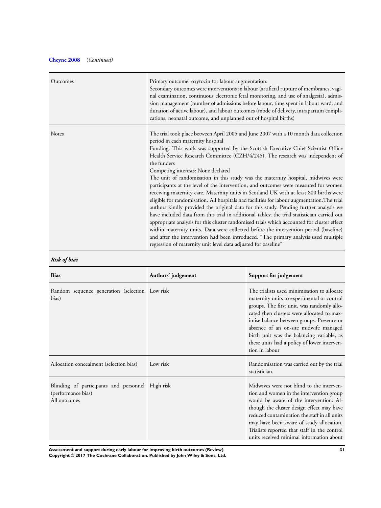### **[Cheyne 2008](#page-29-0)** (*Continued)*

| Outcomes     | Primary outcome: oxytocin for labour augmentation.<br>Secondary outcomes were interventions in labour (artificial rupture of membranes, vagi-<br>nal examination, continuous electronic fetal monitoring, and use of analgesia), admis-<br>sion management (number of admissions before labour, time spent in labour ward, and<br>duration of active labour), and labour outcomes (mode of delivery, intrapartum compli-<br>cations, neonatal outcome, and unplanned out of hospital births)                                                                                                                                                                                                                                                                                                                                                                                                                                                                                                                                                                                                               |
|--------------|------------------------------------------------------------------------------------------------------------------------------------------------------------------------------------------------------------------------------------------------------------------------------------------------------------------------------------------------------------------------------------------------------------------------------------------------------------------------------------------------------------------------------------------------------------------------------------------------------------------------------------------------------------------------------------------------------------------------------------------------------------------------------------------------------------------------------------------------------------------------------------------------------------------------------------------------------------------------------------------------------------------------------------------------------------------------------------------------------------|
| <b>Notes</b> | The trial took place between April 2005 and June 2007 with a 10 month data collection<br>period in each maternity hospital<br>Funding: This work was supported by the Scottish Executive Chief Scientist Office<br>Health Service Research Committee (CZH/4/245). The research was independent of<br>the funders<br>Competing interests: None declared<br>The unit of randomisation in this study was the maternity hospital, midwives were<br>participants at the level of the intervention, and outcomes were measured for women<br>receiving maternity care. Maternity units in Scotland UK with at least 800 births were<br>eligible for randomisation. All hospitals had facilities for labour augmentation. The trial<br>authors kindly provided the original data for this study. Pending further analysis we<br>have included data from this trial in additional tables; the trial statistician carried out<br>appropriate analysis for this cluster randomised trials which accounted for cluster effect<br>within maternity units. Data were collected before the intervention period (baseline) |
|              | and after the intervention had been introduced. "The primary analysis used multiple<br>regression of maternity unit level data adjusted for baseline"                                                                                                                                                                                                                                                                                                                                                                                                                                                                                                                                                                                                                                                                                                                                                                                                                                                                                                                                                      |

### *Risk of bias*

| <b>Bias</b>                                                                            | Authors' judgement | Support for judgement                                                                                                                                                                                                                                                                                                                                                                     |
|----------------------------------------------------------------------------------------|--------------------|-------------------------------------------------------------------------------------------------------------------------------------------------------------------------------------------------------------------------------------------------------------------------------------------------------------------------------------------------------------------------------------------|
| Random sequence generation (selection Low risk<br>bias)                                |                    | The trialists used minimisation to allocate<br>maternity units to experimental or control<br>groups. The first unit, was randomly allo-<br>cated then clusters were allocated to max-<br>imise balance between groups. Presence or<br>absence of an on-site midwife managed<br>birth unit was the balancing variable, as<br>these units had a policy of lower interven-<br>tion in labour |
| Allocation concealment (selection bias)                                                | Low risk           | Randomisation was carried out by the trial<br>statistician.                                                                                                                                                                                                                                                                                                                               |
| Blinding of participants and personnel High risk<br>(performance bias)<br>All outcomes |                    | Midwives were not blind to the interven-<br>tion and women in the intervention group<br>would be aware of the intervention. Al-<br>though the cluster design effect may have<br>reduced contamination the staff in all units<br>may have been aware of study allocation.<br>Trialists reported that staff in the control<br>units received minimal information about                      |

**Assessment and support during early labour for improving birth outcomes (Review) 31 Copyright © 2017 The Cochrane Collaboration. Published by John Wiley & Sons, Ltd.**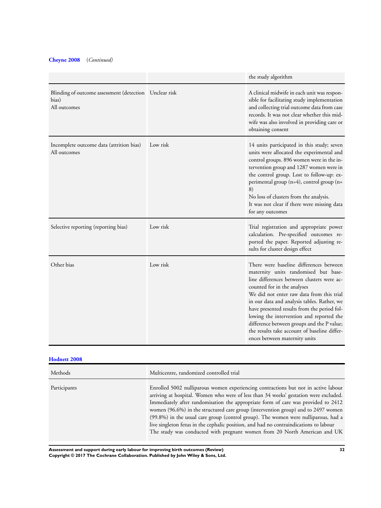### **[Cheyne 2008](#page-29-0)** (*Continued)*

|                                                                                 |          | the study algorithm                                                                                                                                                                                                                                                                                                                                                                                                                                                                |
|---------------------------------------------------------------------------------|----------|------------------------------------------------------------------------------------------------------------------------------------------------------------------------------------------------------------------------------------------------------------------------------------------------------------------------------------------------------------------------------------------------------------------------------------------------------------------------------------|
| Blinding of outcome assessment (detection Unclear risk<br>bias)<br>All outcomes |          | A clinical midwife in each unit was respon-<br>sible for facilitating study implementation<br>and collecting trial outcome data from case<br>records. It was not clear whether this mid-<br>wife was also involved in providing care or<br>obtaining consent                                                                                                                                                                                                                       |
| Incomplete outcome data (attrition bias)<br>All outcomes                        | Low risk | 14 units participated in this study; seven<br>units were allocated the experimental and<br>control groups. 896 women were in the in-<br>tervention group and 1287 women were in<br>the control group. Lost to follow-up: ex-<br>perimental group (n=4), control group (n=<br>8)<br>No loss of clusters from the analysis.<br>It was not clear if there were missing data<br>for any outcomes                                                                                       |
| Selective reporting (reporting bias)                                            | Low risk | Trial registration and appropriate power<br>calculation. Pre-specified outcomes re-<br>ported the paper. Reported adjusting re-<br>sults for cluster design effect                                                                                                                                                                                                                                                                                                                 |
| Other bias                                                                      | Low risk | There were baseline differences between<br>maternity units randomised but base-<br>line differences between clusters were ac-<br>counted for in the analyses<br>We did not enter raw data from this trial<br>in our data and analysis tables. Rather, we<br>have presented results from the period fol-<br>lowing the intervention and reported the<br>difference between groups and the P value;<br>the results take account of baseline differ-<br>ences between maternity units |

### **[Hodnett 2008](#page-29-0)**

| Methods      | Multicentre, randomized controlled trial                                                                                                                                                                                                                                                                                                                                                                                                                                                                                                                                                                         |
|--------------|------------------------------------------------------------------------------------------------------------------------------------------------------------------------------------------------------------------------------------------------------------------------------------------------------------------------------------------------------------------------------------------------------------------------------------------------------------------------------------------------------------------------------------------------------------------------------------------------------------------|
| Participants | Enrolled 5002 nulliparous women experiencing contractions but not in active labour<br>arriving at hospital. Women who were of less than 34 weeks' gestation were excluded.<br>Immediately after randomisation the appropriate form of care was provided to 2412<br>women (96.6%) in the structured care group (intervention group) and to 2497 women<br>(99.8%) in the usual care group (control group). The women were nulliparous, had a<br>live singleton fetus in the cephalic position, and had no contraindications to labour<br>The study was conducted with pregnant women from 20 North American and UK |

**Assessment and support during early labour for improving birth outcomes (Review) 32 Copyright © 2017 The Cochrane Collaboration. Published by John Wiley & Sons, Ltd.**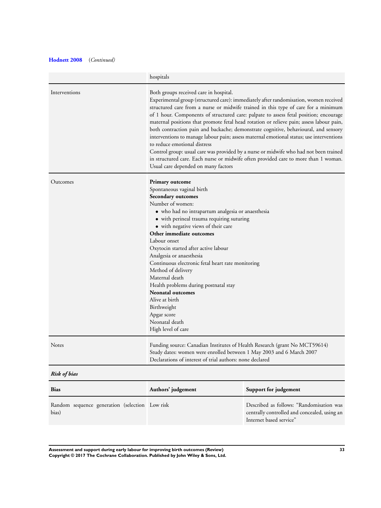### **[Hodnett 2008](#page-29-0)** (*Continued)*

|               | hospitals                                                                                                                                                                                                                                                                                                                                                                                                                                                                                                                                                                                                                                                                                                                                                                                                                                            |
|---------------|------------------------------------------------------------------------------------------------------------------------------------------------------------------------------------------------------------------------------------------------------------------------------------------------------------------------------------------------------------------------------------------------------------------------------------------------------------------------------------------------------------------------------------------------------------------------------------------------------------------------------------------------------------------------------------------------------------------------------------------------------------------------------------------------------------------------------------------------------|
| Interventions | Both groups received care in hospital.<br>Experimental group (structured care): immediately after randomisation, women received<br>structured care from a nurse or midwife trained in this type of care for a minimum<br>of 1 hour. Components of structured care: palpate to assess fetal position; encourage<br>maternal positions that promote fetal head rotation or relieve pain; assess labour pain,<br>both contraction pain and backache; demonstrate cognitive, behavioural, and sensory<br>interventions to manage labour pain; assess maternal emotional status; use interventions<br>to reduce emotional distress<br>Control group: usual care was provided by a nurse or midwife who had not been trained<br>in structured care. Each nurse or midwife often provided care to more than 1 woman.<br>Usual care depended on many factors |
| Outcomes      | <b>Primary outcome</b><br>Spontaneous vaginal birth<br>Secondary outcomes<br>Number of women:<br>· who had no intrapartum analgesia or anaesthesia<br>• with perineal trauma requiring suturing<br>• with negative views of their care<br>Other immediate outcomes<br>Labour onset<br>Oxytocin started after active labour<br>Analgesia or anaesthesia<br>Continuous electronic fetal heart rate monitoring<br>Method of delivery<br>Maternal death<br>Health problems during postnatal stay<br><b>Neonatal outcomes</b><br>Alive at birth<br>Birthweight<br>Apgar score<br>Neonatal death<br>High level of care                                                                                                                                                                                                                                     |
| Notes         | Funding source: Canadian Institutes of Health Research (grant No MCT59614)<br>Study dates: women were enrolled between 1 May 2003 and 6 March 2007<br>Declarations of interest of trial authors: none declared                                                                                                                                                                                                                                                                                                                                                                                                                                                                                                                                                                                                                                       |

### *Risk of bias*

| <b>Bias</b>                                             | Authors' judgement | Support for judgement                                                                                               |
|---------------------------------------------------------|--------------------|---------------------------------------------------------------------------------------------------------------------|
| Random sequence generation (selection Low risk<br>bias) |                    | Described as follows: "Randomisation was<br>centrally controlled and concealed, using an<br>Internet based service" |

**Assessment and support during early labour for improving birth outcomes (Review) 33 Copyright © 2017 The Cochrane Collaboration. Published by John Wiley & Sons, Ltd.**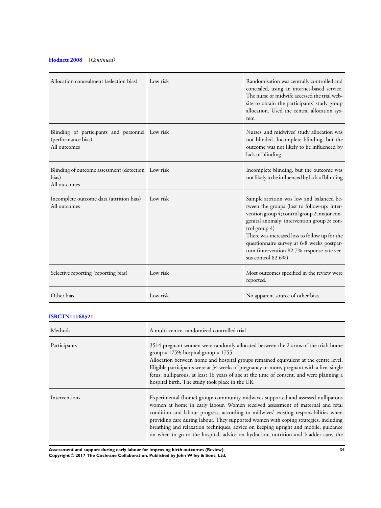### **[Hodnett 2008](#page-29-0)** (*Continued)*

| Allocation concealment (selection bias)                                               | Low risk | Randomisation was centrally controlled and<br>concealed, using an internet-based service.<br>The nurse or midwife accessed the trial web-<br>site to obtain the participants' study group<br>allocation. Used the central allocation sys-<br>tem                                                                                                                            |
|---------------------------------------------------------------------------------------|----------|-----------------------------------------------------------------------------------------------------------------------------------------------------------------------------------------------------------------------------------------------------------------------------------------------------------------------------------------------------------------------------|
| Blinding of participants and personnel Low risk<br>(performance bias)<br>All outcomes |          | Nurses' and midwives' study allocation was<br>not blinded. Incomplete blinding, but the<br>outcome was not likely to be influenced by<br>lack of blinding                                                                                                                                                                                                                   |
| Blinding of outcome assessment (detection Low risk<br>bias)<br>All outcomes           |          | Incomplete blinding, but the outcome was<br>not likely to be influenced by lack of blinding                                                                                                                                                                                                                                                                                 |
| Incomplete outcome data (attrition bias)<br>All outcomes                              | Low risk | Sample attrition was low and balanced be-<br>tween the groups (lost to follow-up: inter-<br>vention group 4; control group 2; major con-<br>genital anomaly: intervention group 3; con-<br>trol group 4)<br>There was increased loss to follow up for the<br>questionnaire survey at 6-8 weeks postpar-<br>tum (intervention 82.7% response rate ver-<br>sus control 82.6%) |
| Selective reporting (reporting bias)                                                  | Low risk | Most outcomes specified in the review were<br>reported.                                                                                                                                                                                                                                                                                                                     |
| Other bias                                                                            | Low risk | No apparent source of other bias.                                                                                                                                                                                                                                                                                                                                           |

#### **[ISRCTN11168521](#page-29-0)**

| Methods       | A multi-centre, randomized controlled trial                                                                                                                                                                                                                                                                                                                                                                                                                                                                                      |
|---------------|----------------------------------------------------------------------------------------------------------------------------------------------------------------------------------------------------------------------------------------------------------------------------------------------------------------------------------------------------------------------------------------------------------------------------------------------------------------------------------------------------------------------------------|
| Participants  | 3514 pregnant women were randomly allocated between the 2 arms of the trial: home<br>group = $1759$ ; hospital group = $1755$ .<br>Allocation between home and hospital groups remained equivalent at the centre level.<br>Eligible participants were at 34 weeks of pregnancy or more, pregnant with a live, single<br>fetus, nulliparous, at least 16 years of age at the time of consent, and were planning a<br>hospital birth. The study took place in the UK                                                               |
| Interventions | Experimental (home) group: community midwives supported and assessed nulliparous<br>women at home in early labour. Women received assessment of maternal and fetal<br>condition and labour progress, according to midwives' existing responsibilities when<br>providing care during labour. They supported women with coping strategies, including<br>breathing and relaxation techniques, advice on keeping upright and mobile, guidance<br>on when to go to the hospital, advice on hydration, nutrition and bladder care, the |

**Assessment and support during early labour for improving birth outcomes (Review) 34 Copyright © 2017 The Cochrane Collaboration. Published by John Wiley & Sons, Ltd.**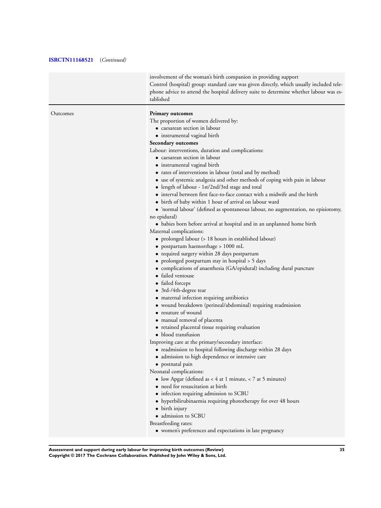### **[ISRCTN11168521](#page-29-0)** (*Continued)*

|          | involvement of the woman's birth companion in providing support<br>Control (hospital) group: standard care was given directly, which usually included tele-<br>phone advice to attend the hospital delivery suite to determine whether labour was es-<br>tablished                                                                                                                                                                                                                                                                                                                                                                                                                                                                                                                                                                                                                                                                                                                                                                                                                                                                                                                                                                                                                                                    |
|----------|-----------------------------------------------------------------------------------------------------------------------------------------------------------------------------------------------------------------------------------------------------------------------------------------------------------------------------------------------------------------------------------------------------------------------------------------------------------------------------------------------------------------------------------------------------------------------------------------------------------------------------------------------------------------------------------------------------------------------------------------------------------------------------------------------------------------------------------------------------------------------------------------------------------------------------------------------------------------------------------------------------------------------------------------------------------------------------------------------------------------------------------------------------------------------------------------------------------------------------------------------------------------------------------------------------------------------|
| Outcomes | <b>Primary outcomes</b><br>The proportion of women delivered by:<br>• caesarean section in labour<br>• instrumental vaginal birth<br>Secondary outcomes<br>Labour: interventions, duration and complications:<br>• caesarean section in labour<br>• instrumental vaginal birth<br>• rates of interventions in labour (total and by method)<br>• use of systemic analgesia and other methods of coping with pain in labour<br>· length of labour - 1st/2nd/3rd stage and total<br>• interval between first face-to-face contact with a midwife and the birth<br>· birth of baby within 1 hour of arrival on labour ward<br>• 'normal labour' (defined as spontaneous labour, no augmentation, no episiotomy,<br>no epidural)<br>• babies born before arrival at hospital and in an unplanned home birth<br>Maternal complications:<br>• prolonged labour (> 18 hours in established labour)<br>· postpartum haemorrhage > 1000 mL<br>• required surgery within 28 days postpartum<br>• prolonged postpartum stay in hospital > 5 days<br>• complications of anaesthesia (GA/epidural) including dural puncture<br>• failed ventouse<br>· failed forceps<br>• 3rd-/4th-degree tear<br>• maternal infection requiring antibiotics<br>• wound breakdown (perineal/abdominal) requiring readmission<br>• resuture of wound |
|          | · manual removal of placenta<br>• retained placental tissue requiring evaluation<br>· blood transfusion<br>Improving care at the primary/secondary interface:<br>• readmission to hospital following discharge within 28 days<br>· admission to high dependence or intensive care                                                                                                                                                                                                                                                                                                                                                                                                                                                                                                                                                                                                                                                                                                                                                                                                                                                                                                                                                                                                                                     |
|          | · postnatal pain<br>Neonatal complications:<br>• low Apgar (defined as $<$ 4 at 1 minute, $<$ 7 at 5 minutes)<br>• need for resuscitation at birth<br>• infection requiring admission to SCBU<br>• hyperbilirubinaemia requiring phototherapy for over 48 hours<br>• birth injury<br>· admission to SCBU<br>Breastfeeding rates:<br>• women's preferences and expectations in late pregnancy                                                                                                                                                                                                                                                                                                                                                                                                                                                                                                                                                                                                                                                                                                                                                                                                                                                                                                                          |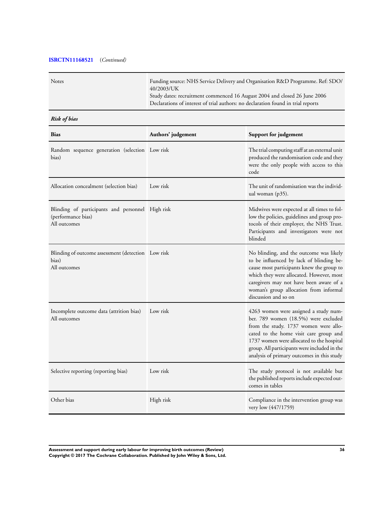### **[ISRCTN11168521](#page-29-0)** (*Continued)*

| <b>Notes</b> | Funding source: NHS Service Delivery and Organisation R&D Programme. Ref: SDO/   |
|--------------|----------------------------------------------------------------------------------|
|              | 40/2003/UK                                                                       |
|              | Study dates: recruitment commenced 16 August 2004 and closed 26 June 2006        |
|              | Declarations of interest of trial authors: no declaration found in trial reports |
|              |                                                                                  |

### *Risk of bias*

| <b>Bias</b>                                                                            | Authors' judgement | Support for judgement                                                                                                                                                                                                                                                                                       |
|----------------------------------------------------------------------------------------|--------------------|-------------------------------------------------------------------------------------------------------------------------------------------------------------------------------------------------------------------------------------------------------------------------------------------------------------|
| Random sequence generation (selection Low risk<br>bias)                                |                    | The trial computing staff at an external unit<br>produced the randomisation code and they<br>were the only people with access to this<br>code                                                                                                                                                               |
| Allocation concealment (selection bias)                                                | Low risk           | The unit of randomisation was the individ-<br>ual woman (p35).                                                                                                                                                                                                                                              |
| Blinding of participants and personnel High risk<br>(performance bias)<br>All outcomes |                    | Midwives were expected at all times to fol-<br>low the policies, guidelines and group pro-<br>tocols of their employer, the NHS Trust.<br>Participants and investigators were not<br>blinded                                                                                                                |
| Blinding of outcome assessment (detection Low risk<br>bias)<br>All outcomes            |                    | No blinding, and the outcome was likely<br>to be influenced by lack of blinding be-<br>cause most participants knew the group to<br>which they were allocated. However, most<br>caregivers may not have been aware of a<br>woman's group allocation from informal<br>discussion and so on                   |
| Incomplete outcome data (attrition bias)<br>All outcomes                               | Low risk           | 4263 women were assigned a study num-<br>ber. 789 women (18.5%) were excluded<br>from the study. 1737 women were allo-<br>cated to the home visit care group and<br>1737 women were allocated to the hospital<br>group. All participants were included in the<br>analysis of primary outcomes in this study |
| Selective reporting (reporting bias)                                                   | Low risk           | The study protocol is not available but<br>the published reports include expected out-<br>comes in tables                                                                                                                                                                                                   |
| Other bias                                                                             | High risk          | Compliance in the intervention group was<br>very low (447/1759)                                                                                                                                                                                                                                             |

**Assessment and support during early labour for improving birth outcomes (Review) 36 Copyright © 2017 The Cochrane Collaboration. Published by John Wiley & Sons, Ltd.**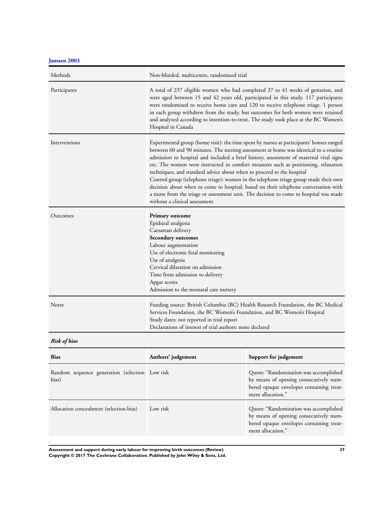**[Janssen 2003](#page-29-0)**

| Methods       | Non-blinded, multicentre, randomized trial                                                                                                                                                                                                                                                                                                                                                                                                                                                                                                                                                                                                                                                                                                        |
|---------------|---------------------------------------------------------------------------------------------------------------------------------------------------------------------------------------------------------------------------------------------------------------------------------------------------------------------------------------------------------------------------------------------------------------------------------------------------------------------------------------------------------------------------------------------------------------------------------------------------------------------------------------------------------------------------------------------------------------------------------------------------|
| Participants  | A total of 237 eligible women who had completed 37 to 41 weeks of gestation, and<br>were aged between 15 and 42 years old, participated in this study. 117 participants<br>were randomized to receive home care and 120 to receive telephone triage. 1 person<br>in each group withdrew from the study, but outcomes for both women were retained<br>and analyzed according to intention-to-treat. The study took place at the BC Women's<br>Hospital in Canada                                                                                                                                                                                                                                                                                   |
| Interventions | Experimental group (home visit): the time spent by nurses at participants' homes ranged<br>between 60 and 90 minutes. The nursing assessment at home was identical to a routine<br>admission to hospital and included a brief history, assessment of maternal vital signs<br>etc. The women were instructed in comfort measures such as positioning, relaxation<br>techniques, and standard advice about when to proceed to the hospital<br>Control group (telephone triage): women in the telephone triage group made their own<br>decision about when to come to hospital, based on their telephone conversation with<br>a nurse from the triage or assessment unit. The decision to come to hospital was made<br>without a clinical assessment |
| Outcomes      | Primary outcome<br>Epidural analgesia<br>Caesarean delivery<br>Secondary outcomes<br>Labour augmentation<br>Use of electronic fetal monitoring<br>Use of analgesia<br>Cervical dilatation on admission<br>Time from admission to delivery<br>Apgar scores<br>Admission to the neonatal care nursery                                                                                                                                                                                                                                                                                                                                                                                                                                               |
| Notes         | Funding source: British Columbia (BC) Health Research Foundation, the BC Medical<br>Services Foundation, the BC Women's Foundation, and BC Women's Hospital<br>Study dates: not reported in trial report<br>Declarations of interest of trial authors: none declared                                                                                                                                                                                                                                                                                                                                                                                                                                                                              |

*Risk of bias*

| <b>Bias</b>                                             | Authors' judgement | Support for judgement                                                                                                                             |
|---------------------------------------------------------|--------------------|---------------------------------------------------------------------------------------------------------------------------------------------------|
| Random sequence generation (selection Low risk<br>bias) |                    | Quote: "Randomisation was accomplished<br>by means of opening consecutively num-<br>bered opaque envelopes containing treat-<br>ment allocation." |
| Allocation concealment (selection bias)                 | Low risk           | Quote: "Randomisation was accomplished<br>by means of opening consecutively num-<br>bered opaque envelopes containing treat-<br>ment allocation." |

**Assessment and support during early labour for improving birth outcomes (Review) 37 Copyright © 2017 The Cochrane Collaboration. Published by John Wiley & Sons, Ltd.**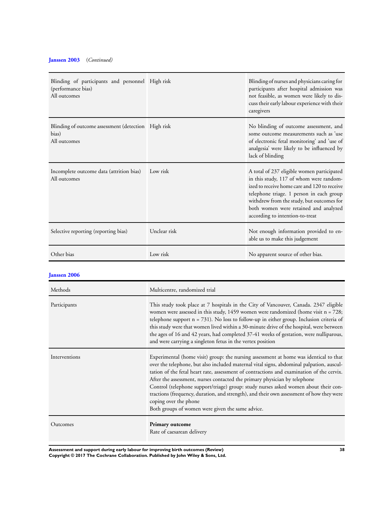### **[Janssen 2003](#page-29-0)** (*Continued)*

| Blinding of participants and personnel High risk<br>(performance bias)<br>All outcomes |              | Blinding of nurses and physicians caring for<br>participants after hospital admission was<br>not feasible, as women were likely to dis-<br>cuss their early labour experience with their<br>caregivers                                                                                                     |
|----------------------------------------------------------------------------------------|--------------|------------------------------------------------------------------------------------------------------------------------------------------------------------------------------------------------------------------------------------------------------------------------------------------------------------|
| Blinding of outcome assessment (detection High risk<br>bias)<br>All outcomes           |              | No blinding of outcome assessment, and<br>some outcome measurements such as 'use<br>of electronic fetal monitoring' and 'use of<br>analgesia' were likely to be influenced by<br>lack of blinding                                                                                                          |
| Incomplete outcome data (attrition bias)<br>All outcomes                               | Low risk     | A total of 237 eligible women participated<br>in this study, 117 of whom were random-<br>ized to receive home care and 120 to receive<br>telephone triage. 1 person in each group<br>withdrew from the study, but outcomes for<br>both women were retained and analyzed<br>according to intention-to-treat |
| Selective reporting (reporting bias)                                                   | Unclear risk | Not enough information provided to en-<br>able us to make this judgement                                                                                                                                                                                                                                   |
| Other bias                                                                             | Low risk     | No apparent source of other bias.                                                                                                                                                                                                                                                                          |

### **[Janssen 2006](#page-29-0)**

| Methods       | Multicentre, randomized trial                                                                                                                                                                                                                                                                                                                                                                                                                                                                                                                                                                                               |
|---------------|-----------------------------------------------------------------------------------------------------------------------------------------------------------------------------------------------------------------------------------------------------------------------------------------------------------------------------------------------------------------------------------------------------------------------------------------------------------------------------------------------------------------------------------------------------------------------------------------------------------------------------|
| Participants  | This study took place at 7 hospitals in the City of Vancouver, Canada. 2347 eligible<br>women were assessed in this study, 1459 women were randomized (home visit $n = 728$ ;<br>telephone support $n = 731$ ). No loss to follow-up in either group. Inclusion criteria of<br>this study were that women lived within a 30-minute drive of the hospital, were between<br>the ages of 16 and 42 years, had completed 37-41 weeks of gestation, were nulliparous,<br>and were carrying a singleton fetus in the vertex position                                                                                              |
| Interventions | Experimental (home visit) group: the nursing assessment at home was identical to that<br>over the telephone, but also included maternal vital signs, abdominal palpation, auscul-<br>tation of the fetal heart rate, assessment of contractions and examination of the cervix.<br>After the assessment, nurses contacted the primary physician by telephone<br>Control (telephone support/triage) group: study nurses asked women about their con-<br>tractions (frequency, duration, and strength), and their own assessment of how they were<br>coping over the phone<br>Both groups of women were given the same advice. |
| Outcomes      | <b>Primary outcome</b><br>Rate of caesarean delivery                                                                                                                                                                                                                                                                                                                                                                                                                                                                                                                                                                        |

**Assessment and support during early labour for improving birth outcomes (Review) 38 Copyright © 2017 The Cochrane Collaboration. Published by John Wiley & Sons, Ltd.**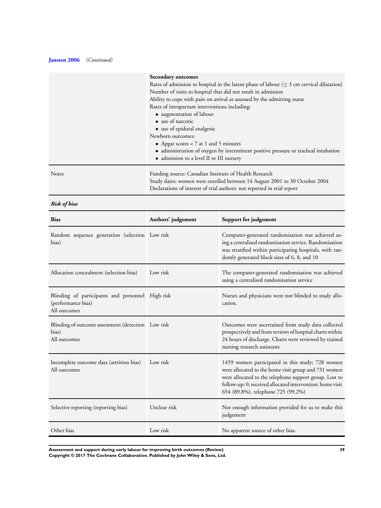### **[Janssen 2006](#page-29-0)** (*Continued)*

|              | Secondary outcomes<br>Rates of admission to hospital in the latent phase of labour ( $\leq$ 3 cm cervical dilatation)<br>Number of visits to hospital that did not result in admission<br>Ability to cope with pain on arrival as assessed by the admitting nurse<br>Rates of intrapartum interventions including:<br>• augmentation of labour<br>• use of narcotic<br>• use of epidural analgesia<br>Newborn outcomes:<br>• Apgar scores $< 7$ at 1 and 5 minutes<br>• administration of oxygen by intermittent positive pressure or tracheal intubation<br>• admission to a level II or III nursery |
|--------------|-------------------------------------------------------------------------------------------------------------------------------------------------------------------------------------------------------------------------------------------------------------------------------------------------------------------------------------------------------------------------------------------------------------------------------------------------------------------------------------------------------------------------------------------------------------------------------------------------------|
| <b>Notes</b> | Funding source: Canadian Institute of Health Research<br>Study dates: women were enrolled between 14 August 2001 to 30 October 2004<br>Declarations of interest of trial authors: not reported in trial report                                                                                                                                                                                                                                                                                                                                                                                        |

*Risk of bias*

| <b>Bias</b>                                                                            | Authors' judgement | Support for judgement                                                                                                                                                                                                                                                 |
|----------------------------------------------------------------------------------------|--------------------|-----------------------------------------------------------------------------------------------------------------------------------------------------------------------------------------------------------------------------------------------------------------------|
| Random sequence generation (selection Low risk<br>bias)                                |                    | Computer-generated randomisation was achieved us-<br>ing a centralised randomisation service. Randomisation<br>was stratified within participating hospitals, with ran-<br>domly generated block sizes of 6, 8, and 10                                                |
| Allocation concealment (selection bias)                                                | Low risk           | The computer-generated randomisation was achieved<br>using a centralised randomisation service                                                                                                                                                                        |
| Blinding of participants and personnel High risk<br>(performance bias)<br>All outcomes |                    | Nurses and physicians were not blinded to study allo-<br>cation.                                                                                                                                                                                                      |
| Blinding of outcome assessment (detection Low risk<br>bias)<br>All outcomes            |                    | Outcomes were ascertained from study data collected<br>prospectively and from reviews of hospital charts within<br>24 hours of discharge. Charts were reviewed by trained<br>nursing research assistants                                                              |
| Incomplete outcome data (attrition bias)<br>All outcomes                               | Low risk           | 1459 women participated in this study; 728 women<br>were allocated to the home visit group and 731 women<br>were allocated to the telephone support group. Lost to<br>follow-up: 0, received allocated intervention: home visit<br>654 (89.8%), telephone 725 (99.2%) |
| Selective reporting (reporting bias)                                                   | Unclear risk       | Not enough information provided for us to make this<br>judgement                                                                                                                                                                                                      |
| Other bias                                                                             | Low risk           | No apparent source of other bias.                                                                                                                                                                                                                                     |

**Assessment and support during early labour for improving birth outcomes (Review) 39 Copyright © 2017 The Cochrane Collaboration. Published by John Wiley & Sons, Ltd.**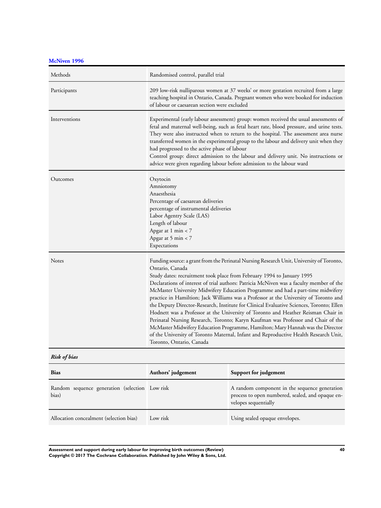**[McNiven 1996](#page-29-0)**

| Methods       | Randomised control, parallel trial                                                                                                                                                                                                                                                                                                                                                                                                                                                                                                                                                                                                                                                                                                                                                                                                                                                                                                       |  |  |
|---------------|------------------------------------------------------------------------------------------------------------------------------------------------------------------------------------------------------------------------------------------------------------------------------------------------------------------------------------------------------------------------------------------------------------------------------------------------------------------------------------------------------------------------------------------------------------------------------------------------------------------------------------------------------------------------------------------------------------------------------------------------------------------------------------------------------------------------------------------------------------------------------------------------------------------------------------------|--|--|
| Participants  | 209 low-risk nulliparous women at 37 weeks' or more gestation recruited from a large<br>teaching hospital in Ontario, Canada. Pregnant women who were booked for induction<br>of labour or caesarean section were excluded                                                                                                                                                                                                                                                                                                                                                                                                                                                                                                                                                                                                                                                                                                               |  |  |
| Interventions | Experimental (early labour assessment) group: women received the usual assessments of<br>fetal and maternal well-being, such as fetal heart rate, blood pressure, and urine tests.<br>They were also instructed when to return to the hospital. The assessment area nurse<br>transferred women in the experimental group to the labour and delivery unit when they<br>had progressed to the active phase of labour<br>Control group: direct admission to the labour and delivery unit. No instructions or<br>advice were given regarding labour before admission to the labour ward                                                                                                                                                                                                                                                                                                                                                      |  |  |
| Outcomes      | Oxytocin<br>Amniotomy<br>Anaesthesia<br>Percentage of caesarean deliveries<br>percentage of instrumental deliveries<br>Labor Agentry Scale (LAS)<br>Length of labour<br>Apgar at $1 \text{ min} < 7$<br>Apgar at 5 min < 7<br>Expectations                                                                                                                                                                                                                                                                                                                                                                                                                                                                                                                                                                                                                                                                                               |  |  |
| <b>Notes</b>  | Funding source: a grant from the Perinatal Nursing Research Unit, University of Toronto,<br>Ontario, Canada<br>Study dates: recruitment took place from February 1994 to January 1995<br>Declarations of interest of trial authors: Patricia McNiven was a faculty member of the<br>McMaster University Midwifery Education Programme and had a part-time midwifery<br>practice in Hamiltion; Jack Williams was a Professor at the University of Toronto and<br>the Deputy Director-Research, Institute for Clinical Evaluative Sciences, Toronto; Ellen<br>Hodnett was a Professor at the University of Toronto and Heather Reisman Chair in<br>Perinatal Nursing Research, Toronto; Karyn Kaufman was Professor and Chair of the<br>McMaster Midwifery Education Programme, Hamilton; Mary Hannah was the Director<br>of the University of Toronto Maternal, Infant and Reproductive Health Research Unit,<br>Toronto, Ontario, Canada |  |  |

*Risk of bias*

| <b>Bias</b>                                             | Authors' judgement | Support for judgement                                                                                                     |
|---------------------------------------------------------|--------------------|---------------------------------------------------------------------------------------------------------------------------|
| Random sequence generation (selection Low risk<br>bias) |                    | A random component in the sequence generation<br>process to open numbered, sealed, and opaque en-<br>velopes sequentially |
| Allocation concealment (selection bias)                 | Low risk           | Using sealed opaque envelopes.                                                                                            |

**Assessment and support during early labour for improving birth outcomes (Review) 40 Copyright © 2017 The Cochrane Collaboration. Published by John Wiley & Sons, Ltd.**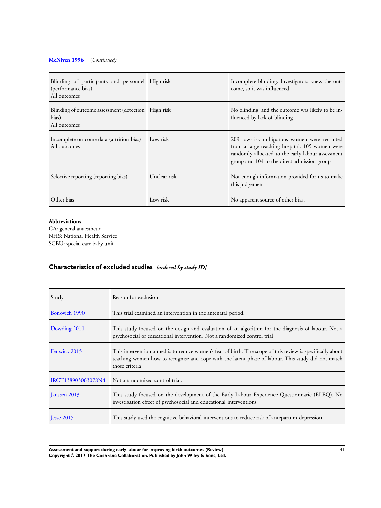### **[McNiven 1996](#page-29-0)** (*Continued)*

| Blinding of participants and personnel High risk<br>(performance bias)<br>All outcomes |              | Incomplete blinding. Investigators knew the out-<br>come, so it was influenced                                                                                                                      |
|----------------------------------------------------------------------------------------|--------------|-----------------------------------------------------------------------------------------------------------------------------------------------------------------------------------------------------|
| Blinding of outcome assessment (detection High risk<br>bias)<br>All outcomes           |              | No blinding, and the outcome was likely to be in-<br>fluenced by lack of blinding                                                                                                                   |
| Incomplete outcome data (attrition bias)<br>All outcomes                               | Low risk     | 209 low-risk nulliparous women were recruited<br>from a large teaching hospital. 105 women were<br>randomly allocated to the early labour assessment<br>group and 104 to the direct admission group |
| Selective reporting (reporting bias)                                                   | Unclear risk | Not enough information provided for us to make<br>this judgement                                                                                                                                    |
| Other bias                                                                             | Low risk     | No apparent source of other bias.                                                                                                                                                                   |

### **Abbreviations**

GA: general anaesthetic NHS: National Health Service SCBU: special care baby unit

## **Characteristics of excluded studies** *[ordered by study ID]*

| Study                  | Reason for exclusion                                                                                                                                                                                                               |
|------------------------|------------------------------------------------------------------------------------------------------------------------------------------------------------------------------------------------------------------------------------|
| Bonovich 1990          | This trial examined an intervention in the antenatal period.                                                                                                                                                                       |
| Dowding 2011           | This study focused on the design and evaluation of an algorithm for the diagnosis of labour. Not a<br>psychosocial or educational intervention. Not a randomized control trial                                                     |
| Fenwick 2015           | This intervention aimed is to reduce women's fear of birth. The scope of this review is specifically about<br>teaching women how to recognise and cope with the latent phase of labour. This study did not match<br>those criteria |
| IRCT138903063078N4     | Not a randomized control trial.                                                                                                                                                                                                    |
| Janssen 2013           | This study focused on the development of the Early Labour Experience Questionnarie (ELEQ). No<br>investigation effect of psychosocial and educational interventions                                                                |
| $\textsf{Iesse } 2015$ | This study used the cognitive behavioral interventions to reduce risk of antepartum depression                                                                                                                                     |

**Assessment and support during early labour for improving birth outcomes (Review) 41 Copyright © 2017 The Cochrane Collaboration. Published by John Wiley & Sons, Ltd.**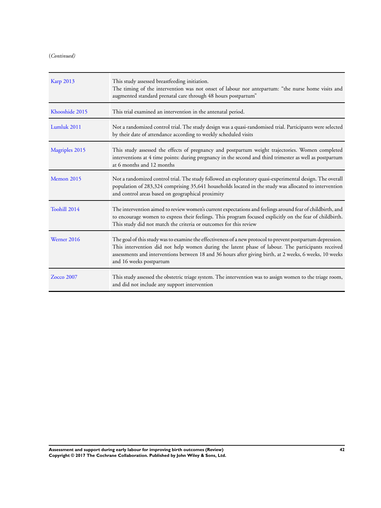### (*Continued)*

| <b>Karp 2013</b> | This study assessed breastfeeding initiation.<br>The timing of the intervention was not onset of labour nor antepartum: "the nurse home visits and<br>augmented standard prenatal care through 48 hours postpartum"                                                                                                                                    |
|------------------|--------------------------------------------------------------------------------------------------------------------------------------------------------------------------------------------------------------------------------------------------------------------------------------------------------------------------------------------------------|
| Khooshide 2015   | This trial examined an intervention in the antenatal period.                                                                                                                                                                                                                                                                                           |
| Lumluk 2011      | Not a randomized control trial. The study design was a quasi-randomised trial. Participants were selected<br>by their date of attendance according to weekly scheduled visits                                                                                                                                                                          |
| Magriples 2015   | This study assessed the effects of pregnancy and postpartum weight trajectories. Women completed<br>interventions at 4 time points: during pregnancy in the second and third trimester as well as postpartum<br>at 6 months and 12 months                                                                                                              |
| Memon 2015       | Not a randomized control trial. The study followed an exploratory quasi-experimental design. The overall<br>population of 283,324 comprising 35,641 households located in the study was allocated to intervention<br>and control areas based on geographical proximity                                                                                 |
| Toohill 2014     | The intervention aimed to review women's current expectations and feelings around fear of childbirth, and<br>to encourage women to express their feelings. This program focused explicitly on the fear of childbirth.<br>This study did not match the criteria or outcomes for this review                                                             |
| Werner 2016      | The goal of this study was to examine the effectiveness of a new protocol to prevent postpartum depression.<br>This intervention did not help women during the latent phase of labour. The participants received<br>assessments and interventions between 18 and 36 hours after giving birth, at 2 weeks, 6 weeks, 10 weeks<br>and 16 weeks postpartum |
| Zocco 2007       | This study assessed the obstetric triage system. The intervention was to assign women to the triage room,<br>and did not include any support intervention                                                                                                                                                                                              |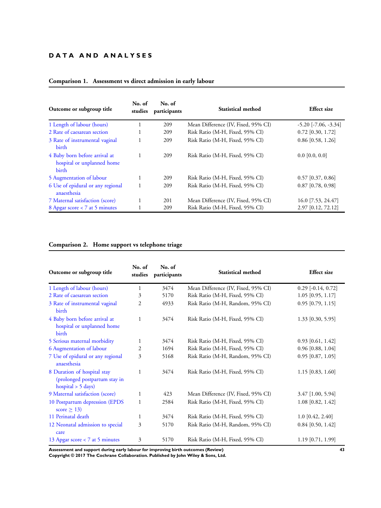### **D A T A A N D A N A L Y S E S**

| Outcome or subgroup title                                            | No. of<br>studies | No. of<br>participants | <b>Statistical method</b>           | <b>Effect</b> size       |
|----------------------------------------------------------------------|-------------------|------------------------|-------------------------------------|--------------------------|
| 1 Length of labour (hours)                                           |                   | 209                    | Mean Difference (IV, Fixed, 95% CI) | $-5.20$ $[-7.06, -3.34]$ |
| 2 Rate of caesarean section                                          |                   | 209                    | Risk Ratio (M-H, Fixed, 95% CI)     | $0.72$ [0.30, 1.72]      |
| 3 Rate of instrumental vaginal<br><b>birth</b>                       |                   | 209                    | Risk Ratio (M-H, Fixed, 95% CI)     | $0.86$ [0.58, 1.26]      |
| 4 Baby born before arrival at<br>hospital or unplanned home<br>birth | 1                 | 209                    | Risk Ratio (M-H, Fixed, 95% CI)     | $0.0$ [0.0, 0.0]         |
| 5 Augmentation of labour                                             |                   | 209                    | Risk Ratio (M-H, Fixed, 95% CI)     | $0.57$ [0.37, 0.86]      |
| 6 Use of epidural or any regional<br>anaesthesia                     |                   | 209                    | Risk Ratio (M-H, Fixed, 95% CI)     | $0.87$ [0.78, 0.98]      |
| 7 Maternal satisfaction (score)                                      |                   | 201                    | Mean Difference (IV, Fixed, 95% CI) | 16.0 [7.53, 24.47]       |
| 8 Apgar score < 7 at 5 minutes                                       |                   | 209                    | Risk Ratio (M-H, Fixed, 95% CI)     | 2.97 [0.12, 72.12]       |

### **Comparison 1. Assessment vs direct admission in early labour**

### **Comparison 2. Home support vs telephone triage**

| Outcome or subgroup title                                                            | No. of<br>studies | No. of<br>participants | Statistical method                  | <b>Effect</b> size   |
|--------------------------------------------------------------------------------------|-------------------|------------------------|-------------------------------------|----------------------|
| 1 Length of labour (hours)                                                           | 1                 | 3474                   | Mean Difference (IV, Fixed, 95% CI) | $0.29$ [-0.14, 0.72] |
| 2 Rate of caesarean section                                                          | 3                 | 5170                   | Risk Ratio (M-H, Fixed, 95% CI)     | $1.05$ [0.95, 1.17]  |
| 3 Rate of instrumental vaginal<br>birth                                              | $\overline{2}$    | 4933                   | Risk Ratio (M-H, Random, 95% CI)    | $0.95$ [0.79, 1.15]  |
| 4 Baby born before arrival at<br>hospital or unplanned home<br>birth                 | 1                 | 3474                   | Risk Ratio (M-H, Fixed, 95% CI)     | $1.33$ [0.30, 5.95]  |
| 5 Serious maternal morbidity                                                         | $\mathbf{1}$      | 3474                   | Risk Ratio (M-H, Fixed, 95% CI)     | $0.93$ [0.61, 1.42]  |
| 6 Augmentation of labour                                                             | 2                 | 1694                   | Risk Ratio (M-H, Fixed, 95% CI)     | $0.96$ [0.88, 1.04]  |
| 7 Use of epidural or any regional<br>anaesthesia                                     | $\mathfrak{Z}$    | 5168                   | Risk Ratio (M-H, Random, 95% CI)    | $0.95$ [0.87, 1.05]  |
| 8 Duration of hospital stay<br>(prolonged postpartum stay in<br>hospital $>$ 5 days) | 1                 | 3474                   | Risk Ratio (M-H, Fixed, 95% CI)     | $1.15$ [0.83, 1.60]  |
| 9 Maternal satisfaction (score)                                                      | 1                 | 423                    | Mean Difference (IV, Fixed, 95% CI) | 3.47 [1.00, 5.94]    |
| 10 Postpartum depression (EPDS<br>score $\geq$ 13)                                   | 1                 | 2584                   | Risk Ratio (M-H, Fixed, 95% CI)     | $1.08$ [0.82, 1.42]  |
| 11 Perinatal death                                                                   | 1                 | 3474                   | Risk Ratio (M-H, Fixed, 95% CI)     | $1.0$ [0.42, 2.40]   |
| 12 Neonatal admission to special<br>care                                             | 3                 | 5170                   | Risk Ratio (M-H, Random, 95% CI)    | $0.84$ [0.50, 1.42]  |
| 13 Apgar score < 7 at 5 minutes                                                      | 3                 | 5170                   | Risk Ratio (M-H, Fixed, 95% CI)     | 1.19 [0.71, 1.99]    |

**Assessment and support during early labour for improving birth outcomes (Review) 43**

**Copyright © 2017 The Cochrane Collaboration. Published by John Wiley & Sons, Ltd.**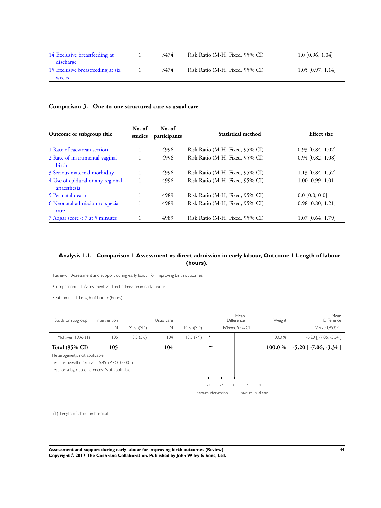<span id="page-46-0"></span>

| 14 Exclusive breastfeeding at                           | 3474 | Risk Ratio (M-H, Fixed, 95% CI) | $1.0$ [0.96, 1.04]  |
|---------------------------------------------------------|------|---------------------------------|---------------------|
| discharge<br>15 Exclusive breastfeeding at six<br>weeks | 3474 | Risk Ratio (M-H, Fixed, 95% CI) | $1.05$ [0.97, 1.14] |

### **Comparison 3. One-to-one structured care vs usual care**

| Outcome or subgroup title                        | No. of<br>studies | No. of<br>participants | Statistical method              | <b>Effect</b> size  |
|--------------------------------------------------|-------------------|------------------------|---------------------------------|---------------------|
| 1 Rate of caesarean section                      |                   | 4996                   | Risk Ratio (M-H, Fixed, 95% CI) | $0.93$ [0.84, 1.02] |
| 2 Rate of instrumental vaginal<br><b>birth</b>   |                   | 4996                   | Risk Ratio (M-H, Fixed, 95% CI) | $0.94$ [0.82, 1.08] |
| 3 Serious maternal morbidity                     |                   | 4996                   | Risk Ratio (M-H, Fixed, 95% CI) | 1.13 [0.84, 1.52]   |
| 4 Use of epidural or any regional<br>anaesthesia |                   | 4996                   | Risk Ratio (M-H, Fixed, 95% CI) | 1.00 [0.99, 1.01]   |
| 5 Perinatal death                                |                   | 4989                   | Risk Ratio (M-H, Fixed, 95% CI) | $0.0$ [0.0, 0.0]    |
| 6 Neonatal admission to special<br>care          |                   | 4989                   | Risk Ratio (M-H, Fixed, 95% CI) | $0.98$ [0.80, 1.21] |
| 7 Apgar score $<$ 7 at 5 minutes                 |                   | 4989                   | Risk Ratio (M-H, Fixed, 95% CI) | 1.07 [0.64, 1.79]   |

### **Analysis 1.1. Comparison 1 Assessment vs direct admission in early labour, Outcome 1 Length of labour (hours).**

Review: Assessment and support during early labour for improving birth outcomes

Comparison: 1 Assessment vs direct admission in early labour

Outcome: 1 Length of labour (hours)

| Study or subgroup                                                                                                                                            | Intervention |          | Usual care  |           |                              |      | Mean<br>Difference                   | Weight         | Mean<br>Difference                   |
|--------------------------------------------------------------------------------------------------------------------------------------------------------------|--------------|----------|-------------|-----------|------------------------------|------|--------------------------------------|----------------|--------------------------------------|
|                                                                                                                                                              | $\mathbb N$  | Mean(SD) | $\mathbb N$ | Mean(SD)  |                              |      | IV, Fixed, 95% CI                    |                | IV, Fixed, 95% CI                    |
| McNiven 1996 (1)                                                                                                                                             | 105          | 8.3(5.6) | 104         | 13.5(7.9) |                              |      |                                      | 100.0 %        | $-5.20$ $\lceil -7.06, -3.34 \rceil$ |
| <b>Total (95% CI)</b><br>Heterogeneity: not applicable<br>Test for overall effect: $Z = 5.49$ (P < 0.00001)<br>Test for subgroup differences: Not applicable | 105          |          | 104         |           |                              |      |                                      | 100.0 %        | $-5.20$ [ $-7.06$ , $-3.34$ ]        |
|                                                                                                                                                              |              |          |             |           |                              |      |                                      |                |                                      |
| (1) Length of labour in hospital                                                                                                                             |              |          |             |           | $-4$<br>Favours intervention | $-2$ | $\overline{2}$<br>Favours usual care | $\overline{4}$ |                                      |
| Assessment and support during early labour for improving birth outcomes (Review)                                                                             |              |          |             |           |                              |      |                                      |                | 44                                   |

**Copyright © 2017 The Cochrane Collaboration. Published by John Wiley & Sons, Ltd.**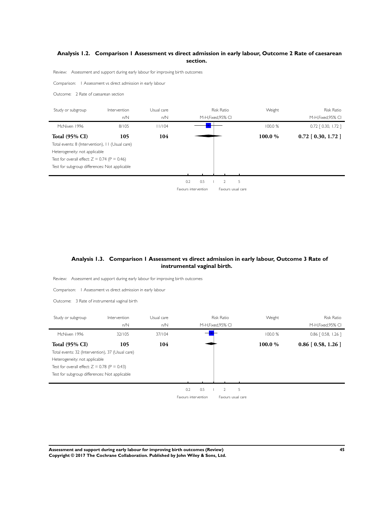### <span id="page-47-0"></span>**Analysis 1.2. Comparison 1 Assessment vs direct admission in early labour, Outcome 2 Rate of caesarean section.**

Review: Assessment and support during early labour for improving birth outcomes

Comparison: 1 Assessment vs direct admission in early labour

Outcome: 2 Rate of caesarean section



### **Analysis 1.3. Comparison 1 Assessment vs direct admission in early labour, Outcome 3 Rate of instrumental vaginal birth.**

| Review: Assessment and support during early labour for improving birth outcomes |                                                  |                   |                      |     |                                         |                    |         |                                         |
|---------------------------------------------------------------------------------|--------------------------------------------------|-------------------|----------------------|-----|-----------------------------------------|--------------------|---------|-----------------------------------------|
| Comparison:                                                                     | I Assessment vs direct admission in early labour |                   |                      |     |                                         |                    |         |                                         |
| Outcome:                                                                        | 3 Rate of instrumental vaginal birth             |                   |                      |     |                                         |                    |         |                                         |
| Study or subgroup                                                               | Intervention<br>n/N                              | Usual care<br>n/N |                      |     | <b>Risk Ratio</b><br>M-H, Fixed, 95% CI |                    | Weight  | <b>Risk Ratio</b><br>M-H, Fixed, 95% CI |
| McNiven 1996                                                                    | 32/105                                           | 37/104            |                      |     |                                         |                    | 100.0 % | $0.86$ $[0.58, 1.26]$                   |
| Total (95% CI)                                                                  | 105                                              | 104               |                      |     |                                         |                    | 100.0%  | $0.86$ [ $0.58$ , 1.26 ]                |
| Total events: 32 (Intervention), 37 (Usual care)                                |                                                  |                   |                      |     |                                         |                    |         |                                         |
| Heterogeneity: not applicable                                                   |                                                  |                   |                      |     |                                         |                    |         |                                         |
| Test for overall effect: $Z = 0.78$ (P = 0.43)                                  |                                                  |                   |                      |     |                                         |                    |         |                                         |
| Test for subgroup differences: Not applicable                                   |                                                  |                   |                      |     |                                         |                    |         |                                         |
|                                                                                 |                                                  |                   |                      |     |                                         |                    |         |                                         |
|                                                                                 |                                                  |                   | 0.2                  | 0.5 | $\overline{2}$                          | 5                  |         |                                         |
|                                                                                 |                                                  |                   | Favours intervention |     |                                         | Favours usual care |         |                                         |
|                                                                                 |                                                  |                   |                      |     |                                         |                    |         |                                         |

**Assessment and support during early labour for improving birth outcomes (Review) 45 Copyright © 2017 The Cochrane Collaboration. Published by John Wiley & Sons, Ltd.**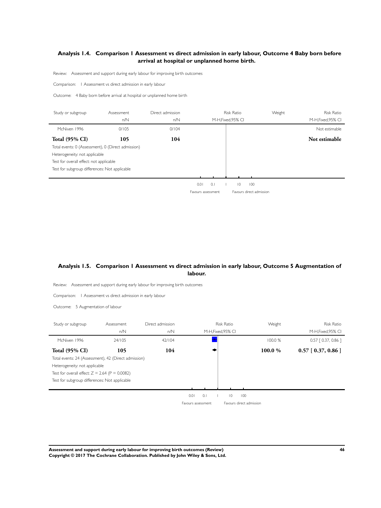### <span id="page-48-0"></span>**Analysis 1.4. Comparison 1 Assessment vs direct admission in early labour, Outcome 4 Baby born before arrival at hospital or unplanned home birth.**

Review: Assessment and support during early labour for improving birth outcomes

Comparison: 1 Assessment vs direct admission in early labour

l.

j.

Ĭ.

Outcome: 4 Baby born before arrival at hospital or unplanned home birth

| Study or subgroup                                  | Assessment | Direct admission |                    |     | <b>Risk Ratio</b>  | Weight                   | <b>Risk Ratio</b>  |
|----------------------------------------------------|------------|------------------|--------------------|-----|--------------------|--------------------------|--------------------|
|                                                    | n/N        | n/N              |                    |     | M-H, Fixed, 95% CI |                          | M-H, Fixed, 95% CI |
| McNiven 1996                                       | 0/105      | 0/104            |                    |     |                    |                          | Not estimable      |
| <b>Total (95% CI)</b>                              | 105        | 104              |                    |     |                    |                          | Not estimable      |
| Total events: 0 (Assessment), 0 (Direct admission) |            |                  |                    |     |                    |                          |                    |
| Heterogeneity: not applicable                      |            |                  |                    |     |                    |                          |                    |
| Test for overall effect: not applicable            |            |                  |                    |     |                    |                          |                    |
| Test for subgroup differences: Not applicable      |            |                  |                    |     |                    |                          |                    |
|                                                    |            |                  |                    |     |                    |                          |                    |
|                                                    |            |                  | 0.01               | 0.1 | $\overline{10}$    | 100                      |                    |
|                                                    |            |                  | Favours assessment |     |                    | Favours direct admission |                    |

### **Analysis 1.5. Comparison 1 Assessment vs direct admission in early labour, Outcome 5 Augmentation of labour.**

| Review: Assessment and support during early labour for improving birth outcomes |                                                  |                         |                    |                          |         |                                         |
|---------------------------------------------------------------------------------|--------------------------------------------------|-------------------------|--------------------|--------------------------|---------|-----------------------------------------|
| Comparison:                                                                     | I Assessment vs direct admission in early labour |                         |                    |                          |         |                                         |
| Outcome: 5 Augmentation of labour                                               |                                                  |                         |                    |                          |         |                                         |
| Study or subgroup                                                               | Assessment<br>n/N                                | Direct admission<br>n/N | M-H, Fixed, 95% CI | <b>Risk Ratio</b>        | Weight  | <b>Risk Ratio</b><br>M-H, Fixed, 95% CI |
|                                                                                 |                                                  |                         |                    |                          |         |                                         |
| McNiven 1996                                                                    | 24/105                                           | 42/104                  |                    |                          | 100.0%  | $0.57$ $[0.37, 0.86]$                   |
| <b>Total (95% CI)</b>                                                           | 105                                              | 104                     |                    |                          | 100.0 % | $0.57$ [ $0.37, 0.86$ ]                 |
| Total events: 24 (Assessment), 42 (Direct admission)                            |                                                  |                         |                    |                          |         |                                         |
| Heterogeneity: not applicable                                                   |                                                  |                         |                    |                          |         |                                         |
| Test for overall effect: $Z = 2.64$ (P = 0.0082)                                |                                                  |                         |                    |                          |         |                                         |
| Test for subgroup differences: Not applicable                                   |                                                  |                         |                    |                          |         |                                         |
|                                                                                 |                                                  |                         |                    |                          |         |                                         |
|                                                                                 |                                                  |                         | 0.1<br>0.01        | $\overline{0}$<br>100    |         |                                         |
|                                                                                 |                                                  |                         | Favours assessment | Favours direct admission |         |                                         |

**Assessment and support during early labour for improving birth outcomes (Review) 46 Copyright © 2017 The Cochrane Collaboration. Published by John Wiley & Sons, Ltd.**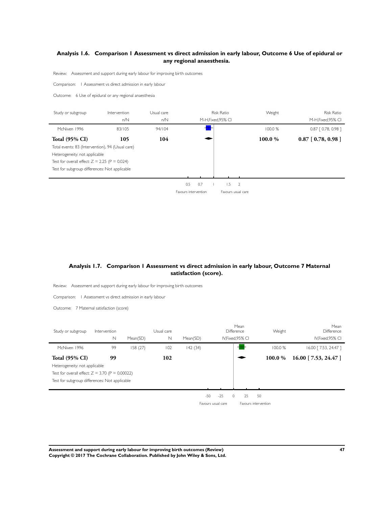### <span id="page-49-0"></span>**Analysis 1.6. Comparison 1 Assessment vs direct admission in early labour, Outcome 6 Use of epidural or any regional anaesthesia.**

Review: Assessment and support during early labour for improving birth outcomes

Comparison: 1 Assessment vs direct admission in early labour

Outcome: 6 Use of epidural or any regional anaesthesia

| Study or subgroup                                | Intervention | Usual care |                      | <b>Risk Ratio</b><br>M-H, Fixed, 95% CI |                    | Weight         |        | <b>Risk Ratio</b>     |
|--------------------------------------------------|--------------|------------|----------------------|-----------------------------------------|--------------------|----------------|--------|-----------------------|
|                                                  | n/N          | n/N        |                      |                                         |                    |                |        | M-H, Fixed, 95% CI    |
| McNiven 1996                                     | 83/105       | 94/104     |                      |                                         |                    |                | 100.0% | $0.87$ $[0.78, 0.98]$ |
| <b>Total (95% CI)</b>                            | 105          | 104        |                      |                                         |                    |                | 100.0% | $0.87$ [ 0.78, 0.98 ] |
| Total events: 83 (Intervention), 94 (Usual care) |              |            |                      |                                         |                    |                |        |                       |
| Heterogeneity: not applicable                    |              |            |                      |                                         |                    |                |        |                       |
| Test for overall effect: $Z = 2.25$ (P = 0.024)  |              |            |                      |                                         |                    |                |        |                       |
| Test for subgroup differences: Not applicable    |              |            |                      |                                         |                    |                |        |                       |
|                                                  |              |            |                      |                                         |                    |                |        |                       |
|                                                  |              |            | 0.5                  | 0.7                                     | 1.5                | $\overline{2}$ |        |                       |
|                                                  |              |            | Favours intervention |                                         | Favours usual care |                |        |                       |
|                                                  |              |            |                      |                                         |                    |                |        |                       |
|                                                  |              |            |                      |                                         |                    |                |        |                       |

### **Analysis 1.7. Comparison 1 Assessment vs direct admission in early labour, Outcome 7 Maternal satisfaction (score).**

Review: Assessment and support during early labour for improving birth outcomes

Comparison: 1 Assessment vs direct admission in early labour

Outcome: 7 Maternal satisfaction (score)

| Study or subgroup                                 | Intervention<br>N | Mean(SD) | Usual care<br>$\mathbb N$ | Mean(SD) |       |                    | Mean<br>Difference<br>IV, Fixed, 95% CI | Weight               | Mean<br>Difference<br>IV.Fixed.95% CI |
|---------------------------------------------------|-------------------|----------|---------------------------|----------|-------|--------------------|-----------------------------------------|----------------------|---------------------------------------|
| McNiven 1996                                      | 99                | 158(27)  | 102                       | 142(34)  |       |                    |                                         | 100.0 %              | 16.00 [ 7.53, 24.47 ]                 |
| <b>Total (95% CI)</b>                             | 99                |          | 102                       |          |       |                    |                                         | 100.0 %              | $16.00$ [7.53, 24.47]                 |
| Heterogeneity: not applicable                     |                   |          |                           |          |       |                    |                                         |                      |                                       |
| Test for overall effect: $Z = 3.70$ (P = 0.00022) |                   |          |                           |          |       |                    |                                         |                      |                                       |
| Test for subgroup differences: Not applicable     |                   |          |                           |          |       |                    |                                         |                      |                                       |
|                                                   |                   |          |                           |          |       |                    |                                         |                      |                                       |
|                                                   |                   |          |                           |          | $-50$ | $-25$              | 25                                      | 50                   |                                       |
|                                                   |                   |          |                           |          |       | Favours usual care |                                         | Favours intervention |                                       |
|                                                   |                   |          |                           |          |       |                    |                                         |                      |                                       |

**Assessment and support during early labour for improving birth outcomes (Review) 47 Copyright © 2017 The Cochrane Collaboration. Published by John Wiley & Sons, Ltd.**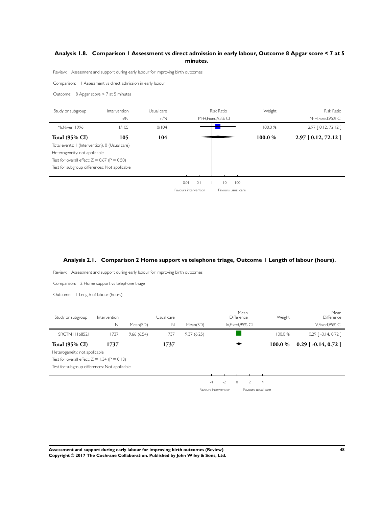### <span id="page-50-0"></span>**Analysis 1.8. Comparison 1 Assessment vs direct admission in early labour, Outcome 8 Apgar score < 7 at 5 minutes.**

Review: Assessment and support during early labour for improving birth outcomes

Comparison: 1 Assessment vs direct admission in early labour

Outcome: 8 Apgar score < 7 at 5 minutes

| Study or subgroup                              | Intervention<br>n/N | Usual care<br>n/N |                      |     | <b>Risk Ratio</b><br>M-H.Fixed.95% CI |     | Weight  | <b>Risk Ratio</b><br>M-H, Fixed, 95% CI |
|------------------------------------------------|---------------------|-------------------|----------------------|-----|---------------------------------------|-----|---------|-----------------------------------------|
|                                                |                     |                   |                      |     |                                       |     |         |                                         |
| McNiven 1996                                   | 1/105               | 0/104             |                      |     |                                       |     | 100.0 % | 2.97 [0.12, 72.12]                      |
| <b>Total (95% CI)</b>                          | 105                 | 104               |                      |     |                                       |     | 100.0%  | $2.97$ [ 0.12, 72.12 ]                  |
| Total events: I (Intervention), 0 (Usual care) |                     |                   |                      |     |                                       |     |         |                                         |
| Heterogeneity: not applicable                  |                     |                   |                      |     |                                       |     |         |                                         |
| Test for overall effect: $Z = 0.67$ (P = 0.50) |                     |                   |                      |     |                                       |     |         |                                         |
| Test for subgroup differences: Not applicable  |                     |                   |                      |     |                                       |     |         |                                         |
|                                                |                     |                   |                      |     |                                       |     |         |                                         |
|                                                |                     |                   | 0.01                 | 0.1 | $\overline{0}$                        | 100 |         |                                         |
|                                                |                     |                   | Favours intervention |     | Favours usual care                    |     |         |                                         |

### **Analysis 2.1. Comparison 2 Home support vs telephone triage, Outcome 1 Length of labour (hours).**

Review: Assessment and support during early labour for improving birth outcomes

Comparison: 2 Home support vs telephone triage

Outcome: 1 Length of labour (hours)

| Study or subgroup                                                                                                                                         | Intervention<br>$\mathbb N$ | Mean(SD)   | Usual care<br>$\mathbb N$ | Mean(SD)   |                                      | Mean<br>Difference<br>IV, Fixed, 95% CI | Weight                               | Mean<br>Difference<br>IV, Fixed, 95% CI |
|-----------------------------------------------------------------------------------------------------------------------------------------------------------|-----------------------------|------------|---------------------------|------------|--------------------------------------|-----------------------------------------|--------------------------------------|-----------------------------------------|
| <b>ISRCTN11168521</b>                                                                                                                                     | 1737                        | 9.66(6.54) | 1737                      | 9.37(6.25) |                                      |                                         | 100.0 %                              | $0.29$ [ -0.14, 0.72 ]                  |
| <b>Total (95% CI)</b><br>Heterogeneity: not applicable<br>Test for overall effect: $Z = 1.34$ (P = 0.18)<br>Test for subgroup differences: Not applicable | 1737                        |            | 1737                      |            |                                      |                                         | 100.0 %                              | $0.29$ [ -0.14, 0.72 ]                  |
|                                                                                                                                                           |                             |            |                           |            | $-2$<br>$-4$<br>Favours intervention | $\circ$<br>$\overline{2}$               | $\overline{4}$<br>Favours usual care |                                         |

**Assessment and support during early labour for improving birth outcomes (Review) 48 Copyright © 2017 The Cochrane Collaboration. Published by John Wiley & Sons, Ltd.**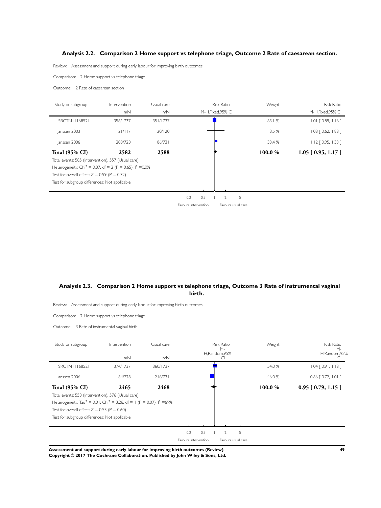### <span id="page-51-0"></span>**Analysis 2.2. Comparison 2 Home support vs telephone triage, Outcome 2 Rate of caesarean section.**

Review: Assessment and support during early labour for improving birth outcomes

Comparison: 2 Home support vs telephone triage

Outcome: 2 Rate of caesarean section

| Study or subgroup                                                       | Intervention | Usual care |     |                    | <b>Risk Ratio</b> |   | Weight | <b>Risk Ratio</b>     |
|-------------------------------------------------------------------------|--------------|------------|-----|--------------------|-------------------|---|--------|-----------------------|
|                                                                         | n/N          | n/N        |     | M-H, Fixed, 95% CI |                   |   |        | M-H, Fixed, 95% CI    |
| <b>ISRCTN11168521</b>                                                   | 356/1737     | 351/1737   |     |                    |                   |   | 63.1 % | $1.01$ $[0.89, 1.16]$ |
| Janssen 2003                                                            | 21/117       | 20/120     |     |                    |                   |   | 3.5 %  | $1.08$ $[0.62, 1.88]$ |
| Janssen 2006                                                            | 208/728      | 186/731    |     |                    |                   |   | 33.4 % | $1.12$ $[0.95, 1.33]$ |
| <b>Total (95% CI)</b>                                                   | 2582         | 2588       |     |                    |                   |   | 100.0% | $1.05$ [ 0.95, 1.17 ] |
| Total events: 585 (Intervention), 557 (Usual care)                      |              |            |     |                    |                   |   |        |                       |
| Heterogeneity: Chi <sup>2</sup> = 0.87, df = 2 (P = 0.65); $1^2$ = 0.0% |              |            |     |                    |                   |   |        |                       |
| Test for overall effect: $Z = 0.99$ (P = 0.32)                          |              |            |     |                    |                   |   |        |                       |
| Test for subgroup differences: Not applicable                           |              |            |     |                    |                   |   |        |                       |
|                                                                         |              |            |     |                    |                   |   |        |                       |
|                                                                         |              |            | 0.2 | 0.5                | 2                 | 5 |        |                       |

Favours intervention Favours usual care

### **Analysis 2.3. Comparison 2 Home support vs telephone triage, Outcome 3 Rate of instrumental vaginal birth.**

Review: Assessment and support during early labour for improving birth outcomes

Comparison: 2 Home support vs telephone triage

Outcome: 3 Rate of instrumental vaginal birth

Ĭ.

 $\overline{a}$ 

| Study or subgroup                                                                              | Intervention | Usual care |                      |     | <b>Risk Ratio</b><br>$M -$ |   | Weight | <b>Risk Ratio</b><br>$M -$ |
|------------------------------------------------------------------------------------------------|--------------|------------|----------------------|-----|----------------------------|---|--------|----------------------------|
|                                                                                                | n/N          | n/N        |                      |     | H,Random,95%               |   |        | H,Random,95%               |
| <b>ISRCTN11168521</b>                                                                          | 374/1737     | 360/1737   |                      |     |                            |   | 54.0 % | $1.04$ $[0.91, 1.18]$      |
| Janssen 2006                                                                                   | 184/728      | 216/731    |                      |     |                            |   | 46.0%  | $0.86$ $[0.72, 1.01]$      |
| <b>Total (95% CI)</b>                                                                          | 2465         | 2468       |                      |     |                            |   | 100.0% | $0.95$ [ 0.79, 1.15 ]      |
| Total events: 558 (Intervention), 576 (Usual care)                                             |              |            |                      |     |                            |   |        |                            |
| Heterogeneity: Tau <sup>2</sup> = 0.01; Chi <sup>2</sup> = 3.26, df = 1 (P = 0.07); $1^2$ =69% |              |            |                      |     |                            |   |        |                            |
| Test for overall effect: $Z = 0.53$ (P = 0.60)                                                 |              |            |                      |     |                            |   |        |                            |
| Test for subgroup differences: Not applicable                                                  |              |            |                      |     |                            |   |        |                            |
|                                                                                                |              |            |                      |     |                            |   |        |                            |
|                                                                                                |              |            | 0.2                  | 0.5 | $\mathcal{L}$              | 5 |        |                            |
|                                                                                                |              |            | Favours intervention |     | Favours usual care         |   |        |                            |

**Assessment and support during early labour for improving birth outcomes (Review) 49 Copyright © 2017 The Cochrane Collaboration. Published by John Wiley & Sons, Ltd.**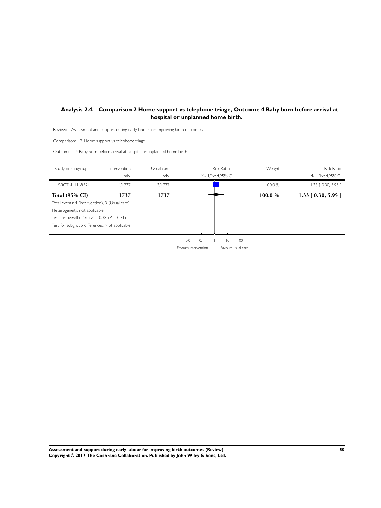### <span id="page-52-0"></span>**Analysis 2.4. Comparison 2 Home support vs telephone triage, Outcome 4 Baby born before arrival at hospital or unplanned home birth.**

Review: Assessment and support during early labour for improving birth outcomes

Comparison: 2 Home support vs telephone triage

Outcome: 4 Baby born before arrival at hospital or unplanned home birth

| Study or subgroup                              | Intervention | Usual care | Risk Ratio           |                            | Weight     | Risk Ratio            |  |
|------------------------------------------------|--------------|------------|----------------------|----------------------------|------------|-----------------------|--|
|                                                | $n/N$        | $n/N$      |                      | M-H,Fixed,95% CI           |            | M-H, Fixed, 95% CI    |  |
| <b>ISRCTN11168521</b>                          | 4/1737       | 3/1737     |                      |                            | 100.0%     | 1.33 [ 0.30, 5.95 ]   |  |
| <b>Total (95% CI)</b>                          | 1737         | 1737       |                      |                            | $100.0~\%$ | $1.33$ [ 0.30, 5.95 ] |  |
| Total events: 4 (Intervention), 3 (Usual care) |              |            |                      |                            |            |                       |  |
| Heterogeneity: not applicable                  |              |            |                      |                            |            |                       |  |
| Test for overall effect: $Z = 0.38$ (P = 0.71) |              |            |                      |                            |            |                       |  |
| Test for subgroup differences: Not applicable  |              |            |                      |                            |            |                       |  |
|                                                |              |            |                      |                            |            |                       |  |
|                                                |              |            | 0.1<br>0.01          | $\vert\,0\,\rangle$<br>100 |            |                       |  |
|                                                |              |            | Favours intervention | Favours usual care         |            |                       |  |
|                                                |              |            |                      |                            |            |                       |  |
|                                                |              |            |                      |                            |            |                       |  |
|                                                |              |            |                      |                            |            |                       |  |
|                                                |              |            |                      |                            |            |                       |  |
|                                                |              |            |                      |                            |            |                       |  |
|                                                |              |            |                      |                            |            |                       |  |
|                                                |              |            |                      |                            |            |                       |  |
|                                                |              |            |                      |                            |            |                       |  |
|                                                |              |            |                      |                            |            |                       |  |
|                                                |              |            |                      |                            |            |                       |  |
|                                                |              |            |                      |                            |            |                       |  |
|                                                |              |            |                      |                            |            |                       |  |
|                                                |              |            |                      |                            |            |                       |  |
|                                                |              |            |                      |                            |            |                       |  |
|                                                |              |            |                      |                            |            |                       |  |
|                                                |              |            |                      |                            |            |                       |  |
|                                                |              |            |                      |                            |            |                       |  |
|                                                |              |            |                      |                            |            |                       |  |
|                                                |              |            |                      |                            |            |                       |  |
|                                                |              |            |                      |                            |            |                       |  |
|                                                |              |            |                      |                            |            |                       |  |
|                                                |              |            |                      |                            |            |                       |  |
|                                                |              |            |                      |                            |            |                       |  |
|                                                |              |            |                      |                            |            |                       |  |
|                                                |              |            |                      |                            |            |                       |  |
|                                                |              |            |                      |                            |            |                       |  |

**Assessment and support during early labour for improving birth outcomes (Review) 50 Copyright © 2017 The Cochrane Collaboration. Published by John Wiley & Sons, Ltd.**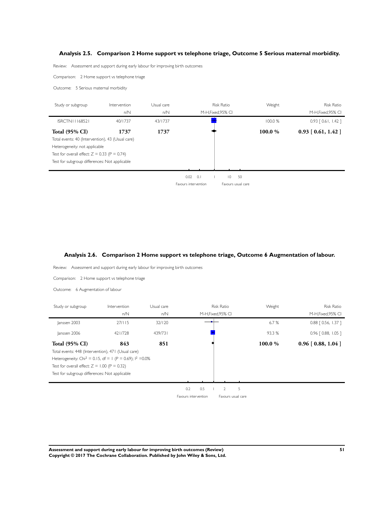### <span id="page-53-0"></span>**Analysis 2.5. Comparison 2 Home support vs telephone triage, Outcome 5 Serious maternal morbidity.**

Review: Assessment and support during early labour for improving birth outcomes

Comparison: 2 Home support vs telephone triage

Outcome: 5 Serious maternal morbidity

 $\overline{\phantom{a}}$ 

| Study or subgroup                                | Intervention | Usual care |                      | <b>Risk Ratio</b><br>M-H, Fixed, 95% CI |         | <b>Risk Ratio</b>       |
|--------------------------------------------------|--------------|------------|----------------------|-----------------------------------------|---------|-------------------------|
|                                                  | n/N          | n/N        |                      |                                         |         | M-H, Fixed, 95% CI      |
| <b>ISRCTN11168521</b>                            | 40/1737      | 43/1737    |                      |                                         | 100.0 % | $0.93$ $[0.61, 1.42]$   |
| <b>Total (95% CI)</b>                            | 1737         | 1737       |                      |                                         | 100.0%  | $0.93$ [ $0.61, 1.42$ ] |
| Total events: 40 (Intervention), 43 (Usual care) |              |            |                      |                                         |         |                         |
| Heterogeneity: not applicable                    |              |            |                      |                                         |         |                         |
| Test for overall effect: $Z = 0.33$ (P = 0.74)   |              |            |                      |                                         |         |                         |
| Test for subgroup differences: Not applicable    |              |            |                      |                                         |         |                         |
|                                                  |              |            |                      |                                         |         |                         |
|                                                  |              |            | 0.1<br>0.02          | $ 0\rangle$<br>50                       |         |                         |
|                                                  |              |            | Favours intervention | Favours usual care                      |         |                         |
|                                                  |              |            |                      |                                         |         |                         |
|                                                  |              |            |                      |                                         |         |                         |
|                                                  |              |            |                      |                                         |         |                         |
|                                                  |              |            |                      |                                         |         |                         |

### **Analysis 2.6. Comparison 2 Home support vs telephone triage, Outcome 6 Augmentation of labour.**

| Review: Assessment and support during early labour for improving birth outcomes |                          |                   |                      |                                         |         |                                  |
|---------------------------------------------------------------------------------|--------------------------|-------------------|----------------------|-----------------------------------------|---------|----------------------------------|
| Comparison: 2 Home support vs telephone triage                                  |                          |                   |                      |                                         |         |                                  |
| Outcome:                                                                        | 6 Augmentation of labour |                   |                      |                                         |         |                                  |
| Study or subgroup                                                               | Intervention<br>n/N      | Usual care<br>n/N |                      | <b>Risk Ratio</b><br>M-H, Fixed, 95% CI | Weight  | Risk Ratio<br>M-H, Fixed, 95% CI |
| Janssen 2003                                                                    | 27/115                   | 32/120            |                      |                                         | 6.7 %   | $0.88$ $[0.56, 1.37]$            |
| Janssen 2006                                                                    | 421/728                  | 439/731           |                      |                                         | 93.3 %  | $0.96$ $[0.88, 1.05]$            |
| <b>Total (95% CI)</b><br>Total events: 448 (Intervention), 471 (Usual care)     | 843                      | 851               |                      |                                         | 100.0 % | $0.96$ [ $0.88$ , $1.04$ ]       |
| Heterogeneity: Chi <sup>2</sup> = 0.15, df = 1 (P = 0.69); $1^2$ =0.0%          |                          |                   |                      |                                         |         |                                  |
| Test for overall effect: $Z = 1.00$ (P = 0.32)                                  |                          |                   |                      |                                         |         |                                  |
| Test for subgroup differences: Not applicable                                   |                          |                   |                      |                                         |         |                                  |
|                                                                                 |                          |                   |                      |                                         |         |                                  |
|                                                                                 |                          |                   | 0.5<br>0.2           | 2                                       | 5       |                                  |
|                                                                                 |                          |                   | Favours intervention | Favours usual care                      |         |                                  |

**Assessment and support during early labour for improving birth outcomes (Review) 51 Copyright © 2017 The Cochrane Collaboration. Published by John Wiley & Sons, Ltd.**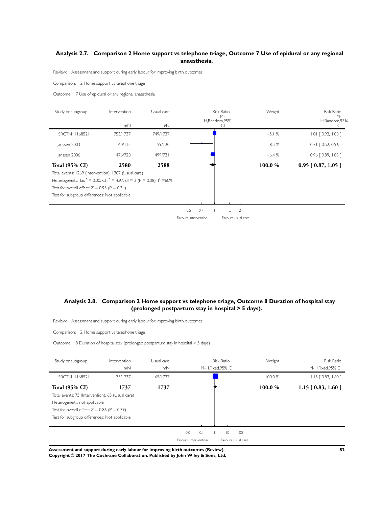### <span id="page-54-0"></span>**Analysis 2.7. Comparison 2 Home support vs telephone triage, Outcome 7 Use of epidural or any regional anaesthesia.**

Review: Assessment and support during early labour for improving birth outcomes

Comparison: 2 Home support vs telephone triage

Outcome: 7 Use of epidural or any regional anaesthesia

| Study or subgroup                                                                              | Intervention | Usual care |                      |     | <b>Risk Ratio</b><br>м.<br>H,Random,95% |                    | Weight | <b>Risk Ratio</b><br>$M -$<br>H,Random,95% |  |
|------------------------------------------------------------------------------------------------|--------------|------------|----------------------|-----|-----------------------------------------|--------------------|--------|--------------------------------------------|--|
|                                                                                                | n/N          | n/N        |                      |     |                                         |                    |        |                                            |  |
| <b>ISRCTN11168521</b>                                                                          | 753/1737     | 749/1737   |                      |     |                                         |                    | 45.1%  | $1.01$ $[0.93, 1.08]$                      |  |
| Janssen 2003                                                                                   | 40/115       | 59/120     |                      |     |                                         |                    | 8.5 %  | $0.71$ $[0.52, 0.96]$                      |  |
| Janssen 2006                                                                                   | 476/728      | 499/731    |                      |     |                                         |                    | 46.4 % | $0.96$ $[0.89, 1.03]$                      |  |
| <b>Total (95% CI)</b>                                                                          | 2580         | 2588       |                      |     |                                         |                    | 100.0% | $0.95$ [ 0.87, 1.05 ]                      |  |
| Total events: 1269 (Intervention), 1307 (Usual care)                                           |              |            |                      |     |                                         |                    |        |                                            |  |
| Heterogeneity: Tau <sup>2</sup> = 0.00; Chi <sup>2</sup> = 4.97, df = 2 (P = 0.08); $1^2$ =60% |              |            |                      |     |                                         |                    |        |                                            |  |
| Test for overall effect: $Z = 0.95$ (P = 0.34)                                                 |              |            |                      |     |                                         |                    |        |                                            |  |
| Test for subgroup differences: Not applicable                                                  |              |            |                      |     |                                         |                    |        |                                            |  |
|                                                                                                |              |            |                      |     |                                         |                    |        |                                            |  |
|                                                                                                |              |            | 0.5                  | 0.7 | 1.5                                     | $\overline{2}$     |        |                                            |  |
|                                                                                                |              |            | Favours intervention |     |                                         | Favours usual care |        |                                            |  |

### **Analysis 2.8. Comparison 2 Home support vs telephone triage, Outcome 8 Duration of hospital stay (prolonged postpartum stay in hospital > 5 days).**

Review: Assessment and support during early labour for improving birth outcomes

Comparison: 2 Home support vs telephone triage

Outcome: 8 Duration of hospital stay (prolonged postpartum stay in hospital > 5 days)

| Study or subgroup                                | Intervention<br>n/N | Usual care<br>n/N |                      | <b>Risk Ratio</b><br>M-H, Fixed, 95% CI | Weight | <b>Risk Ratio</b><br>M-H.Fixed.95% CI |
|--------------------------------------------------|---------------------|-------------------|----------------------|-----------------------------------------|--------|---------------------------------------|
| <b>ISRCTN11168521</b>                            | 75/1737             | 65/1737           |                      |                                         | 100.0% | $1.15$ $[0.83, 1.60]$                 |
| <b>Total (95% CI)</b>                            | 1737                | 1737              |                      |                                         | 100.0% | $1.15$ [ 0.83, 1.60 ]                 |
| Total events: 75 (Intervention), 65 (Usual care) |                     |                   |                      |                                         |        |                                       |
| Heterogeneity: not applicable                    |                     |                   |                      |                                         |        |                                       |
| Test for overall effect: $Z = 0.86$ (P = 0.39)   |                     |                   |                      |                                         |        |                                       |
| Test for subgroup differences: Not applicable    |                     |                   |                      |                                         |        |                                       |
|                                                  |                     |                   |                      |                                         |        |                                       |
|                                                  |                     |                   | 0.01<br>0.1          | $\overline{0}$<br>100                   |        |                                       |
|                                                  |                     |                   | Favours intervention | Favours usual care                      |        |                                       |

**Assessment and support during early labour for improving birth outcomes (Review) 52 Copyright © 2017 The Cochrane Collaboration. Published by John Wiley & Sons, Ltd.**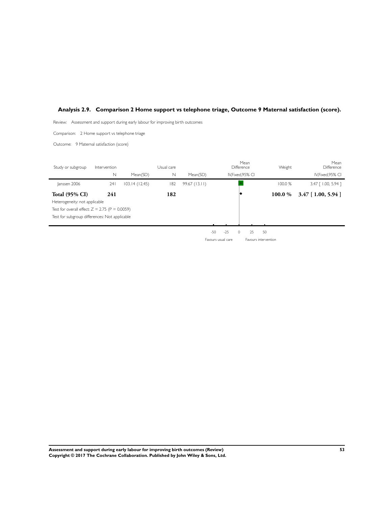### <span id="page-55-0"></span>**Analysis 2.9. Comparison 2 Home support vs telephone triage, Outcome 9 Maternal satisfaction (score).**

Review: Assessment and support during early labour for improving birth outcomes

Comparison: 2 Home support vs telephone triage

Outcome: 9 Maternal satisfaction (score)

| Study or subgroup                                                                | Intervention<br>$\mathbb N$ | Mean(SD)       | Usual care<br>$\hbox{N}$ | Mean(SD)      |                    | Mean<br>Difference<br>IV,Fixed,95% CI | Weight     | Mean<br>Difference<br>IV, Fixed, 95% CI |
|----------------------------------------------------------------------------------|-----------------------------|----------------|--------------------------|---------------|--------------------|---------------------------------------|------------|-----------------------------------------|
| Janssen 2006                                                                     | 241                         | 103.14 (12.45) | $182$                    | 99.67 (13.11) |                    | ÷                                     | 100.0%     | 3.47 [ 1.00, 5.94 ]                     |
| <b>Total (95% CI)</b>                                                            | 241                         |                | 182                      |               |                    | ٠                                     | $100.0 \%$ | 3.47 [1.00, 5.94]                       |
| Heterogeneity: not applicable                                                    |                             |                |                          |               |                    |                                       |            |                                         |
| Test for overall effect: $Z = 2.75$ (P = 0.0059)                                 |                             |                |                          |               |                    |                                       |            |                                         |
| Test for subgroup differences: Not applicable                                    |                             |                |                          |               |                    |                                       |            |                                         |
|                                                                                  |                             |                |                          |               | $-50$<br>$-25$     | Ó<br>25                               | 50         |                                         |
|                                                                                  |                             |                |                          |               | Favours usual care | Favours intervention                  |            |                                         |
|                                                                                  |                             |                |                          |               |                    |                                       |            |                                         |
|                                                                                  |                             |                |                          |               |                    |                                       |            |                                         |
|                                                                                  |                             |                |                          |               |                    |                                       |            |                                         |
|                                                                                  |                             |                |                          |               |                    |                                       |            |                                         |
|                                                                                  |                             |                |                          |               |                    |                                       |            |                                         |
|                                                                                  |                             |                |                          |               |                    |                                       |            |                                         |
|                                                                                  |                             |                |                          |               |                    |                                       |            |                                         |
|                                                                                  |                             |                |                          |               |                    |                                       |            |                                         |
|                                                                                  |                             |                |                          |               |                    |                                       |            |                                         |
|                                                                                  |                             |                |                          |               |                    |                                       |            |                                         |
|                                                                                  |                             |                |                          |               |                    |                                       |            |                                         |
|                                                                                  |                             |                |                          |               |                    |                                       |            |                                         |
|                                                                                  |                             |                |                          |               |                    |                                       |            |                                         |
|                                                                                  |                             |                |                          |               |                    |                                       |            |                                         |
|                                                                                  |                             |                |                          |               |                    |                                       |            |                                         |
|                                                                                  |                             |                |                          |               |                    |                                       |            |                                         |
|                                                                                  |                             |                |                          |               |                    |                                       |            |                                         |
|                                                                                  |                             |                |                          |               |                    |                                       |            |                                         |
|                                                                                  |                             |                |                          |               |                    |                                       |            |                                         |
|                                                                                  |                             |                |                          |               |                    |                                       |            |                                         |
|                                                                                  |                             |                |                          |               |                    |                                       |            |                                         |
|                                                                                  |                             |                |                          |               |                    |                                       |            |                                         |
|                                                                                  |                             |                |                          |               |                    |                                       |            |                                         |
| Assessment and support during early labour for improving birth outcomes (Review) |                             |                |                          |               |                    |                                       |            | 53                                      |

**Copyright © 2017 The Cochrane Collaboration. Published by John Wiley & Sons, Ltd.**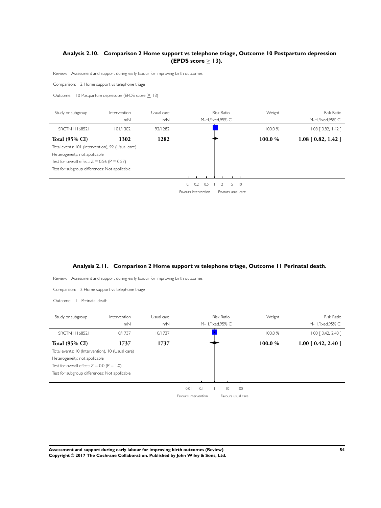### <span id="page-56-0"></span>**Analysis 2.10. Comparison 2 Home support vs telephone triage, Outcome 10 Postpartum depression (EPDS score** ≥ **13).**

Review: Assessment and support during early labour for improving birth outcomes

Comparison: 2 Home support vs telephone triage

Outcome: 10 Postpartum depression (EPDS score ≥ 13)

| Study or subgroup                                 | Intervention<br>n/N | Usual care<br>n/N |                      | <b>Risk Ratio</b><br>M-H, Fixed, 95% CI | Weight  | <b>Risk Ratio</b><br>M-H, Fixed, 95% CI |
|---------------------------------------------------|---------------------|-------------------|----------------------|-----------------------------------------|---------|-----------------------------------------|
| <b>ISRCTN11168521</b>                             | 101/1302            | 92/1282           |                      |                                         | 100.0 % | $1.08$ $[0.82, 1.42]$                   |
| <b>Total (95% CI)</b>                             | 1302                | 1282              |                      |                                         | 100.0%  | $1.08$ [ 0.82, 1.42 ]                   |
| Total events: 101 (Intervention), 92 (Usual care) |                     |                   |                      |                                         |         |                                         |
| Heterogeneity: not applicable                     |                     |                   |                      |                                         |         |                                         |
| Test for overall effect: $Z = 0.56$ (P = 0.57)    |                     |                   |                      |                                         |         |                                         |
| Test for subgroup differences: Not applicable     |                     |                   |                      |                                         |         |                                         |
|                                                   |                     |                   |                      |                                         |         |                                         |
|                                                   |                     |                   | 0.5<br>0.1<br>0.2    | $5 \quad 10$<br>2                       |         |                                         |
|                                                   |                     |                   | Favours intervention | Favours usual care                      |         |                                         |
|                                                   |                     |                   |                      |                                         |         |                                         |

### **Analysis 2.11. Comparison 2 Home support vs telephone triage, Outcome 11 Perinatal death.**

Review: Assessment and support during early labour for improving birth outcomes

Comparison: 2 Home support vs telephone triage

Outcome: 11 Perinatal death

| Study or subgroup                                | Intervention | Usual care |                      | <b>Risk Ratio</b> |                    |                    | Weight  | <b>Risk Ratio</b>     |
|--------------------------------------------------|--------------|------------|----------------------|-------------------|--------------------|--------------------|---------|-----------------------|
|                                                  | n/N          | n/N        |                      |                   | M-H, Fixed, 95% CI |                    |         | M-H, Fixed, 95% CI    |
| <b>ISRCTN11168521</b>                            | 10/1737      | 10/1737    |                      |                   |                    |                    | 100.0 % | 1.00 [ 0.42, 2.40 ]   |
| <b>Total (95% CI)</b>                            | 1737         | 1737       |                      |                   |                    |                    | 100.0%  | $1.00$ [ 0.42, 2.40 ] |
| Total events: 10 (Intervention), 10 (Usual care) |              |            |                      |                   |                    |                    |         |                       |
| Heterogeneity: not applicable                    |              |            |                      |                   |                    |                    |         |                       |
| Test for overall effect: $Z = 0.0$ (P = 1.0)     |              |            |                      |                   |                    |                    |         |                       |
| Test for subgroup differences: Not applicable    |              |            |                      |                   |                    |                    |         |                       |
|                                                  |              |            |                      |                   |                    |                    |         |                       |
|                                                  |              |            | 0.01                 | 0.1               | $\overline{0}$     | 100                |         |                       |
|                                                  |              |            | Favours intervention |                   |                    | Favours usual care |         |                       |
|                                                  |              |            |                      |                   |                    |                    |         |                       |
|                                                  |              |            |                      |                   |                    |                    |         |                       |

**Assessment and support during early labour for improving birth outcomes (Review) 54 Copyright © 2017 The Cochrane Collaboration. Published by John Wiley & Sons, Ltd.**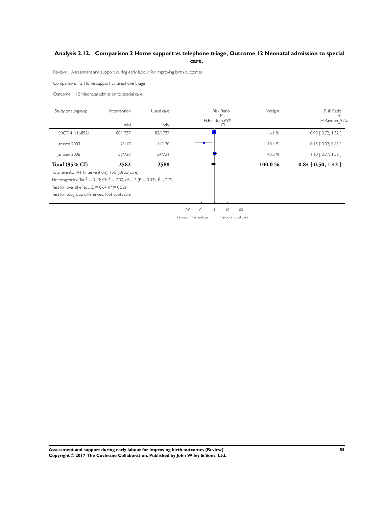### **Analysis 2.12. Comparison 2 Home support vs telephone triage, Outcome 12 Neonatal admission to special care.**

Review: Assessment and support during early labour for improving birth outcomes

#### Comparison: 2 Home support vs telephone triage

Outcome: 12 Neonatal admission to special care

| Study or subgroup                                                                              | Intervention | Usual care |                      | <b>Risk Ratio</b><br>$M -$<br>H,Random,95% | Weight | <b>Risk Ratio</b><br>$M -$<br>H,Random,95% |
|------------------------------------------------------------------------------------------------|--------------|------------|----------------------|--------------------------------------------|--------|--------------------------------------------|
|                                                                                                | n/N          | n/N        |                      |                                            |        |                                            |
| <b>ISRCTN11168521</b>                                                                          | 80/1737      | 82/1737    |                      |                                            | 46.1%  | 0.98 [ 0.72, 1.32 ]                        |
| Janssen 2003                                                                                   | 2/117        | 14/120     |                      |                                            | 10.4%  | $0.15$ $[0.03, 0.63]$                      |
| Janssen 2006                                                                                   | 59/728       | 54/731     |                      |                                            | 43.5 % | $1.10$ $[0.77, 1.56]$                      |
| <b>Total (95% CI)</b>                                                                          | 2582         | 2588       |                      |                                            | 100.0% | $0.84$ [ 0.50, 1.42 ]                      |
| Total events: 141 (Intervention), 150 (Usual care)                                             |              |            |                      |                                            |        |                                            |
| Heterogeneity: Tau <sup>2</sup> = 0.13; Chi <sup>2</sup> = 7.00, df = 2 (P = 0.03); $1^2$ =71% |              |            |                      |                                            |        |                                            |
| Test for overall effect: $Z = 0.64$ (P = 0.52)                                                 |              |            |                      |                                            |        |                                            |
| Test for subgroup differences: Not applicable                                                  |              |            |                      |                                            |        |                                            |
|                                                                                                |              |            |                      |                                            |        |                                            |
|                                                                                                |              |            | 0.1<br>0.01          | $ 0\rangle$<br>100                         |        |                                            |
|                                                                                                |              |            | Favours intervention | Favours usual care                         |        |                                            |

**Assessment and support during early labour for improving birth outcomes (Review) 55 Copyright © 2017 The Cochrane Collaboration. Published by John Wiley & Sons, Ltd.**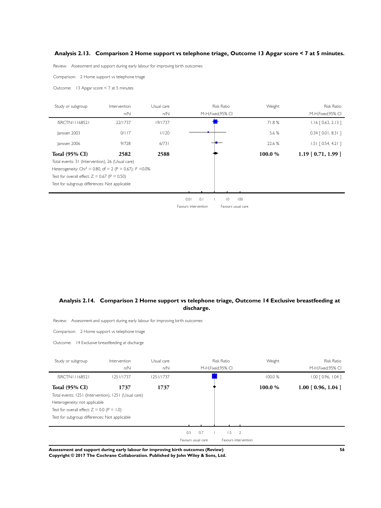### <span id="page-58-0"></span>**Analysis 2.13. Comparison 2 Home support vs telephone triage, Outcome 13 Apgar score < 7 at 5 minutes.**

Review: Assessment and support during early labour for improving birth outcomes

Comparison: 2 Home support vs telephone triage

Outcome: 13 Apgar score < 7 at 5 minutes

J.

| Study or subgroup                                                       | Intervention | Usual care |                      |     | <b>Risk Ratio</b>  |                    | Weight | <b>Risk Ratio</b>     |
|-------------------------------------------------------------------------|--------------|------------|----------------------|-----|--------------------|--------------------|--------|-----------------------|
|                                                                         | n/N          | n/N        |                      |     | M-H, Fixed, 95% CI |                    |        | M-H, Fixed, 95% CI    |
| <b>ISRCTN11168521</b>                                                   | 22/1737      | 19/1737    |                      |     |                    |                    | 71.8%  | $1.16$ $[0.63, 2.13]$ |
| Janssen 2003                                                            | 0/117        | 1/120      |                      |     |                    |                    | 5.6 %  | $0.34$ $[0.01, 8.31]$ |
| Janssen 2006                                                            | 9/728        | 6/731      |                      |     |                    |                    | 22.6 % | $1.51$ $[0.54, 4.21]$ |
| <b>Total (95% CI)</b>                                                   | 2582         | 2588       |                      |     |                    |                    | 100.0% | $1.19$ [ 0.71, 1.99 ] |
| Total events: 31 (Intervention), 26 (Usual care)                        |              |            |                      |     |                    |                    |        |                       |
| Heterogeneity: Chi <sup>2</sup> = 0.80, df = 2 (P = 0.67); $1^2$ = 0.0% |              |            |                      |     |                    |                    |        |                       |
| Test for overall effect: $Z = 0.67$ (P = 0.50)                          |              |            |                      |     |                    |                    |        |                       |
| Test for subgroup differences: Not applicable                           |              |            |                      |     |                    |                    |        |                       |
|                                                                         |              |            |                      |     |                    |                    |        |                       |
|                                                                         |              |            | 0.01                 | 0.1 | $ 0\rangle$        | 100                |        |                       |
|                                                                         |              |            | Favours intervention |     |                    | Favours usual care |        |                       |
|                                                                         |              |            |                      |     |                    |                    |        |                       |

### **Analysis 2.14. Comparison 2 Home support vs telephone triage, Outcome 14 Exclusive breastfeeding at discharge.**

Review: Assessment and support during early labour for improving birth outcomes

Comparison: 2 Home support vs telephone triage

Outcome: 14 Exclusive breastfeeding at discharge

| Study or subgroup                                    | Intervention | Usual care |                    |     | <b>Risk Ratio</b> |                      | Weight  | <b>Risk Ratio</b>     |
|------------------------------------------------------|--------------|------------|--------------------|-----|-------------------|----------------------|---------|-----------------------|
|                                                      | n/N          | n/N        |                    |     | M-H.Fixed.95% CI  |                      |         | M-H.Fixed.95% CI      |
| <b>ISRCTN11168521</b>                                | 1251/1737    | 1251/1737  |                    |     |                   |                      | 100.0 % | $1.00$ $[0.96, 1.04]$ |
| <b>Total (95% CI)</b>                                | 1737         | 1737       |                    |     |                   |                      | 100.0%  | $1.00$ [ 0.96, 1.04 ] |
| Total events: 1251 (Intervention), 1251 (Usual care) |              |            |                    |     |                   |                      |         |                       |
| Heterogeneity: not applicable                        |              |            |                    |     |                   |                      |         |                       |
| Test for overall effect: $Z = 0.0$ (P = 1.0)         |              |            |                    |     |                   |                      |         |                       |
| Test for subgroup differences: Not applicable        |              |            |                    |     |                   |                      |         |                       |
|                                                      |              |            |                    |     |                   |                      |         |                       |
|                                                      |              |            | 0.5                | 0.7 | 1.5               | $\overline{2}$       |         |                       |
|                                                      |              |            | Favours usual care |     |                   | Favours intervention |         |                       |

**Assessment and support during early labour for improving birth outcomes (Review) 56 Copyright © 2017 The Cochrane Collaboration. Published by John Wiley & Sons, Ltd.**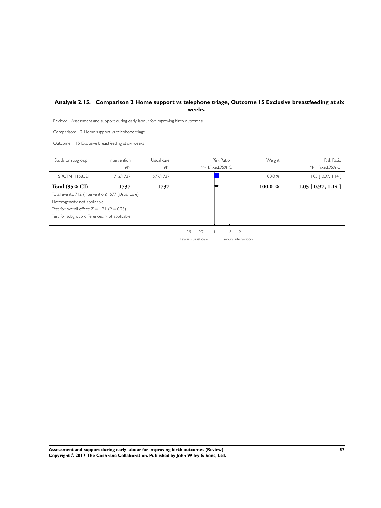### <span id="page-59-0"></span>**Analysis 2.15. Comparison 2 Home support vs telephone triage, Outcome 15 Exclusive breastfeeding at six weeks.**

Review: Assessment and support during early labour for improving birth outcomes

Comparison: 2 Home support vs telephone triage

Outcome: 15 Exclusive breastfeeding at six weeks

| M-H, Fixed, 95% CI<br>M-H,Fixed,95% Cl<br>n/N<br>$n/N$<br>100.0 %<br><b>ISRCTN11168521</b><br>712/1737<br>677/1737<br>$1.05$ [ 0.97, $1.14$ ]<br>$1.05$ [ 0.97, 1.14 ]<br><b>Total (95% CI)</b><br>100.0%<br>1737<br>1737<br>Total events: 712 (Intervention), 677 (Usual care)<br>Heterogeneity: not applicable<br>Test for overall effect: $Z = 1.21$ (P = 0.23)<br>Test for subgroup differences: Not applicable<br>0.5<br>0.7<br>1.5<br>$\overline{2}$<br>Favours intervention<br>Favours usual care | Study or subgroup | Intervention | Usual care |  |  | Risk Ratio |  | Weight | <b>Risk Ratio</b> |  |
|----------------------------------------------------------------------------------------------------------------------------------------------------------------------------------------------------------------------------------------------------------------------------------------------------------------------------------------------------------------------------------------------------------------------------------------------------------------------------------------------------------|-------------------|--------------|------------|--|--|------------|--|--------|-------------------|--|
|                                                                                                                                                                                                                                                                                                                                                                                                                                                                                                          |                   |              |            |  |  |            |  |        |                   |  |
|                                                                                                                                                                                                                                                                                                                                                                                                                                                                                                          |                   |              |            |  |  |            |  |        |                   |  |
|                                                                                                                                                                                                                                                                                                                                                                                                                                                                                                          |                   |              |            |  |  |            |  |        |                   |  |
|                                                                                                                                                                                                                                                                                                                                                                                                                                                                                                          |                   |              |            |  |  |            |  |        |                   |  |
|                                                                                                                                                                                                                                                                                                                                                                                                                                                                                                          |                   |              |            |  |  |            |  |        |                   |  |
|                                                                                                                                                                                                                                                                                                                                                                                                                                                                                                          |                   |              |            |  |  |            |  |        |                   |  |
|                                                                                                                                                                                                                                                                                                                                                                                                                                                                                                          |                   |              |            |  |  |            |  |        |                   |  |
|                                                                                                                                                                                                                                                                                                                                                                                                                                                                                                          |                   |              |            |  |  |            |  |        |                   |  |
|                                                                                                                                                                                                                                                                                                                                                                                                                                                                                                          |                   |              |            |  |  |            |  |        |                   |  |
|                                                                                                                                                                                                                                                                                                                                                                                                                                                                                                          |                   |              |            |  |  |            |  |        |                   |  |
|                                                                                                                                                                                                                                                                                                                                                                                                                                                                                                          |                   |              |            |  |  |            |  |        |                   |  |
|                                                                                                                                                                                                                                                                                                                                                                                                                                                                                                          |                   |              |            |  |  |            |  |        |                   |  |
|                                                                                                                                                                                                                                                                                                                                                                                                                                                                                                          |                   |              |            |  |  |            |  |        |                   |  |
|                                                                                                                                                                                                                                                                                                                                                                                                                                                                                                          |                   |              |            |  |  |            |  |        |                   |  |
|                                                                                                                                                                                                                                                                                                                                                                                                                                                                                                          |                   |              |            |  |  |            |  |        |                   |  |
|                                                                                                                                                                                                                                                                                                                                                                                                                                                                                                          |                   |              |            |  |  |            |  |        |                   |  |
|                                                                                                                                                                                                                                                                                                                                                                                                                                                                                                          |                   |              |            |  |  |            |  |        |                   |  |
|                                                                                                                                                                                                                                                                                                                                                                                                                                                                                                          |                   |              |            |  |  |            |  |        |                   |  |
|                                                                                                                                                                                                                                                                                                                                                                                                                                                                                                          |                   |              |            |  |  |            |  |        |                   |  |
|                                                                                                                                                                                                                                                                                                                                                                                                                                                                                                          |                   |              |            |  |  |            |  |        |                   |  |
|                                                                                                                                                                                                                                                                                                                                                                                                                                                                                                          |                   |              |            |  |  |            |  |        |                   |  |
|                                                                                                                                                                                                                                                                                                                                                                                                                                                                                                          |                   |              |            |  |  |            |  |        |                   |  |
|                                                                                                                                                                                                                                                                                                                                                                                                                                                                                                          |                   |              |            |  |  |            |  |        |                   |  |

**Assessment and support during early labour for improving birth outcomes (Review) 57 Copyright © 2017 The Cochrane Collaboration. Published by John Wiley & Sons, Ltd.**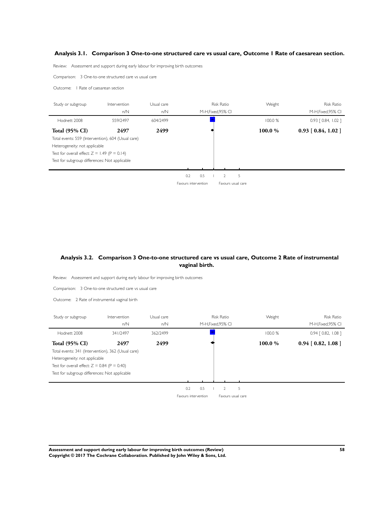### <span id="page-60-0"></span>**Analysis 3.1. Comparison 3 One-to-one structured care vs usual care, Outcome 1 Rate of caesarean section.**

Review: Assessment and support during early labour for improving birth outcomes

Comparison: 3 One-to-one structured care vs usual care

Outcome: 1 Rate of caesarean section

| Study or subgroup                                  | Intervention<br>n/N | Usual care<br>n/N |                      | <b>Risk Ratio</b><br>M-H, Fixed, 95% CI |                |                    | Weight  | <b>Risk Ratio</b><br>M-H, Fixed, 95% CI |  |
|----------------------------------------------------|---------------------|-------------------|----------------------|-----------------------------------------|----------------|--------------------|---------|-----------------------------------------|--|
| Hodnett 2008                                       | 559/2497            | 604/2499          |                      |                                         |                |                    | 100.0 % | 0.93 [ 0.84, 1.02 ]                     |  |
| Total (95% CI)                                     | 2497                | 2499              |                      |                                         |                |                    | 100.0 % | $0.93$ [ $0.84$ , 1.02 ]                |  |
| Total events: 559 (Intervention), 604 (Usual care) |                     |                   |                      |                                         |                |                    |         |                                         |  |
| Heterogeneity: not applicable                      |                     |                   |                      |                                         |                |                    |         |                                         |  |
| Test for overall effect: $Z = 1.49$ (P = 0.14)     |                     |                   |                      |                                         |                |                    |         |                                         |  |
| Test for subgroup differences: Not applicable      |                     |                   |                      |                                         |                |                    |         |                                         |  |
|                                                    |                     |                   |                      |                                         |                |                    |         |                                         |  |
|                                                    |                     |                   | 0.2                  | 0.5                                     | $\overline{2}$ | 5                  |         |                                         |  |
|                                                    |                     |                   | Favours intervention |                                         |                | Favours usual care |         |                                         |  |
|                                                    |                     |                   |                      |                                         |                |                    |         |                                         |  |
|                                                    |                     |                   |                      |                                         |                |                    |         |                                         |  |
|                                                    |                     |                   |                      |                                         |                |                    |         |                                         |  |
|                                                    |                     |                   |                      |                                         |                |                    |         |                                         |  |
|                                                    |                     |                   |                      |                                         |                |                    |         |                                         |  |

### **Analysis 3.2. Comparison 3 One-to-one structured care vs usual care, Outcome 2 Rate of instrumental vaginal birth.**

Review: Assessment and support during early labour for improving birth outcomes

Comparison: 3 One-to-one structured care vs usual care

Outcome: 2 Rate of instrumental vaginal birth

| Study or subgroup                                  | Intervention<br>n/N | Usual care<br>n/N |                      |     | <b>Risk Ratio</b><br>M-H, Fixed, 95% CI |                    | Weight | <b>Risk Ratio</b><br>M-H, Fixed, 95% CI |
|----------------------------------------------------|---------------------|-------------------|----------------------|-----|-----------------------------------------|--------------------|--------|-----------------------------------------|
| Hodnett 2008                                       | 341/2497            | 362/2499          |                      |     |                                         |                    | 100.0% | $0.94$ $[0.82, 1.08]$                   |
| <b>Total (95% CI)</b>                              | 2497                | 2499              |                      |     |                                         |                    | 100.0% | $0.94$ [ 0.82, 1.08 ]                   |
| Total events: 341 (Intervention), 362 (Usual care) |                     |                   |                      |     |                                         |                    |        |                                         |
| Heterogeneity: not applicable                      |                     |                   |                      |     |                                         |                    |        |                                         |
| Test for overall effect: $Z = 0.84$ (P = 0.40)     |                     |                   |                      |     |                                         |                    |        |                                         |
| Test for subgroup differences: Not applicable      |                     |                   |                      |     |                                         |                    |        |                                         |
|                                                    |                     |                   |                      |     |                                         |                    |        |                                         |
|                                                    |                     |                   | 0.2                  | 0.5 | $\overline{2}$                          | 5                  |        |                                         |
|                                                    |                     |                   | Favours intervention |     |                                         | Favours usual care |        |                                         |
|                                                    |                     |                   |                      |     |                                         |                    |        |                                         |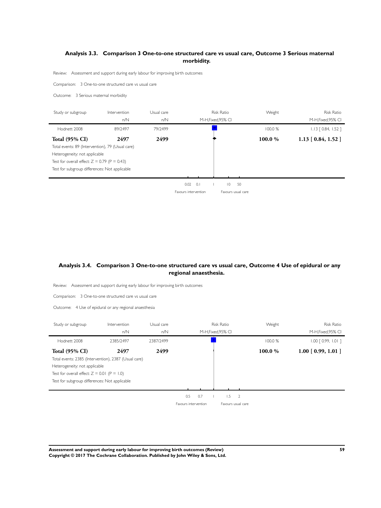### <span id="page-61-0"></span>**Analysis 3.3. Comparison 3 One-to-one structured care vs usual care, Outcome 3 Serious maternal morbidity.**

Review: Assessment and support during early labour for improving birth outcomes

Comparison: 3 One-to-one structured care vs usual care

Outcome: 3 Serious maternal morbidity

| Study or subgroup                                | Intervention | Usual care |                      |                    | <b>Risk Ratio</b> |                    | Weight | <b>Risk Ratio</b>     |  |
|--------------------------------------------------|--------------|------------|----------------------|--------------------|-------------------|--------------------|--------|-----------------------|--|
|                                                  | n/N          | n/N        |                      | M-H, Fixed, 95% CI |                   |                    |        | M-H, Fixed, 95% CI    |  |
| Hodnett 2008                                     | 89/2497      | 79/2499    |                      |                    |                   |                    | 100.0% | $1.13$ $[0.84, 1.52]$ |  |
| <b>Total (95% CI)</b>                            | 2497         | 2499       |                      |                    | 100.0%            |                    |        | $1.13$ [ 0.84, 1.52 ] |  |
| Total events: 89 (Intervention), 79 (Usual care) |              |            |                      |                    |                   |                    |        |                       |  |
| Heterogeneity: not applicable                    |              |            |                      |                    |                   |                    |        |                       |  |
| Test for overall effect: $Z = 0.79$ (P = 0.43)   |              |            |                      |                    |                   |                    |        |                       |  |
| Test for subgroup differences: Not applicable    |              |            |                      |                    |                   |                    |        |                       |  |
|                                                  |              |            |                      |                    |                   |                    |        |                       |  |
|                                                  |              |            | 0.02                 | 0.1                | $\overline{0}$    | 50                 |        |                       |  |
|                                                  |              |            | Favours intervention |                    |                   | Favours usual care |        |                       |  |
|                                                  |              |            |                      |                    |                   |                    |        |                       |  |
|                                                  |              |            |                      |                    |                   |                    |        |                       |  |

### **Analysis 3.4. Comparison 3 One-to-one structured care vs usual care, Outcome 4 Use of epidural or any regional anaesthesia.**

| Review: Assessment and support during early labour for improving birth outcomes |                     |                   |     |     |                                         |         |                                         |
|---------------------------------------------------------------------------------|---------------------|-------------------|-----|-----|-----------------------------------------|---------|-----------------------------------------|
| Comparison: 3 One-to-one structured care vs usual care                          |                     |                   |     |     |                                         |         |                                         |
| Outcome: 4 Use of epidural or any regional anaesthesia                          |                     |                   |     |     |                                         |         |                                         |
| Study or subgroup                                                               | Intervention<br>n/N | Usual care<br>n/N |     |     | <b>Risk Ratio</b><br>M-H, Fixed, 95% CI | Weight  | <b>Risk Ratio</b><br>M-H, Fixed, 95% CI |
| Hodnett 2008                                                                    | 2385/2497           | 2387/2499         |     |     |                                         | 100.0 % | $1.00$ $[0.99, 1.01]$                   |
|                                                                                 | 2497                | 2499              |     |     |                                         | 100.0 % | $1.00$ [ 0.99, 1.01 ]                   |
| <b>Total (95% CI)</b>                                                           |                     |                   |     |     |                                         |         |                                         |
| Total events: 2385 (Intervention), 2387 (Usual care)                            |                     |                   |     |     |                                         |         |                                         |
| Heterogeneity: not applicable                                                   |                     |                   |     |     |                                         |         |                                         |
| Test for overall effect: $Z = 0.01$ (P = 1.0)                                   |                     |                   |     |     |                                         |         |                                         |
| Test for subgroup differences: Not applicable                                   |                     |                   |     |     |                                         |         |                                         |
|                                                                                 |                     |                   |     |     |                                         |         |                                         |
|                                                                                 |                     |                   | 0.5 | 0.7 | 1.5<br>$\overline{2}$                   |         |                                         |

**Assessment and support during early labour for improving birth outcomes (Review) 59 Copyright © 2017 The Cochrane Collaboration. Published by John Wiley & Sons, Ltd.**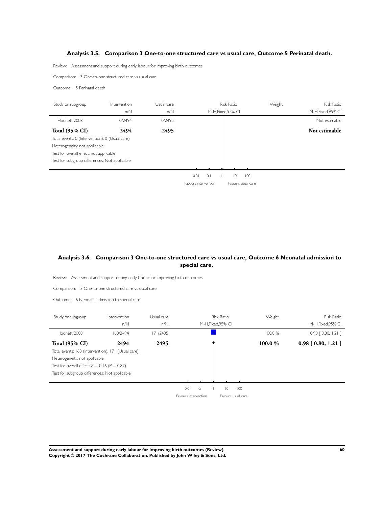### **Analysis 3.5. Comparison 3 One-to-one structured care vs usual care, Outcome 5 Perinatal death.**

<span id="page-62-0"></span>Review: Assessment and support during early labour for improving birth outcomes

Comparison: 3 One-to-one structured care vs usual care

Outcome: 5 Perinatal death

| Study or subgroup                              | Intervention | Usual care |                      |                 | <b>Risk Ratio</b>  | Weight             | <b>Risk Ratio</b>  |
|------------------------------------------------|--------------|------------|----------------------|-----------------|--------------------|--------------------|--------------------|
|                                                | n/N          | n/N        |                      |                 | M-H, Fixed, 95% CI |                    | M-H, Fixed, 95% CI |
| Hodnett 2008                                   | 0/2494       | 0/2495     |                      |                 |                    |                    | Not estimable      |
| <b>Total (95% CI)</b>                          | 2494         | 2495       |                      |                 |                    |                    | Not estimable      |
| Total events: 0 (Intervention), 0 (Usual care) |              |            |                      |                 |                    |                    |                    |
| Heterogeneity: not applicable                  |              |            |                      |                 |                    |                    |                    |
| Test for overall effect: not applicable        |              |            |                      |                 |                    |                    |                    |
| Test for subgroup differences: Not applicable  |              |            |                      |                 |                    |                    |                    |
|                                                |              |            |                      |                 |                    |                    |                    |
|                                                |              |            | 0.01                 | $\mathcal{O}$ . | $\overline{0}$     | 100                |                    |
|                                                |              |            | Favours intervention |                 |                    | Favours usual care |                    |

### **Analysis 3.6. Comparison 3 One-to-one structured care vs usual care, Outcome 6 Neonatal admission to special care.**

Review: Assessment and support during early labour for improving birth outcomes

Comparison: 3 One-to-one structured care vs usual care

Outcome: 6 Neonatal admission to special care

| Study or subgroup                                  | Intervention | Usual care |                      | <b>Risk Ratio</b>  |  |             | Weight             | <b>Risk Ratio</b> |                       |
|----------------------------------------------------|--------------|------------|----------------------|--------------------|--|-------------|--------------------|-------------------|-----------------------|
|                                                    | n/N          | n/N        |                      | M-H, Fixed, 95% CI |  |             |                    |                   | M-H, Fixed, 95% CI    |
| Hodnett 2008                                       | 168/2494     | 171/2495   |                      |                    |  |             |                    | 100.0 %           | $0.98$ $[0.80, 1.21]$ |
| <b>Total (95% CI)</b>                              | 2494         | 2495       |                      |                    |  |             |                    | 100.0 %           | $0.98$ [ 0.80, 1.21 ] |
| Total events: 168 (Intervention), 171 (Usual care) |              |            |                      |                    |  |             |                    |                   |                       |
| Heterogeneity: not applicable                      |              |            |                      |                    |  |             |                    |                   |                       |
| Test for overall effect: $Z = 0.16$ (P = 0.87)     |              |            |                      |                    |  |             |                    |                   |                       |
| Test for subgroup differences: Not applicable      |              |            |                      |                    |  |             |                    |                   |                       |
|                                                    |              |            |                      |                    |  |             |                    |                   |                       |
|                                                    |              |            | 0.01                 | 0.1                |  | $ 0\rangle$ | 100                |                   |                       |
|                                                    |              |            | Favours intervention |                    |  |             | Favours usual care |                   |                       |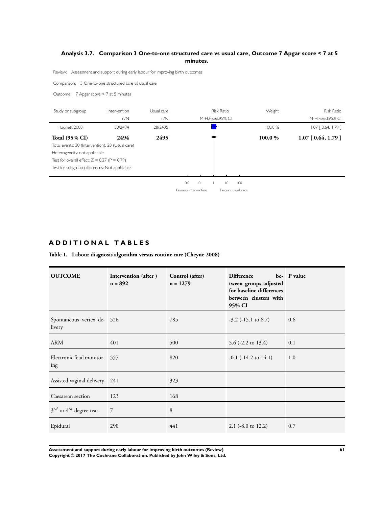### <span id="page-63-0"></span>**Analysis 3.7. Comparison 3 One-to-one structured care vs usual care, Outcome 7 Apgar score < 7 at 5 minutes.**

Review: Assessment and support during early labour for improving birth outcomes

Comparison: 3 One-to-one structured care vs usual care

Outcome: 7 Apgar score < 7 at 5 minutes

| Study or subgroup                                | Intervention<br>n/N | Usual care<br>n/N |                      |     | <b>Risk Ratio</b><br>M-H, Fixed, 95% CI |                    | Weight  | <b>Risk Ratio</b><br>M-H, Fixed, 95% CI |
|--------------------------------------------------|---------------------|-------------------|----------------------|-----|-----------------------------------------|--------------------|---------|-----------------------------------------|
| Hodnett 2008                                     | 30/2494             | 28/2495           |                      |     |                                         |                    | 100.0 % | $1.07$ $[0.64, 1.79]$                   |
| <b>Total (95% CI)</b>                            | 2494                | 2495              |                      |     |                                         |                    | 100.0%  | $1.07$ [ 0.64, 1.79 ]                   |
| Total events: 30 (Intervention), 28 (Usual care) |                     |                   |                      |     |                                         |                    |         |                                         |
| Heterogeneity: not applicable                    |                     |                   |                      |     |                                         |                    |         |                                         |
| Test for overall effect: $Z = 0.27$ (P = 0.79)   |                     |                   |                      |     |                                         |                    |         |                                         |
| Test for subgroup differences: Not applicable    |                     |                   |                      |     |                                         |                    |         |                                         |
|                                                  |                     |                   |                      |     |                                         |                    |         |                                         |
|                                                  |                     |                   | 0.01                 | 0.1 | $ 0\rangle$                             | 100                |         |                                         |
|                                                  |                     |                   | Favours intervention |     |                                         | Favours usual care |         |                                         |
|                                                  |                     |                   |                      |     |                                         |                    |         |                                         |
|                                                  |                     |                   |                      |     |                                         |                    |         |                                         |

### **A D D I T I O N A L T A B L E S**

**Table 1. Labour diagnosis algorithm versus routine care (Cheyne 2008)**

| <b>OUTCOME</b>                       | Intervention (after)<br>$n = 892$ | Control (after)<br>$n = 1279$ | <b>Difference</b><br>tween groups adjusted<br>for baseline differences<br>between clusters with<br>95% CI | be- P value |
|--------------------------------------|-----------------------------------|-------------------------------|-----------------------------------------------------------------------------------------------------------|-------------|
| Spontaneous vertex de- 526<br>livery |                                   | 785                           | $-3.2$ ( $-15.1$ to 8.7)                                                                                  | 0.6         |
| <b>ARM</b>                           | 401                               | 500                           | 5.6 $(-2.2 \text{ to } 13.4)$                                                                             | 0.1         |
| Electronic fetal monitor- 557<br>ing |                                   | 820                           | $-0.1$ ( $-14.2$ to $14.1$ )                                                                              | 1.0         |
| Assisted vaginal delivery 241        |                                   | 323                           |                                                                                                           |             |
| Caesarean section                    | 123                               | 168                           |                                                                                                           |             |
| $3^{rd}$ or $4^{th}$ degree tear     | 7                                 | 8                             |                                                                                                           |             |
| Epidural                             | 290                               | 441                           | 2.1 $(-8.0 \text{ to } 12.2)$                                                                             | 0.7         |

**Assessment and support during early labour for improving birth outcomes (Review) 61 Copyright © 2017 The Cochrane Collaboration. Published by John Wiley & Sons, Ltd.**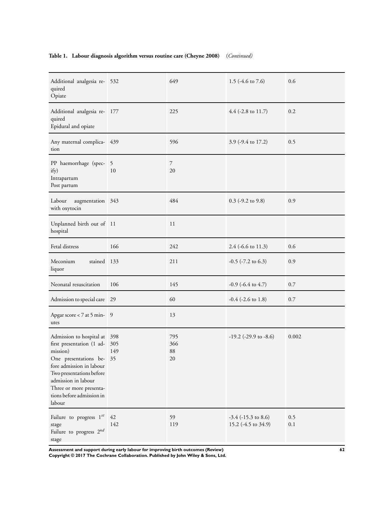### **Table 1. Labour diagnosis algorithm versus routine care (Cheyne 2008)** (*Continued)*

| Additional analgesia re- 532<br>quired<br>Opiate                                                                                                                                                                                               |                   | 649                    | 1.5 (-4.6 to 7.6)                               | 0.6            |
|------------------------------------------------------------------------------------------------------------------------------------------------------------------------------------------------------------------------------------------------|-------------------|------------------------|-------------------------------------------------|----------------|
| Additional analgesia re- 177<br>quired<br>Epidural and opiate                                                                                                                                                                                  |                   | 225                    | $4.4$ (-2.8 to 11.7)                            | 0.2            |
| Any maternal complica- 439<br>tion                                                                                                                                                                                                             |                   | 596                    | 3.9 (-9.4 to 17.2)                              | 0.5            |
| PP haemorrhage (spec-<br>ify)<br>Intrapartum<br>Post partum                                                                                                                                                                                    | 5<br>10           | 7<br>20                |                                                 |                |
| augmentation 343<br>Labour<br>with oxytocin                                                                                                                                                                                                    |                   | 484                    | $0.3$ (-9.2 to 9.8)                             | 0.9            |
| Unplanned birth out of 11<br>hospital                                                                                                                                                                                                          |                   | 11                     |                                                 |                |
| Fetal distress                                                                                                                                                                                                                                 | 166               | 242                    | 2.4 (-6.6 to 11.3)                              | 0.6            |
| Meconium<br>stained 133<br>liquor                                                                                                                                                                                                              |                   | 211                    | $-0.5$ ( $-7.2$ to 6.3)                         | 0.9            |
| Neonatal resuscitation                                                                                                                                                                                                                         | 106               | 145                    | $-0.9$ ( $-6.4$ to $4.7$ )                      | 0.7            |
| Admission to special care 29                                                                                                                                                                                                                   |                   | 60                     | $-0.4$ ( $-2.6$ to 1.8)                         | 0.7            |
| Apgar score < 7 at 5 min- 9<br>utes                                                                                                                                                                                                            |                   | 13                     |                                                 |                |
| Admission to hospital at<br>first presentation (1 ad-<br>mission)<br>One presentations be- 35<br>fore admission in labour<br>Two presentations before<br>admission in labour<br>Three or more presenta-<br>tions before admission in<br>labour | 398<br>305<br>149 | 795<br>366<br>88<br>20 | $-19.2$ ( $-29.9$ to $-8.6$ )                   | 0.002          |
| Failure to progress $1^{st}$<br>stage<br>Failure to progress $2^{nd}$<br>stage                                                                                                                                                                 | 42<br>142         | 59<br>119              | $-3.4$ ( $-15.3$ to 8.6)<br>15.2 (-4.5 to 34.9) | 0.5<br>$0.1\,$ |

**Assessment and support during early labour for improving birth outcomes (Review) 62 Copyright © 2017 The Cochrane Collaboration. Published by John Wiley & Sons, Ltd.**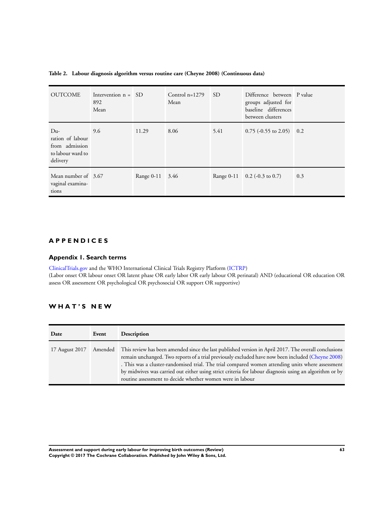<span id="page-65-0"></span>**Table 2. Labour diagnosis algorithm versus routine care (Cheyne 2008) (Continuous data)**

| <b>OUTCOME</b>                                                               | Intervention $n =$ SD<br>892<br>Mean |            | Control $n=1279$<br>Mean | SD <sub>-</sub> | Difference between P value<br>groups adjusted for<br>baseline differences<br>between clusters |     |
|------------------------------------------------------------------------------|--------------------------------------|------------|--------------------------|-----------------|-----------------------------------------------------------------------------------------------|-----|
| $Du-$<br>ration of labour<br>from admission<br>to labour ward to<br>delivery | 9.6                                  | 11.29      | 8.06                     | 5.41            | $0.75$ (-0.55 to 2.05) 0.2                                                                    |     |
| Mean number of 3.67<br>vaginal examina-<br>tions                             |                                      | Range 0-11 | 3.46                     | Range 0-11      | $0.2$ (-0.3 to 0.7)                                                                           | 0.3 |

### **A P P E N D I C E S**

### **Appendix 1. Search terms**

[ClinicalTrials.gov](http://clinicaltrials.gov/) and the WHO International Clinical Trials Registry Platform ([ICTRP\)](http://apps.who.int/trialsearch/) (Labor onset OR labour onset OR latent phase OR early labor OR early labour OR perinatal) AND (educational OR education OR assess OR assessment OR psychological OR psychosocial OR support OR supportive)

### **W H A T ' S N E W**

| Date           | Event   | Description                                                                                                                                                                                                                                                                                                                                                                                                                                                                          |
|----------------|---------|--------------------------------------------------------------------------------------------------------------------------------------------------------------------------------------------------------------------------------------------------------------------------------------------------------------------------------------------------------------------------------------------------------------------------------------------------------------------------------------|
| 17 August 2017 | Amended | This review has been amended since the last published version in April 2017. The overall conclusions<br>remain unchanged. Two reports of a trial previously excluded have now been included (Cheyne 2008)<br>. This was a cluster-randomised trial. The trial compared women attending units where assessment<br>by midwives was carried out either using strict criteria for labour diagnosis using an algorithm or by<br>routine assessment to decide whether women were in labour |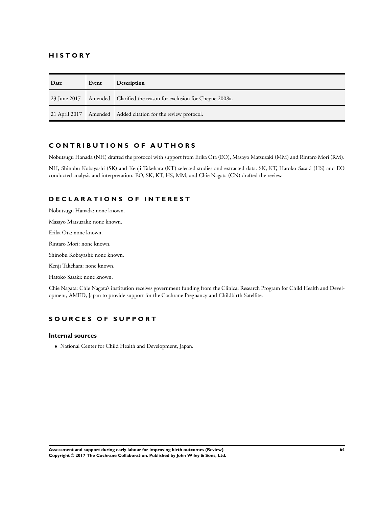### **H I S T O R Y**

| Date | Event | <b>Description</b>                                                        |
|------|-------|---------------------------------------------------------------------------|
|      |       | 23 June 2017 Amended Clarified the reason for exclusion for Cheyne 2008a. |
|      |       | 21 April 2017 Amended Added citation for the review protocol.             |

### **C O N T R I B U T I O N S O F A U T H O R S**

Nobutsugu Hanada (NH) drafted the protocol with support from Erika Ota (EO), Masayo Matsuzaki (MM) and Rintaro Mori (RM).

NH, Shinobu Kobayashi (SK) and Kenji Takehara (KT) selected studies and extracted data. SK, KT, Hatoko Sasaki (HS) and EO conducted analysis and interpretation. EO, SK, KT, HS, MM, and Chie Nagata (CN) drafted the review.

### **D E C L A R A T I O N S O F I N T E R E S T**

Nobutsugu Hanada: none known.

Masayo Matsuzaki: none known.

Erika Ota: none known.

Rintaro Mori: none known.

Shinobu Kobayashi: none known.

Kenji Takehara: none known.

Hatoko Sasaki: none known.

Chie Nagata: Chie Nagata's institution receives government funding from the Clinical Research Program for Child Health and Development, AMED, Japan to provide support for the Cochrane Pregnancy and Childbirth Satellite.

### **S O U R C E S O F S U P P O R T**

### **Internal sources**

• National Center for Child Health and Development, Japan.